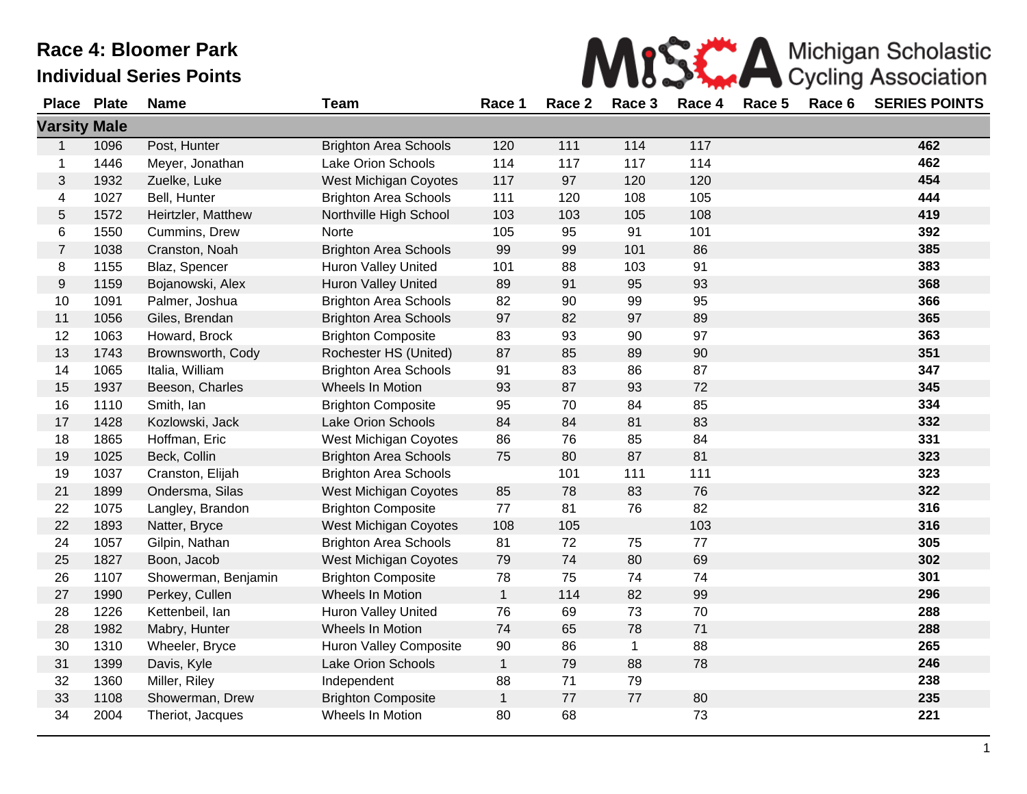|  | <b>SEARCH A Michigan Scholastic</b><br>Cycling Association |
|--|------------------------------------------------------------|
|  |                                                            |

| <b>Place</b>        | <b>Plate</b> | <b>Name</b>         | <b>Team</b>                  | Race 1       | Race 2 | Race 3       | Race 4 | Race 5 | Race 6 | <b>SERIES POINTS</b> |
|---------------------|--------------|---------------------|------------------------------|--------------|--------|--------------|--------|--------|--------|----------------------|
| <b>Varsity Male</b> |              |                     |                              |              |        |              |        |        |        |                      |
| $\mathbf{1}$        | 1096         | Post, Hunter        | <b>Brighton Area Schools</b> | 120          | 111    | 114          | 117    |        |        | 462                  |
| 1                   | 1446         | Meyer, Jonathan     | Lake Orion Schools           | 114          | 117    | 117          | 114    |        |        | 462                  |
| 3                   | 1932         | Zuelke, Luke        | <b>West Michigan Coyotes</b> | 117          | 97     | 120          | 120    |        |        | 454                  |
| 4                   | 1027         | Bell, Hunter        | <b>Brighton Area Schools</b> | 111          | 120    | 108          | 105    |        |        | 444                  |
| 5                   | 1572         | Heirtzler, Matthew  | Northville High School       | 103          | 103    | 105          | 108    |        |        | 419                  |
| 6                   | 1550         | Cummins, Drew       | Norte                        | 105          | 95     | 91           | 101    |        |        | 392                  |
| $\overline{7}$      | 1038         | Cranston, Noah      | <b>Brighton Area Schools</b> | 99           | 99     | 101          | 86     |        |        | 385                  |
| 8                   | 1155         | Blaz, Spencer       | <b>Huron Valley United</b>   | 101          | 88     | 103          | 91     |        |        | 383                  |
| 9                   | 1159         | Bojanowski, Alex    | Huron Valley United          | 89           | 91     | 95           | 93     |        |        | 368                  |
| 10                  | 1091         | Palmer, Joshua      | <b>Brighton Area Schools</b> | 82           | 90     | 99           | 95     |        |        | 366                  |
| 11                  | 1056         | Giles, Brendan      | <b>Brighton Area Schools</b> | 97           | 82     | 97           | 89     |        |        | 365                  |
| 12                  | 1063         | Howard, Brock       | <b>Brighton Composite</b>    | 83           | 93     | 90           | 97     |        |        | 363                  |
| 13                  | 1743         | Brownsworth, Cody   | Rochester HS (United)        | 87           | 85     | 89           | 90     |        |        | 351                  |
| 14                  | 1065         | Italia, William     | <b>Brighton Area Schools</b> | 91           | 83     | 86           | 87     |        |        | 347                  |
| 15                  | 1937         | Beeson, Charles     | Wheels In Motion             | 93           | 87     | 93           | 72     |        |        | 345                  |
| 16                  | 1110         | Smith, Ian          | <b>Brighton Composite</b>    | 95           | 70     | 84           | 85     |        |        | 334                  |
| 17                  | 1428         | Kozlowski, Jack     | Lake Orion Schools           | 84           | 84     | 81           | 83     |        |        | 332                  |
| 18                  | 1865         | Hoffman, Eric       | West Michigan Coyotes        | 86           | 76     | 85           | 84     |        |        | 331                  |
| 19                  | 1025         | Beck, Collin        | <b>Brighton Area Schools</b> | 75           | 80     | 87           | 81     |        |        | 323                  |
| 19                  | 1037         | Cranston, Elijah    | <b>Brighton Area Schools</b> |              | 101    | 111          | 111    |        |        | 323                  |
| 21                  | 1899         | Ondersma, Silas     | West Michigan Coyotes        | 85           | 78     | 83           | 76     |        |        | 322                  |
| 22                  | 1075         | Langley, Brandon    | <b>Brighton Composite</b>    | 77           | 81     | 76           | 82     |        |        | 316                  |
| 22                  | 1893         | Natter, Bryce       | <b>West Michigan Coyotes</b> | 108          | 105    |              | 103    |        |        | 316                  |
| 24                  | 1057         | Gilpin, Nathan      | <b>Brighton Area Schools</b> | 81           | 72     | 75           | 77     |        |        | 305                  |
| 25                  | 1827         | Boon, Jacob         | West Michigan Coyotes        | 79           | 74     | 80           | 69     |        |        | 302                  |
| 26                  | 1107         | Showerman, Benjamin | <b>Brighton Composite</b>    | 78           | 75     | 74           | 74     |        |        | 301                  |
| 27                  | 1990         | Perkey, Cullen      | Wheels In Motion             | $\mathbf{1}$ | 114    | 82           | 99     |        |        | 296                  |
| 28                  | 1226         | Kettenbeil, Ian     | <b>Huron Valley United</b>   | 76           | 69     | 73           | 70     |        |        | 288                  |
| 28                  | 1982         | Mabry, Hunter       | Wheels In Motion             | 74           | 65     | 78           | 71     |        |        | 288                  |
| 30                  | 1310         | Wheeler, Bryce      | Huron Valley Composite       | 90           | 86     | $\mathbf{1}$ | 88     |        |        | 265                  |
| 31                  | 1399         | Davis, Kyle         | Lake Orion Schools           | $\mathbf{1}$ | 79     | 88           | 78     |        |        | 246                  |
| 32                  | 1360         | Miller, Riley       | Independent                  | 88           | 71     | 79           |        |        |        | 238                  |
| 33                  | 1108         | Showerman, Drew     | <b>Brighton Composite</b>    | $\mathbf{1}$ | 77     | $77\,$       | 80     |        |        | 235                  |
| 34                  | 2004         | Theriot, Jacques    | Wheels In Motion             | 80           | 68     |              | 73     |        |        | 221                  |

M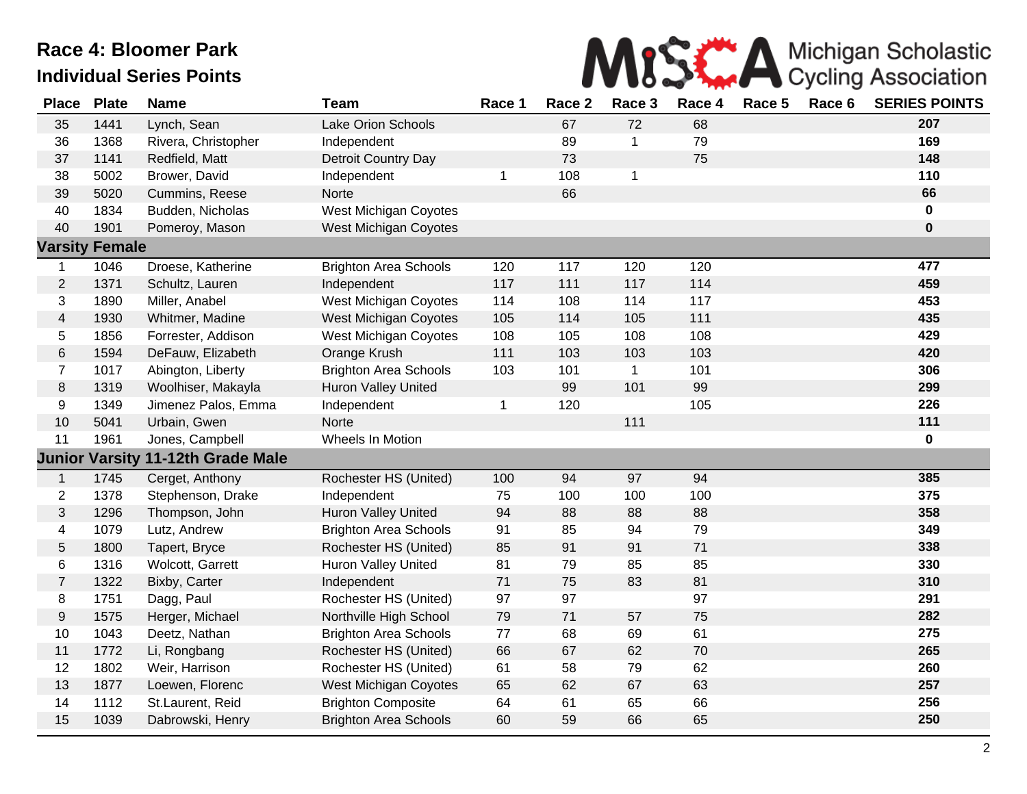

| <b>Place</b>     | <b>Plate</b>          | <b>Name</b>         | <b>Team</b>                  | Race 1       | Race 2 | Race 3       | Race 4 | Race 5 | Race 6 | <b>SERIES POINTS</b> |
|------------------|-----------------------|---------------------|------------------------------|--------------|--------|--------------|--------|--------|--------|----------------------|
| 35               | 1441                  | Lynch, Sean         | Lake Orion Schools           |              | 67     | 72           | 68     |        |        | 207                  |
| 36               | 1368                  | Rivera, Christopher | Independent                  |              | 89     | 1            | 79     |        |        | 169                  |
| 37               | 1141                  | Redfield, Matt      | Detroit Country Day          |              | 73     |              | 75     |        |        | 148                  |
| 38               | 5002                  | Brower, David       | Independent                  | $\mathbf{1}$ | 108    | $\mathbf{1}$ |        |        |        | 110                  |
| 39               | 5020                  | Cummins, Reese      | Norte                        |              | 66     |              |        |        |        | 66                   |
| 40               | 1834                  | Budden, Nicholas    | <b>West Michigan Coyotes</b> |              |        |              |        |        |        | $\mathbf 0$          |
| 40               | 1901                  | Pomeroy, Mason      | <b>West Michigan Coyotes</b> |              |        |              |        |        |        | $\pmb{0}$            |
| <b>Varsity</b>   | <b>Female</b>         |                     |                              |              |        |              |        |        |        |                      |
| 1                | 1046                  | Droese, Katherine   | <b>Brighton Area Schools</b> | 120          | 117    | 120          | 120    |        |        | 477                  |
| $\overline{c}$   | 1371                  | Schultz, Lauren     | Independent                  | 117          | 111    | 117          | 114    |        |        | 459                  |
| 3                | 1890                  | Miller, Anabel      | <b>West Michigan Coyotes</b> | 114          | 108    | 114          | 117    |        |        | 453                  |
| $\overline{4}$   | 1930                  | Whitmer, Madine     | West Michigan Coyotes        | 105          | 114    | 105          | 111    |        |        | 435                  |
| 5                | 1856                  | Forrester, Addison  | West Michigan Coyotes        | 108          | 105    | 108          | 108    |        |        | 429                  |
| 6                | 1594                  | DeFauw, Elizabeth   | Orange Krush                 | 111          | 103    | 103          | 103    |        |        | 420                  |
| $\overline{7}$   | 1017                  | Abington, Liberty   | <b>Brighton Area Schools</b> | 103          | 101    | $\mathbf{1}$ | 101    |        |        | 306                  |
| 8                | 1319                  | Woolhiser, Makayla  | <b>Huron Valley United</b>   |              | 99     | 101          | 99     |        |        | 299                  |
| 9                | 1349                  | Jimenez Palos, Emma | Independent                  | 1            | 120    |              | 105    |        |        | 226                  |
| 10               | 5041                  | Urbain, Gwen        | Norte                        |              |        | 111          |        |        |        | 111                  |
| 11               | 1961                  | Jones, Campbell     | Wheels In Motion             |              |        |              |        |        |        | $\mathbf 0$          |
|                  | <b>Junior Varsity</b> | 11-12th Grade Male  |                              |              |        |              |        |        |        |                      |
| $\mathbf{1}$     | 1745                  | Cerget, Anthony     | Rochester HS (United)        | 100          | 94     | 97           | 94     |        |        | 385                  |
| $\overline{2}$   | 1378                  | Stephenson, Drake   | Independent                  | 75           | 100    | 100          | 100    |        |        | 375                  |
| 3                | 1296                  | Thompson, John      | Huron Valley United          | 94           | 88     | 88           | 88     |        |        | 358                  |
| 4                | 1079                  | Lutz, Andrew        | <b>Brighton Area Schools</b> | 91           | 85     | 94           | 79     |        |        | 349                  |
| 5                | 1800                  | Tapert, Bryce       | Rochester HS (United)        | 85           | 91     | 91           | 71     |        |        | 338                  |
| 6                | 1316                  | Wolcott, Garrett    | <b>Huron Valley United</b>   | 81           | 79     | 85           | 85     |        |        | 330                  |
| $\overline{7}$   | 1322                  | Bixby, Carter       | Independent                  | 71           | 75     | 83           | 81     |        |        | 310                  |
| 8                | 1751                  | Dagg, Paul          | Rochester HS (United)        | 97           | 97     |              | 97     |        |        | 291                  |
| $\boldsymbol{9}$ | 1575                  | Herger, Michael     | Northville High School       | 79           | 71     | 57           | 75     |        |        | 282                  |
| 10               | 1043                  | Deetz, Nathan       | <b>Brighton Area Schools</b> | 77           | 68     | 69           | 61     |        |        | 275                  |
| 11               | 1772                  | Li, Rongbang        | Rochester HS (United)        | 66           | 67     | 62           | 70     |        |        | 265                  |
| 12               | 1802                  | Weir, Harrison      | Rochester HS (United)        | 61           | 58     | 79           | 62     |        |        | 260                  |
| 13               | 1877                  | Loewen, Florenc     | West Michigan Coyotes        | 65           | 62     | 67           | 63     |        |        | 257                  |
| 14               | 1112                  | St.Laurent, Reid    | <b>Brighton Composite</b>    | 64           | 61     | 65           | 66     |        |        | 256                  |
| 15               | 1039                  | Dabrowski, Henry    | <b>Brighton Area Schools</b> | 60           | 59     | 66           | 65     |        |        | 250                  |
|                  |                       |                     |                              |              |        |              |        |        |        |                      |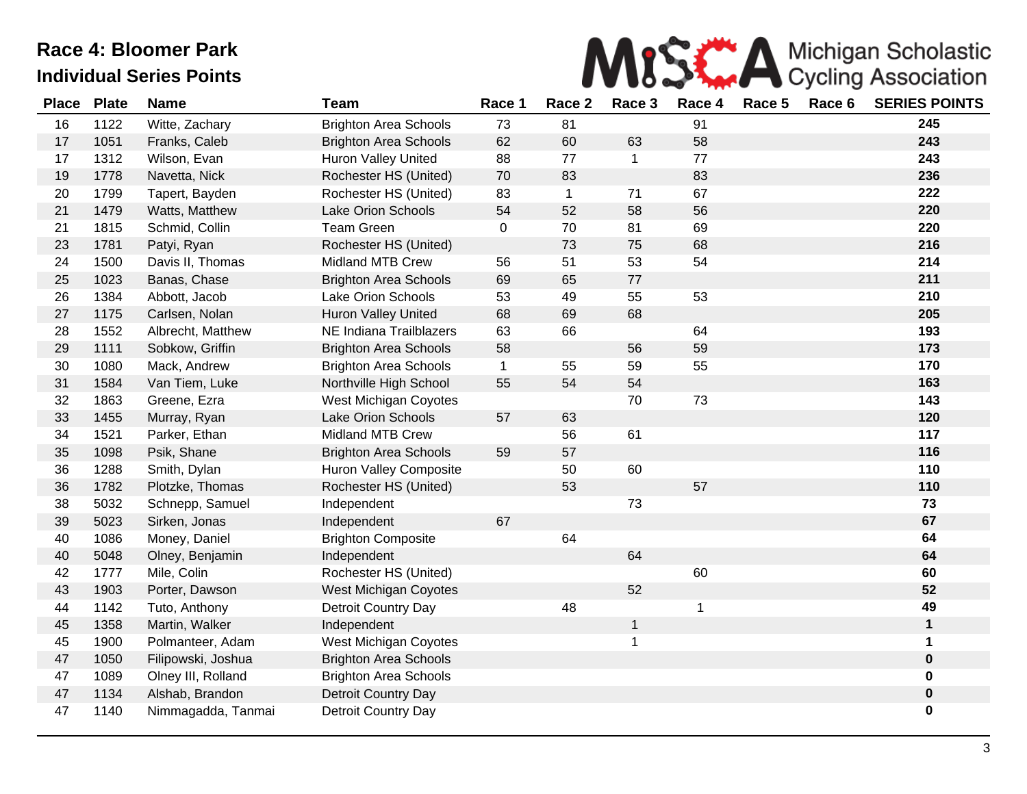

| <b>Place</b> | <b>Plate</b> | <b>Name</b>        | <b>Team</b>                  | Race 1       | Race 2       | Race 3       | Race 4 | Race 5 | Race 6 | <b>SERIES POINTS</b> |
|--------------|--------------|--------------------|------------------------------|--------------|--------------|--------------|--------|--------|--------|----------------------|
| 16           | 1122         | Witte, Zachary     | <b>Brighton Area Schools</b> | 73           | 81           |              | 91     |        |        | 245                  |
| 17           | 1051         | Franks, Caleb      | <b>Brighton Area Schools</b> | 62           | 60           | 63           | 58     |        |        | 243                  |
| 17           | 1312         | Wilson, Evan       | <b>Huron Valley United</b>   | 88           | 77           | $\mathbf 1$  | 77     |        |        | 243                  |
| 19           | 1778         | Navetta, Nick      | Rochester HS (United)        | 70           | 83           |              | 83     |        |        | 236                  |
| 20           | 1799         | Tapert, Bayden     | Rochester HS (United)        | 83           | $\mathbf{1}$ | 71           | 67     |        |        | 222                  |
| 21           | 1479         | Watts, Matthew     | Lake Orion Schools           | 54           | 52           | 58           | 56     |        |        | 220                  |
| 21           | 1815         | Schmid, Collin     | <b>Team Green</b>            | $\mathbf 0$  | 70           | 81           | 69     |        |        | 220                  |
| 23           | 1781         | Patyi, Ryan        | Rochester HS (United)        |              | 73           | 75           | 68     |        |        | 216                  |
| 24           | 1500         | Davis II, Thomas   | <b>Midland MTB Crew</b>      | 56           | 51           | 53           | 54     |        |        | 214                  |
| 25           | 1023         | Banas, Chase       | <b>Brighton Area Schools</b> | 69           | 65           | 77           |        |        |        | 211                  |
| 26           | 1384         | Abbott, Jacob      | <b>Lake Orion Schools</b>    | 53           | 49           | 55           | 53     |        |        | 210                  |
| 27           | 1175         | Carlsen, Nolan     | Huron Valley United          | 68           | 69           | 68           |        |        |        | 205                  |
| 28           | 1552         | Albrecht, Matthew  | NE Indiana Trailblazers      | 63           | 66           |              | 64     |        |        | 193                  |
| 29           | 1111         | Sobkow, Griffin    | <b>Brighton Area Schools</b> | 58           |              | 56           | 59     |        |        | 173                  |
| 30           | 1080         | Mack, Andrew       | <b>Brighton Area Schools</b> | $\mathbf{1}$ | 55           | 59           | 55     |        |        | 170                  |
| 31           | 1584         | Van Tiem, Luke     | Northville High School       | 55           | 54           | 54           |        |        |        | 163                  |
| 32           | 1863         | Greene, Ezra       | West Michigan Coyotes        |              |              | 70           | 73     |        |        | 143                  |
| 33           | 1455         | Murray, Ryan       | Lake Orion Schools           | 57           | 63           |              |        |        |        | 120                  |
| 34           | 1521         | Parker, Ethan      | <b>Midland MTB Crew</b>      |              | 56           | 61           |        |        |        | 117                  |
| 35           | 1098         | Psik, Shane        | <b>Brighton Area Schools</b> | 59           | 57           |              |        |        |        | 116                  |
| 36           | 1288         | Smith, Dylan       | Huron Valley Composite       |              | 50           | 60           |        |        |        | 110                  |
| 36           | 1782         | Plotzke, Thomas    | Rochester HS (United)        |              | 53           |              | 57     |        |        | 110                  |
| 38           | 5032         | Schnepp, Samuel    | Independent                  |              |              | 73           |        |        |        | 73                   |
| 39           | 5023         | Sirken, Jonas      | Independent                  | 67           |              |              |        |        |        | 67                   |
| 40           | 1086         | Money, Daniel      | <b>Brighton Composite</b>    |              | 64           |              |        |        |        | 64                   |
| 40           | 5048         | Olney, Benjamin    | Independent                  |              |              | 64           |        |        |        | 64                   |
| 42           | 1777         | Mile, Colin        | Rochester HS (United)        |              |              |              | 60     |        |        | 60                   |
| 43           | 1903         | Porter, Dawson     | <b>West Michigan Coyotes</b> |              |              | 52           |        |        |        | 52                   |
| 44           | 1142         | Tuto, Anthony      | <b>Detroit Country Day</b>   |              | 48           |              |        |        |        | 49                   |
| 45           | 1358         | Martin, Walker     | Independent                  |              |              | $\mathbf{1}$ |        |        |        | $\mathbf 1$          |
| 45           | 1900         | Polmanteer, Adam   | West Michigan Coyotes        |              |              | 1            |        |        |        | $\mathbf 1$          |
| 47           | 1050         | Filipowski, Joshua | <b>Brighton Area Schools</b> |              |              |              |        |        |        | $\pmb{0}$            |
| 47           | 1089         | Olney III, Rolland | <b>Brighton Area Schools</b> |              |              |              |        |        |        | $\mathbf 0$          |
| 47           | 1134         | Alshab, Brandon    | Detroit Country Day          |              |              |              |        |        |        | $\mathbf 0$          |
| 47           | 1140         | Nimmagadda, Tanmai | Detroit Country Day          |              |              |              |        |        |        | 0                    |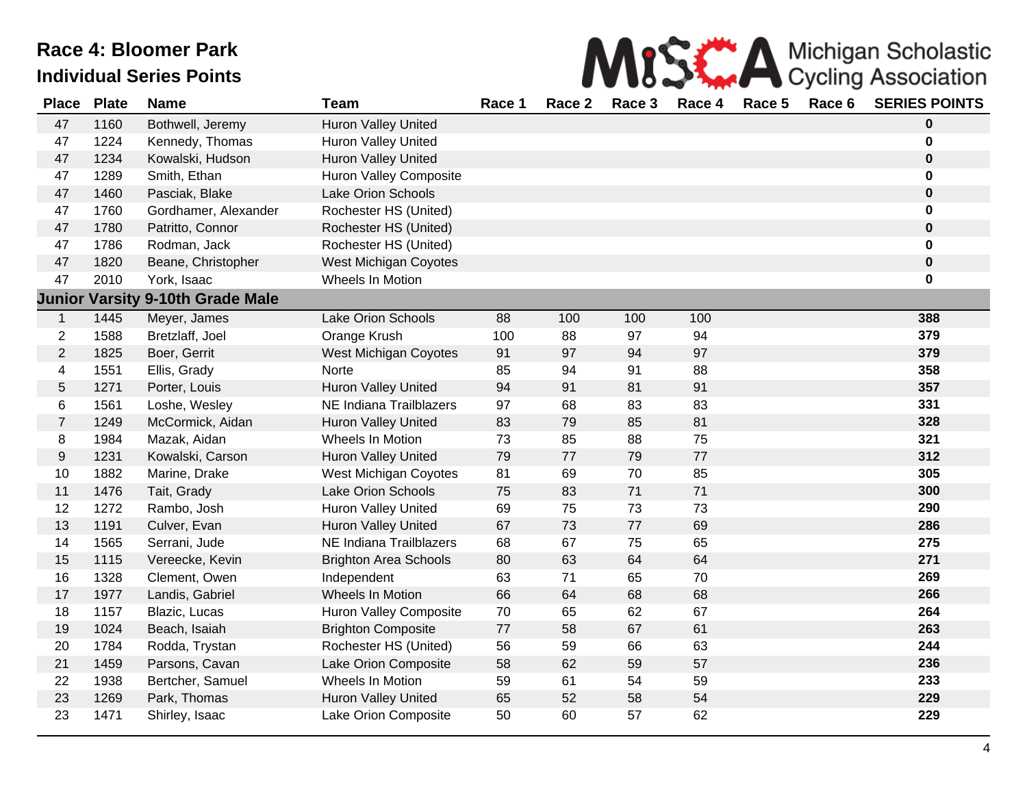

| <b>Place</b>   | <b>Plate</b> | <b>Name</b>                             | <b>Team</b>                   | Race 1 | Race 2 | Race 3 | Race 4 | Race 5 | Race 6 | <b>SERIES POINTS</b> |
|----------------|--------------|-----------------------------------------|-------------------------------|--------|--------|--------|--------|--------|--------|----------------------|
| 47             | 1160         | Bothwell, Jeremy                        | <b>Huron Valley United</b>    |        |        |        |        |        |        | $\mathbf 0$          |
| 47             | 1224         | Kennedy, Thomas                         | Huron Valley United           |        |        |        |        |        |        | 0                    |
| 47             | 1234         | Kowalski, Hudson                        | <b>Huron Valley United</b>    |        |        |        |        |        |        | $\mathbf 0$          |
| 47             | 1289         | Smith, Ethan                            | <b>Huron Valley Composite</b> |        |        |        |        |        |        | $\bf{0}$             |
| 47             | 1460         | Pasciak, Blake                          | Lake Orion Schools            |        |        |        |        |        |        | $\pmb{0}$            |
| 47             | 1760         | Gordhamer, Alexander                    | Rochester HS (United)         |        |        |        |        |        |        | $\mathbf 0$          |
| 47             | 1780         | Patritto, Connor                        | Rochester HS (United)         |        |        |        |        |        |        | $\pmb{0}$            |
| 47             | 1786         | Rodman, Jack                            | Rochester HS (United)         |        |        |        |        |        |        | 0                    |
| 47             | 1820         | Beane, Christopher                      | <b>West Michigan Coyotes</b>  |        |        |        |        |        |        | $\pmb{0}$            |
| 47             | 2010         | York, Isaac                             | Wheels In Motion              |        |        |        |        |        |        | 0                    |
|                |              | <b>Junior Varsity 9-10th Grade Male</b> |                               |        |        |        |        |        |        |                      |
| $\mathbf{1}$   | 1445         | Meyer, James                            | <b>Lake Orion Schools</b>     | 88     | 100    | 100    | 100    |        |        | 388                  |
| $\overline{2}$ | 1588         | Bretzlaff, Joel                         | Orange Krush                  | 100    | 88     | 97     | 94     |        |        | 379                  |
| $\overline{2}$ | 1825         | Boer, Gerrit                            | <b>West Michigan Coyotes</b>  | 91     | 97     | 94     | 97     |        |        | 379                  |
| 4              | 1551         | Ellis, Grady                            | Norte                         | 85     | 94     | 91     | 88     |        |        | 358                  |
| $\sqrt{5}$     | 1271         | Porter, Louis                           | Huron Valley United           | 94     | 91     | 81     | 91     |        |        | 357                  |
| 6              | 1561         | Loshe, Wesley                           | NE Indiana Trailblazers       | 97     | 68     | 83     | 83     |        |        | 331                  |
| $\overline{7}$ | 1249         | McCormick, Aidan                        | <b>Huron Valley United</b>    | 83     | 79     | 85     | 81     |        |        | 328                  |
| 8              | 1984         | Mazak, Aidan                            | Wheels In Motion              | 73     | 85     | 88     | 75     |        |        | 321                  |
| $9\,$          | 1231         | Kowalski, Carson                        | <b>Huron Valley United</b>    | 79     | 77     | 79     | 77     |        |        | 312                  |
| 10             | 1882         | Marine, Drake                           | <b>West Michigan Coyotes</b>  | 81     | 69     | 70     | 85     |        |        | 305                  |
| 11             | 1476         | Tait, Grady                             | Lake Orion Schools            | 75     | 83     | 71     | 71     |        |        | 300                  |
| 12             | 1272         | Rambo, Josh                             | <b>Huron Valley United</b>    | 69     | 75     | 73     | 73     |        |        | 290                  |
| 13             | 1191         | Culver, Evan                            | Huron Valley United           | 67     | 73     | 77     | 69     |        |        | 286                  |
| 14             | 1565         | Serrani, Jude                           | NE Indiana Trailblazers       | 68     | 67     | 75     | 65     |        |        | 275                  |
| 15             | 1115         | Vereecke, Kevin                         | <b>Brighton Area Schools</b>  | 80     | 63     | 64     | 64     |        |        | 271                  |
| 16             | 1328         | Clement, Owen                           | Independent                   | 63     | 71     | 65     | 70     |        |        | 269                  |
| 17             | 1977         | Landis, Gabriel                         | Wheels In Motion              | 66     | 64     | 68     | 68     |        |        | 266                  |
| 18             | 1157         | Blazic, Lucas                           | <b>Huron Valley Composite</b> | 70     | 65     | 62     | 67     |        |        | 264                  |
| 19             | 1024         | Beach, Isaiah                           | <b>Brighton Composite</b>     | $77\,$ | 58     | 67     | 61     |        |        | 263                  |
| 20             | 1784         | Rodda, Trystan                          | Rochester HS (United)         | 56     | 59     | 66     | 63     |        |        | 244                  |
| 21             | 1459         | Parsons, Cavan                          | Lake Orion Composite          | 58     | 62     | 59     | 57     |        |        | 236                  |
| 22             | 1938         | Bertcher, Samuel                        | Wheels In Motion              | 59     | 61     | 54     | 59     |        |        | 233                  |
| 23             | 1269         | Park, Thomas                            | Huron Valley United           | 65     | 52     | 58     | 54     |        |        | 229                  |
| 23             | 1471         | Shirley, Isaac                          | Lake Orion Composite          | 50     | 60     | 57     | 62     |        |        | 229                  |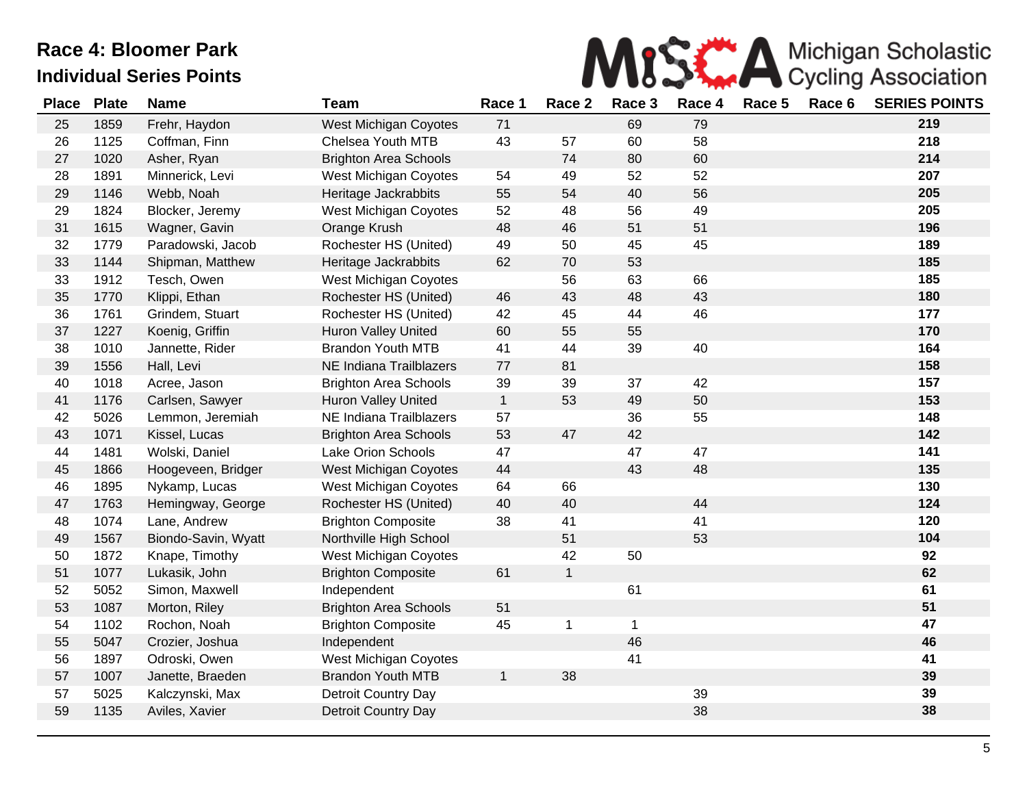

| <b>Place</b> | <b>Plate</b> | <b>Name</b>         | <b>Team</b>                  | Race 1       | Race 2       | Race 3      | Race 4 | Race 5 | Race 6 | <b>SERIES POINTS</b> |
|--------------|--------------|---------------------|------------------------------|--------------|--------------|-------------|--------|--------|--------|----------------------|
| 25           | 1859         | Frehr, Haydon       | West Michigan Coyotes        | 71           |              | 69          | 79     |        |        | 219                  |
| 26           | 1125         | Coffman, Finn       | Chelsea Youth MTB            | 43           | 57           | 60          | 58     |        |        | 218                  |
| 27           | 1020         | Asher, Ryan         | <b>Brighton Area Schools</b> |              | 74           | 80          | 60     |        |        | 214                  |
| 28           | 1891         | Minnerick, Levi     | West Michigan Coyotes        | 54           | 49           | 52          | 52     |        |        | 207                  |
| 29           | 1146         | Webb, Noah          | Heritage Jackrabbits         | 55           | 54           | 40          | 56     |        |        | 205                  |
| 29           | 1824         | Blocker, Jeremy     | West Michigan Coyotes        | 52           | 48           | 56          | 49     |        |        | 205                  |
| 31           | 1615         | Wagner, Gavin       | Orange Krush                 | 48           | 46           | 51          | 51     |        |        | 196                  |
| 32           | 1779         | Paradowski, Jacob   | Rochester HS (United)        | 49           | 50           | 45          | 45     |        |        | 189                  |
| 33           | 1144         | Shipman, Matthew    | Heritage Jackrabbits         | 62           | 70           | 53          |        |        |        | 185                  |
| 33           | 1912         | Tesch, Owen         | <b>West Michigan Coyotes</b> |              | 56           | 63          | 66     |        |        | 185                  |
| 35           | 1770         | Klippi, Ethan       | Rochester HS (United)        | 46           | 43           | 48          | 43     |        |        | 180                  |
| 36           | 1761         | Grindem, Stuart     | Rochester HS (United)        | 42           | 45           | 44          | 46     |        |        | 177                  |
| 37           | 1227         | Koenig, Griffin     | <b>Huron Valley United</b>   | 60           | 55           | 55          |        |        |        | 170                  |
| 38           | 1010         | Jannette, Rider     | <b>Brandon Youth MTB</b>     | 41           | 44           | 39          | 40     |        |        | 164                  |
| 39           | 1556         | Hall, Levi          | NE Indiana Trailblazers      | 77           | 81           |             |        |        |        | 158                  |
| 40           | 1018         | Acree, Jason        | <b>Brighton Area Schools</b> | 39           | 39           | 37          | 42     |        |        | 157                  |
| 41           | 1176         | Carlsen, Sawyer     | Huron Valley United          | $\mathbf{1}$ | 53           | 49          | 50     |        |        | 153                  |
| 42           | 5026         | Lemmon, Jeremiah    | NE Indiana Trailblazers      | 57           |              | 36          | 55     |        |        | 148                  |
| 43           | 1071         | Kissel, Lucas       | <b>Brighton Area Schools</b> | 53           | 47           | 42          |        |        |        | 142                  |
| 44           | 1481         | Wolski, Daniel      | Lake Orion Schools           | 47           |              | 47          | 47     |        |        | 141                  |
| 45           | 1866         | Hoogeveen, Bridger  | <b>West Michigan Coyotes</b> | 44           |              | 43          | 48     |        |        | 135                  |
| 46           | 1895         | Nykamp, Lucas       | West Michigan Coyotes        | 64           | 66           |             |        |        |        | 130                  |
| 47           | 1763         | Hemingway, George   | Rochester HS (United)        | 40           | 40           |             | 44     |        |        | 124                  |
| 48           | 1074         | Lane, Andrew        | <b>Brighton Composite</b>    | 38           | 41           |             | 41     |        |        | 120                  |
| 49           | 1567         | Biondo-Savin, Wyatt | Northville High School       |              | 51           |             | 53     |        |        | 104                  |
| 50           | 1872         | Knape, Timothy      | West Michigan Coyotes        |              | 42           | 50          |        |        |        | 92                   |
| 51           | 1077         | Lukasik, John       | <b>Brighton Composite</b>    | 61           | $\mathbf{1}$ |             |        |        |        | 62                   |
| 52           | 5052         | Simon, Maxwell      | Independent                  |              |              | 61          |        |        |        | 61                   |
| 53           | 1087         | Morton, Riley       | <b>Brighton Area Schools</b> | 51           |              |             |        |        |        | 51                   |
| 54           | 1102         | Rochon, Noah        | <b>Brighton Composite</b>    | 45           | $\mathbf 1$  | $\mathbf 1$ |        |        |        | 47                   |
| 55           | 5047         | Crozier, Joshua     | Independent                  |              |              | 46          |        |        |        | 46                   |
| 56           | 1897         | Odroski, Owen       | West Michigan Coyotes        |              |              | 41          |        |        |        | 41                   |
| 57           | 1007         | Janette, Braeden    | <b>Brandon Youth MTB</b>     | $\mathbf{1}$ | 38           |             |        |        |        | 39                   |
| 57           | 5025         | Kalczynski, Max     | Detroit Country Day          |              |              |             | 39     |        |        | 39                   |
| 59           | 1135         | Aviles, Xavier      | Detroit Country Day          |              |              |             | 38     |        |        | 38                   |
|              |              |                     |                              |              |              |             |        |        |        |                      |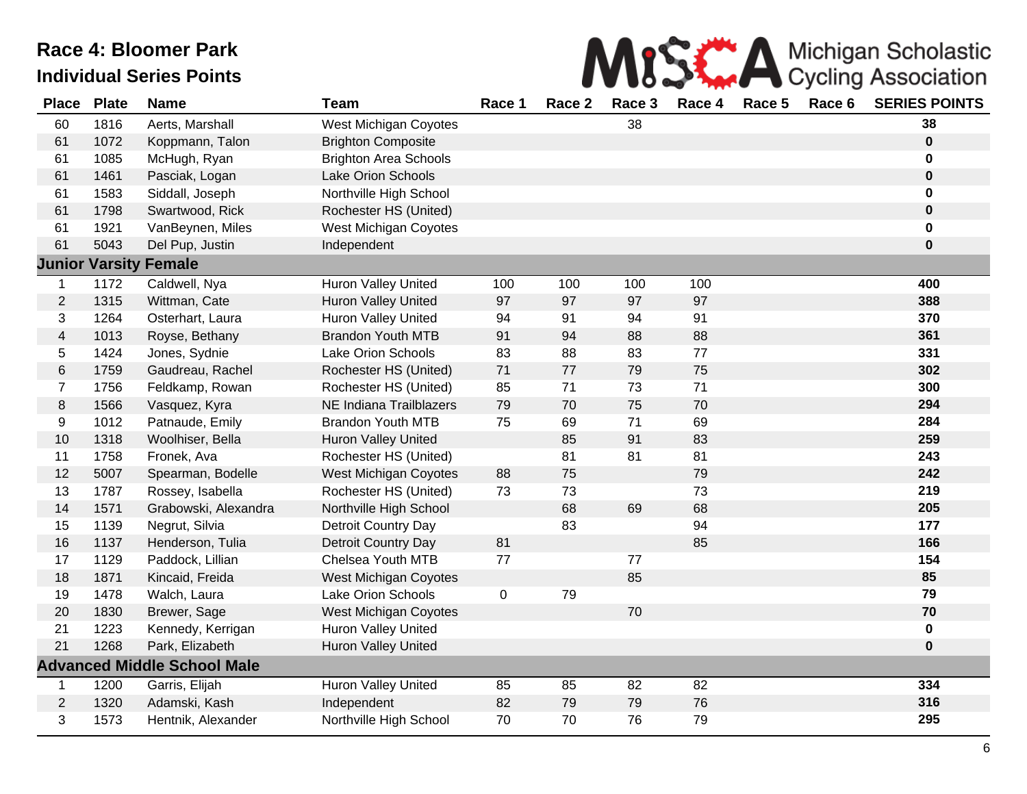

| <b>Place</b>            | <b>Plate</b> | <b>Name</b>                        | <b>Team</b>                  | Race 1    | Race 2 | Race 3 | Race 4          | Race 5 | Race 6 | <b>SERIES POINTS</b> |
|-------------------------|--------------|------------------------------------|------------------------------|-----------|--------|--------|-----------------|--------|--------|----------------------|
| 60                      | 1816         | Aerts, Marshall                    | <b>West Michigan Coyotes</b> |           |        | 38     |                 |        |        | 38                   |
| 61                      | 1072         | Koppmann, Talon                    | <b>Brighton Composite</b>    |           |        |        |                 |        |        | $\pmb{0}$            |
| 61                      | 1085         | McHugh, Ryan                       | <b>Brighton Area Schools</b> |           |        |        |                 |        |        | 0                    |
| 61                      | 1461         | Pasciak, Logan                     | <b>Lake Orion Schools</b>    |           |        |        |                 |        |        | $\pmb{0}$            |
| 61                      | 1583         | Siddall, Joseph                    | Northville High School       |           |        |        |                 |        |        | 0                    |
| 61                      | 1798         | Swartwood, Rick                    | Rochester HS (United)        |           |        |        |                 |        |        | $\pmb{0}$            |
| 61                      | 1921         | VanBeynen, Miles                   | <b>West Michigan Coyotes</b> |           |        |        |                 |        |        | 0                    |
| 61                      | 5043         | Del Pup, Justin                    | Independent                  |           |        |        |                 |        |        | $\mathbf 0$          |
|                         |              | <b>Junior Varsity Female</b>       |                              |           |        |        |                 |        |        |                      |
| $\mathbf 1$             | 1172         | Caldwell, Nya                      | Huron Valley United          | 100       | 100    | 100    | 100             |        |        | 400                  |
| $\overline{c}$          | 1315         | Wittman, Cate                      | <b>Huron Valley United</b>   | 97        | 97     | 97     | 97              |        |        | 388                  |
| 3                       | 1264         | Osterhart, Laura                   | Huron Valley United          | 94        | 91     | 94     | 91              |        |        | 370                  |
| $\overline{\mathbf{4}}$ | 1013         | Royse, Bethany                     | <b>Brandon Youth MTB</b>     | 91        | 94     | 88     | 88              |        |        | 361                  |
| 5                       | 1424         | Jones, Sydnie                      | <b>Lake Orion Schools</b>    | 83        | 88     | 83     | 77              |        |        | 331                  |
| $\,6$                   | 1759         | Gaudreau, Rachel                   | Rochester HS (United)        | $71$      | 77     | 79     | 75              |        |        | 302                  |
| $\overline{7}$          | 1756         | Feldkamp, Rowan                    | Rochester HS (United)        | 85        | 71     | 73     | 71              |        |        | 300                  |
| 8                       | 1566         | Vasquez, Kyra                      | NE Indiana Trailblazers      | 79        | 70     | 75     | 70              |        |        | 294                  |
| $\boldsymbol{9}$        | 1012         | Patnaude, Emily                    | <b>Brandon Youth MTB</b>     | 75        | 69     | 71     | 69              |        |        | 284                  |
| 10                      | 1318         | Woolhiser, Bella                   | Huron Valley United          |           | 85     | 91     | 83              |        |        | 259                  |
| 11                      | 1758         | Fronek, Ava                        | Rochester HS (United)        |           | 81     | 81     | 81              |        |        | 243                  |
| 12                      | 5007         | Spearman, Bodelle                  | West Michigan Coyotes        | 88        | 75     |        | 79              |        |        | 242                  |
| 13                      | 1787         | Rossey, Isabella                   | Rochester HS (United)        | 73        | 73     |        | 73              |        |        | 219                  |
| 14                      | 1571         | Grabowski, Alexandra               | Northville High School       |           | 68     | 69     | 68              |        |        | 205                  |
| 15                      | 1139         | Negrut, Silvia                     | Detroit Country Day          |           | 83     |        | 94              |        |        | 177                  |
| 16                      | 1137         | Henderson, Tulia                   | Detroit Country Day          | 81        |        |        | 85              |        |        | 166                  |
| 17                      | 1129         | Paddock, Lillian                   | Chelsea Youth MTB            | 77        |        | 77     |                 |        |        | 154                  |
| 18                      | 1871         | Kincaid, Freida                    | <b>West Michigan Coyotes</b> |           |        | 85     |                 |        |        | 85                   |
| 19                      | 1478         | Walch, Laura                       | Lake Orion Schools           | $\pmb{0}$ | 79     |        |                 |        |        | 79                   |
| 20                      | 1830         | Brewer, Sage                       | West Michigan Coyotes        |           |        | 70     |                 |        |        | 70                   |
| 21                      | 1223         | Kennedy, Kerrigan                  | <b>Huron Valley United</b>   |           |        |        |                 |        |        | $\pmb{0}$            |
| 21                      | 1268         | Park, Elizabeth                    | <b>Huron Valley United</b>   |           |        |        |                 |        |        | $\mathbf 0$          |
|                         |              | <b>Advanced Middle School Male</b> |                              |           |        |        |                 |        |        |                      |
| $\mathbf{1}$            | 1200         | Garris, Elijah                     | Huron Valley United          | 85        | 85     | 82     | $\overline{82}$ |        |        | 334                  |
| $\overline{c}$          | 1320         | Adamski, Kash                      | Independent                  | 82        | 79     | 79     | 76              |        |        | 316                  |
| 3                       | 1573         | Hentnik, Alexander                 | Northville High School       | 70        | 70     | 76     | 79              |        |        | 295                  |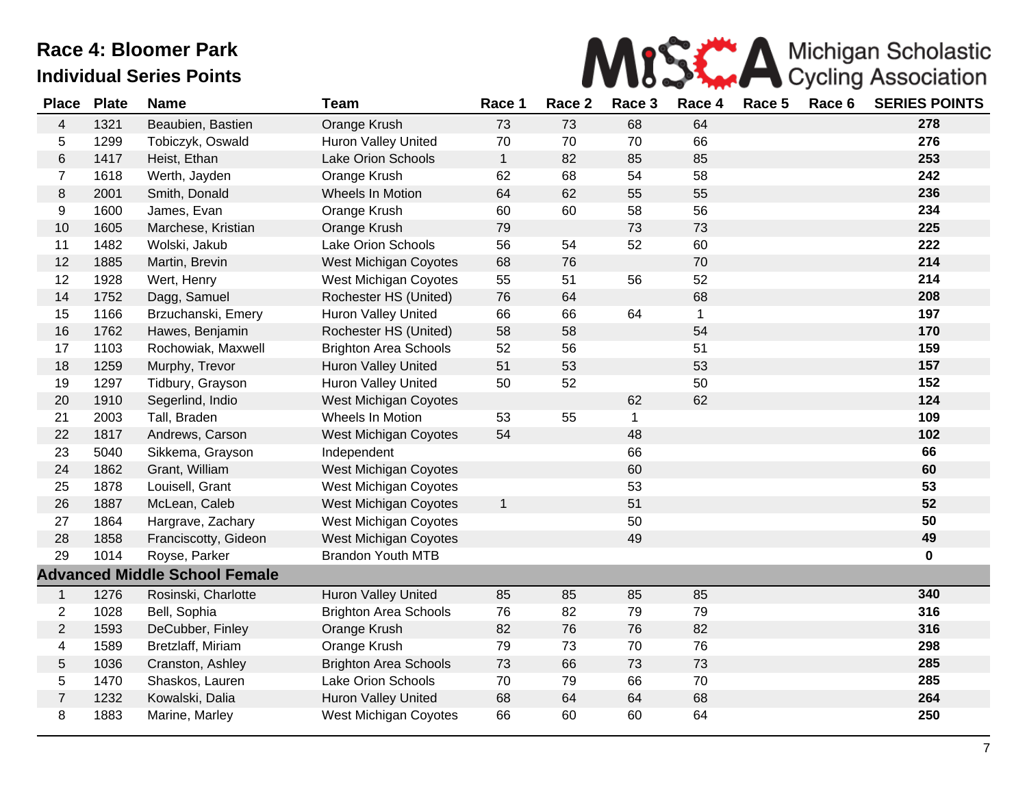

| <b>Place</b>   | <b>Plate</b> | <b>Name</b>                          | <b>Team</b>                  | Race 1       | Race 2 | Race 3 | Race 4      | Race 5 | Race 6 | <b>SERIES POINTS</b> |
|----------------|--------------|--------------------------------------|------------------------------|--------------|--------|--------|-------------|--------|--------|----------------------|
| $\overline{4}$ | 1321         | Beaubien, Bastien                    | Orange Krush                 | 73           | 73     | 68     | 64          |        |        | 278                  |
| 5              | 1299         | Tobiczyk, Oswald                     | Huron Valley United          | 70           | 70     | 70     | 66          |        |        | 276                  |
| $\,6$          | 1417         | Heist, Ethan                         | Lake Orion Schools           | $\mathbf{1}$ | 82     | 85     | 85          |        |        | 253                  |
| $\overline{7}$ | 1618         | Werth, Jayden                        | Orange Krush                 | 62           | 68     | 54     | 58          |        |        | 242                  |
| 8              | 2001         | Smith, Donald                        | Wheels In Motion             | 64           | 62     | 55     | 55          |        |        | 236                  |
| 9              | 1600         | James, Evan                          | Orange Krush                 | 60           | 60     | 58     | 56          |        |        | 234                  |
| 10             | 1605         | Marchese, Kristian                   | Orange Krush                 | 79           |        | 73     | 73          |        |        | 225                  |
| 11             | 1482         | Wolski, Jakub                        | <b>Lake Orion Schools</b>    | 56           | 54     | 52     | 60          |        |        | 222                  |
| 12             | 1885         | Martin, Brevin                       | West Michigan Coyotes        | 68           | 76     |        | 70          |        |        | 214                  |
| 12             | 1928         | Wert, Henry                          | West Michigan Coyotes        | 55           | 51     | 56     | 52          |        |        | 214                  |
| 14             | 1752         | Dagg, Samuel                         | Rochester HS (United)        | 76           | 64     |        | 68          |        |        | 208                  |
| 15             | 1166         | Brzuchanski, Emery                   | <b>Huron Valley United</b>   | 66           | 66     | 64     | $\mathbf 1$ |        |        | 197                  |
| 16             | 1762         | Hawes, Benjamin                      | Rochester HS (United)        | 58           | 58     |        | 54          |        |        | 170                  |
| 17             | 1103         | Rochowiak, Maxwell                   | <b>Brighton Area Schools</b> | 52           | 56     |        | 51          |        |        | 159                  |
| 18             | 1259         | Murphy, Trevor                       | <b>Huron Valley United</b>   | 51           | 53     |        | 53          |        |        | 157                  |
| 19             | 1297         | Tidbury, Grayson                     | Huron Valley United          | 50           | 52     |        | 50          |        |        | 152                  |
| 20             | 1910         | Segerlind, Indio                     | West Michigan Coyotes        |              |        | 62     | 62          |        |        | 124                  |
| 21             | 2003         | Tall, Braden                         | Wheels In Motion             | 53           | 55     | 1      |             |        |        | 109                  |
| 22             | 1817         | Andrews, Carson                      | West Michigan Coyotes        | 54           |        | 48     |             |        |        | 102                  |
| 23             | 5040         | Sikkema, Grayson                     | Independent                  |              |        | 66     |             |        |        | 66                   |
| 24             | 1862         | Grant, William                       | West Michigan Coyotes        |              |        | 60     |             |        |        | 60                   |
| 25             | 1878         | Louisell, Grant                      | West Michigan Coyotes        |              |        | 53     |             |        |        | 53                   |
| 26             | 1887         | McLean, Caleb                        | West Michigan Coyotes        | $\mathbf{1}$ |        | 51     |             |        |        | 52                   |
| 27             | 1864         | Hargrave, Zachary                    | West Michigan Coyotes        |              |        | 50     |             |        |        | 50                   |
| 28             | 1858         | Franciscotty, Gideon                 | <b>West Michigan Coyotes</b> |              |        | 49     |             |        |        | 49                   |
| 29             | 1014         | Royse, Parker                        | <b>Brandon Youth MTB</b>     |              |        |        |             |        |        | 0                    |
|                |              | <b>Advanced Middle School Female</b> |                              |              |        |        |             |        |        |                      |
| $\mathbf{1}$   | 1276         | Rosinski, Charlotte                  | <b>Huron Valley United</b>   | 85           | 85     | 85     | 85          |        |        | 340                  |
| $\overline{c}$ | 1028         | Bell, Sophia                         | <b>Brighton Area Schools</b> | 76           | 82     | 79     | 79          |        |        | 316                  |
| $\overline{2}$ | 1593         | DeCubber, Finley                     | Orange Krush                 | 82           | 76     | 76     | 82          |        |        | 316                  |
| 4              | 1589         | Bretzlaff, Miriam                    | Orange Krush                 | 79           | 73     | 70     | 76          |        |        | 298                  |
| $\sqrt{5}$     | 1036         | Cranston, Ashley                     | <b>Brighton Area Schools</b> | 73           | 66     | 73     | 73          |        |        | 285                  |
| 5              | 1470         | Shaskos, Lauren                      | <b>Lake Orion Schools</b>    | 70           | 79     | 66     | 70          |        |        | 285                  |
| $\overline{7}$ | 1232         | Kowalski, Dalia                      | Huron Valley United          | 68           | 64     | 64     | 68          |        |        | 264                  |
| 8              | 1883         | Marine, Marley                       | West Michigan Coyotes        | 66           | 60     | 60     | 64          |        |        | 250                  |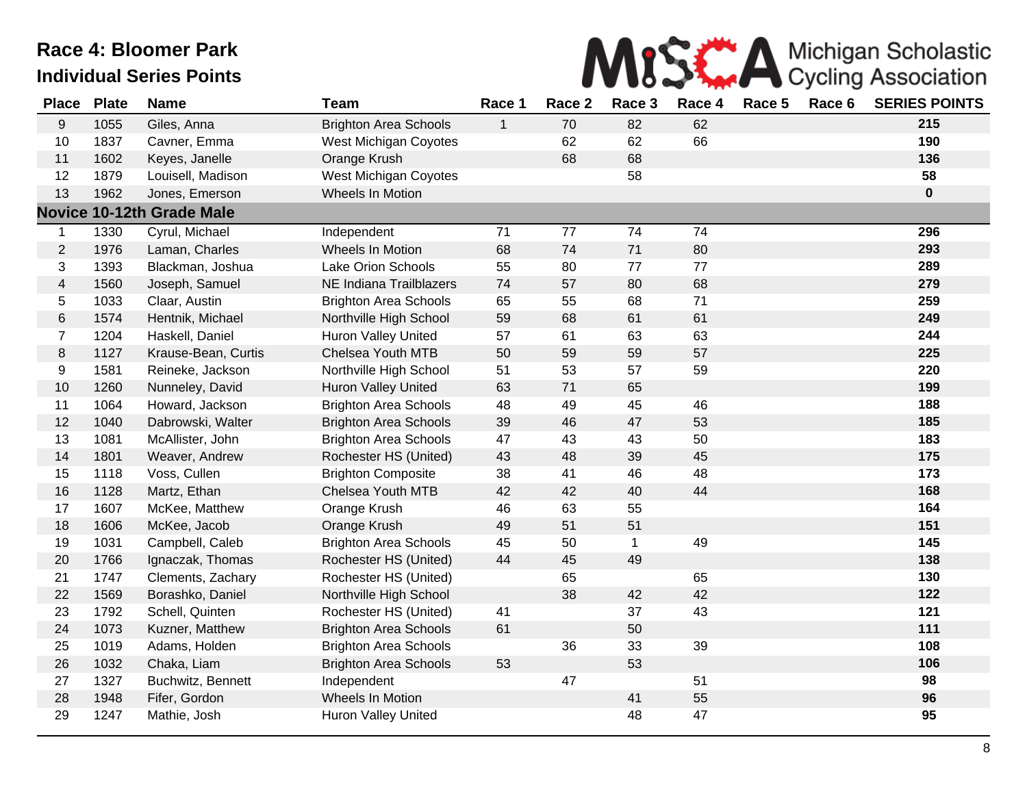

| <b>Place</b>   | <b>Plate</b> | <b>Name</b>                      | <b>Team</b>                  | Race 1       | Race 2 | Race 3       | Race 4 | Race 5 | Race 6 | <b>SERIES POINTS</b> |
|----------------|--------------|----------------------------------|------------------------------|--------------|--------|--------------|--------|--------|--------|----------------------|
| 9              | 1055         | Giles, Anna                      | <b>Brighton Area Schools</b> | $\mathbf{1}$ | 70     | 82           | 62     |        |        | 215                  |
| 10             | 1837         | Cavner, Emma                     | West Michigan Coyotes        |              | 62     | 62           | 66     |        |        | 190                  |
| 11             | 1602         | Keyes, Janelle                   | Orange Krush                 |              | 68     | 68           |        |        |        | 136                  |
| 12             | 1879         | Louisell, Madison                | <b>West Michigan Coyotes</b> |              |        | 58           |        |        |        | 58                   |
| 13             | 1962         | Jones, Emerson                   | Wheels In Motion             |              |        |              |        |        |        | $\mathbf 0$          |
|                |              | <b>Novice 10-12th Grade Male</b> |                              |              |        |              |        |        |        |                      |
| $\mathbf 1$    | 1330         | Cyrul, Michael                   | Independent                  | 71           | $77$   | 74           | 74     |        |        | 296                  |
| $\overline{2}$ | 1976         | Laman, Charles                   | Wheels In Motion             | 68           | 74     | 71           | 80     |        |        | 293                  |
| 3              | 1393         | Blackman, Joshua                 | Lake Orion Schools           | 55           | 80     | 77           | 77     |        |        | 289                  |
| $\overline{4}$ | 1560         | Joseph, Samuel                   | NE Indiana Trailblazers      | 74           | 57     | 80           | 68     |        |        | 279                  |
| 5              | 1033         | Claar, Austin                    | <b>Brighton Area Schools</b> | 65           | 55     | 68           | 71     |        |        | 259                  |
| $\,6$          | 1574         | Hentnik, Michael                 | Northville High School       | 59           | 68     | 61           | 61     |        |        | 249                  |
| $\overline{7}$ | 1204         | Haskell, Daniel                  | Huron Valley United          | 57           | 61     | 63           | 63     |        |        | 244                  |
| $\bf 8$        | 1127         | Krause-Bean, Curtis              | Chelsea Youth MTB            | 50           | 59     | 59           | 57     |        |        | 225                  |
| 9              | 1581         | Reineke, Jackson                 | Northville High School       | 51           | 53     | 57           | 59     |        |        | 220                  |
| 10             | 1260         | Nunneley, David                  | Huron Valley United          | 63           | 71     | 65           |        |        |        | 199                  |
| 11             | 1064         | Howard, Jackson                  | <b>Brighton Area Schools</b> | 48           | 49     | 45           | 46     |        |        | 188                  |
| 12             | 1040         | Dabrowski, Walter                | <b>Brighton Area Schools</b> | 39           | 46     | 47           | 53     |        |        | 185                  |
| 13             | 1081         | McAllister, John                 | <b>Brighton Area Schools</b> | 47           | 43     | 43           | 50     |        |        | 183                  |
| 14             | 1801         | Weaver, Andrew                   | Rochester HS (United)        | 43           | 48     | 39           | 45     |        |        | 175                  |
| 15             | 1118         | Voss, Cullen                     | <b>Brighton Composite</b>    | 38           | 41     | 46           | 48     |        |        | 173                  |
| 16             | 1128         | Martz, Ethan                     | Chelsea Youth MTB            | 42           | 42     | 40           | 44     |        |        | 168                  |
| 17             | 1607         | McKee, Matthew                   | Orange Krush                 | 46           | 63     | 55           |        |        |        | 164                  |
| 18             | 1606         | McKee, Jacob                     | Orange Krush                 | 49           | 51     | 51           |        |        |        | 151                  |
| 19             | 1031         | Campbell, Caleb                  | <b>Brighton Area Schools</b> | 45           | 50     | $\mathbf{1}$ | 49     |        |        | 145                  |
| 20             | 1766         | Ignaczak, Thomas                 | Rochester HS (United)        | 44           | 45     | 49           |        |        |        | 138                  |
| 21             | 1747         | Clements, Zachary                | Rochester HS (United)        |              | 65     |              | 65     |        |        | 130                  |
| 22             | 1569         | Borashko, Daniel                 | Northville High School       |              | 38     | 42           | 42     |        |        | 122                  |
| 23             | 1792         | Schell, Quinten                  | Rochester HS (United)        | 41           |        | 37           | 43     |        |        | 121                  |
| 24             | 1073         | Kuzner, Matthew                  | <b>Brighton Area Schools</b> | 61           |        | 50           |        |        |        | 111                  |
| 25             | 1019         | Adams, Holden                    | <b>Brighton Area Schools</b> |              | 36     | 33           | 39     |        |        | 108                  |
| 26             | 1032         | Chaka, Liam                      | <b>Brighton Area Schools</b> | 53           |        | 53           |        |        |        | 106                  |
| 27             | 1327         | Buchwitz, Bennett                | Independent                  |              | 47     |              | 51     |        |        | 98                   |
| 28             | 1948         | Fifer, Gordon                    | Wheels In Motion             |              |        | 41           | 55     |        |        | 96                   |
| 29             | 1247         | Mathie, Josh                     | Huron Valley United          |              |        | 48           | 47     |        |        | 95                   |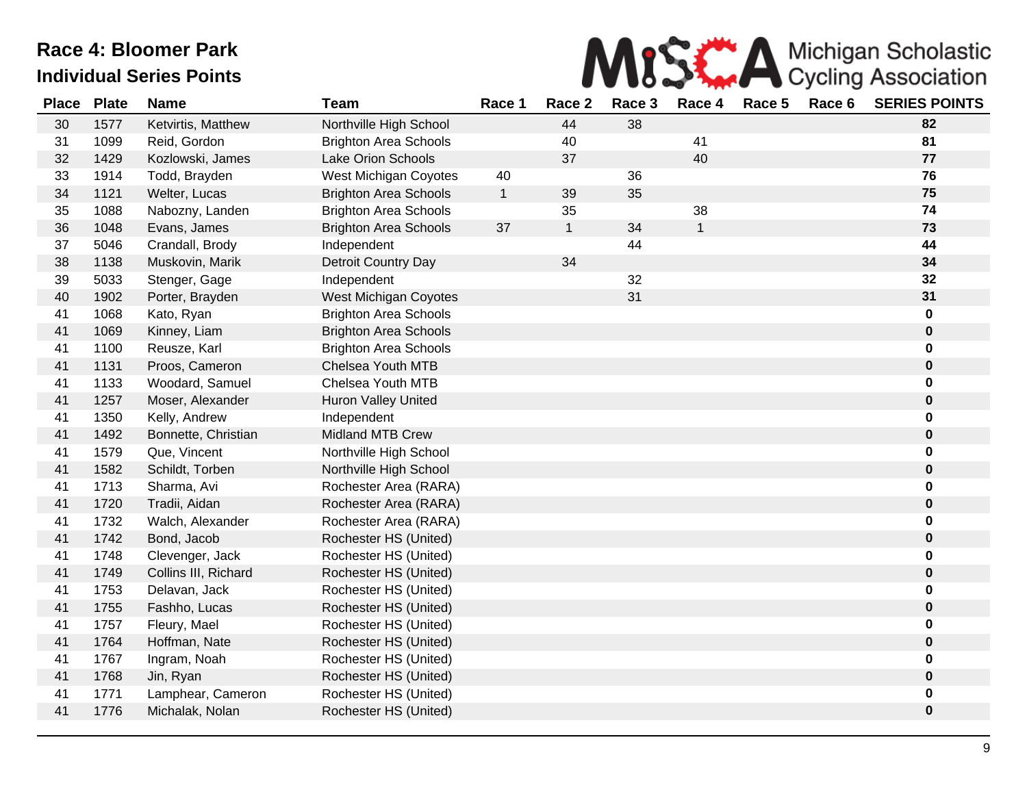

| <b>Place</b> | <b>Plate</b> | <b>Name</b>          | <b>Team</b>                  | Race 1       | Race 2       | Race 3 | Race 4       | Race 5 | Race 6 | <b>SERIES POINTS</b> |
|--------------|--------------|----------------------|------------------------------|--------------|--------------|--------|--------------|--------|--------|----------------------|
| 30           | 1577         | Ketvirtis, Matthew   | Northville High School       |              | 44           | 38     |              |        |        | 82                   |
| 31           | 1099         | Reid, Gordon         | <b>Brighton Area Schools</b> |              | 40           |        | 41           |        |        | 81                   |
| 32           | 1429         | Kozlowski, James     | Lake Orion Schools           |              | 37           |        | 40           |        |        | 77                   |
| 33           | 1914         | Todd, Brayden        | West Michigan Coyotes        | 40           |              | 36     |              |        |        | 76                   |
| 34           | 1121         | Welter, Lucas        | <b>Brighton Area Schools</b> | $\mathbf{1}$ | 39           | 35     |              |        |        | 75                   |
| 35           | 1088         | Nabozny, Landen      | <b>Brighton Area Schools</b> |              | 35           |        | 38           |        |        | 74                   |
| 36           | 1048         | Evans, James         | <b>Brighton Area Schools</b> | 37           | $\mathbf{1}$ | 34     | $\mathbf{1}$ |        |        | 73                   |
| 37           | 5046         | Crandall, Brody      | Independent                  |              |              | 44     |              |        |        | 44                   |
| 38           | 1138         | Muskovin, Marik      | Detroit Country Day          |              | 34           |        |              |        |        | 34                   |
| 39           | 5033         | Stenger, Gage        | Independent                  |              |              | 32     |              |        |        | 32                   |
| 40           | 1902         | Porter, Brayden      | West Michigan Coyotes        |              |              | 31     |              |        |        | 31                   |
| 41           | 1068         | Kato, Ryan           | <b>Brighton Area Schools</b> |              |              |        |              |        |        | 0                    |
| 41           | 1069         | Kinney, Liam         | <b>Brighton Area Schools</b> |              |              |        |              |        |        | 0                    |
| 41           | 1100         | Reusze, Karl         | <b>Brighton Area Schools</b> |              |              |        |              |        |        | 0                    |
| 41           | 1131         | Proos, Cameron       | <b>Chelsea Youth MTB</b>     |              |              |        |              |        |        | 0                    |
| 41           | 1133         | Woodard, Samuel      | Chelsea Youth MTB            |              |              |        |              |        |        | 0                    |
| 41           | 1257         | Moser, Alexander     | <b>Huron Valley United</b>   |              |              |        |              |        |        | 0                    |
| 41           | 1350         | Kelly, Andrew        | Independent                  |              |              |        |              |        |        | 0                    |
| 41           | 1492         | Bonnette, Christian  | <b>Midland MTB Crew</b>      |              |              |        |              |        |        | 0                    |
| 41           | 1579         | Que, Vincent         | Northville High School       |              |              |        |              |        |        | 0                    |
| 41           | 1582         | Schildt, Torben      | Northville High School       |              |              |        |              |        |        | $\pmb{0}$            |
| 41           | 1713         | Sharma, Avi          | Rochester Area (RARA)        |              |              |        |              |        |        | 0                    |
| 41           | 1720         | Tradii, Aidan        | Rochester Area (RARA)        |              |              |        |              |        |        | 0                    |
| 41           | 1732         | Walch, Alexander     | Rochester Area (RARA)        |              |              |        |              |        |        | 0                    |
| 41           | 1742         | Bond, Jacob          | Rochester HS (United)        |              |              |        |              |        |        | 0                    |
| 41           | 1748         | Clevenger, Jack      | Rochester HS (United)        |              |              |        |              |        |        | 0                    |
| 41           | 1749         | Collins III, Richard | Rochester HS (United)        |              |              |        |              |        |        | 0                    |
| 41           | 1753         | Delavan, Jack        | Rochester HS (United)        |              |              |        |              |        |        | 0                    |
| 41           | 1755         | Fashho, Lucas        | Rochester HS (United)        |              |              |        |              |        |        | 0                    |
| 41           | 1757         | Fleury, Mael         | Rochester HS (United)        |              |              |        |              |        |        | 0                    |
| 41           | 1764         | Hoffman, Nate        | Rochester HS (United)        |              |              |        |              |        |        | 0                    |
| 41           | 1767         | Ingram, Noah         | Rochester HS (United)        |              |              |        |              |        |        | 0                    |
| 41           | 1768         | Jin, Ryan            | Rochester HS (United)        |              |              |        |              |        |        | 0                    |
| 41           | 1771         | Lamphear, Cameron    | Rochester HS (United)        |              |              |        |              |        |        | 0                    |
| 41           | 1776         | Michalak, Nolan      | Rochester HS (United)        |              |              |        |              |        |        | 0                    |
|              |              |                      |                              |              |              |        |              |        |        |                      |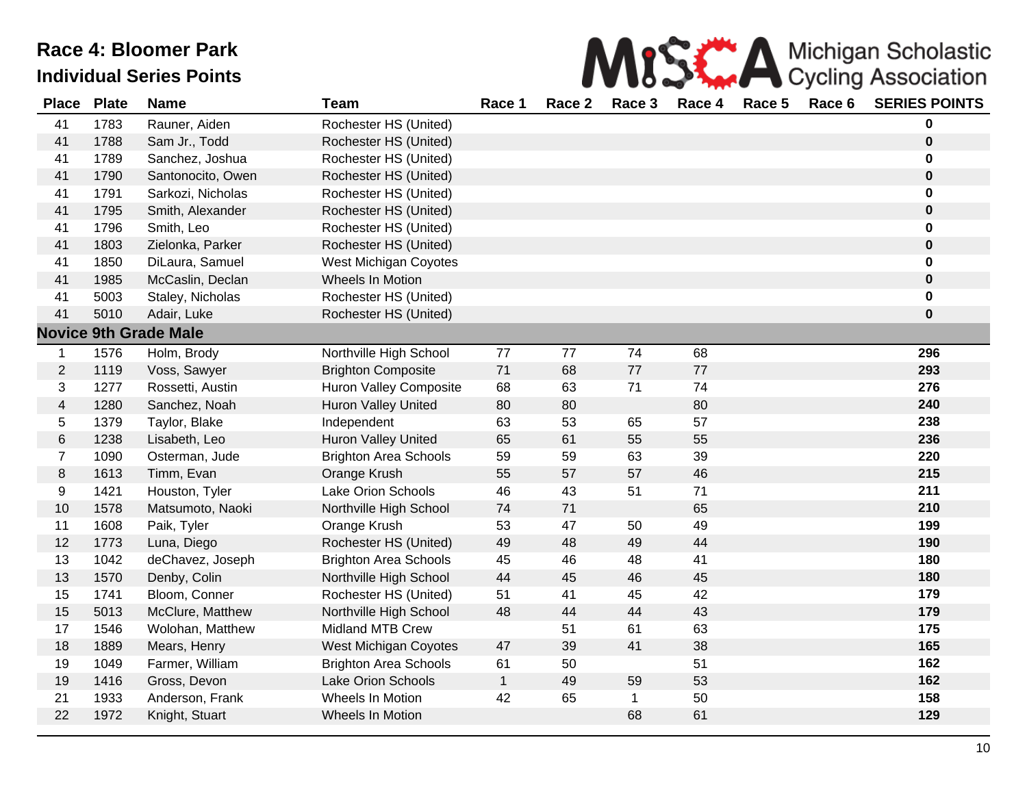

| <b>Place</b>   | <b>Plate</b> | <b>Name</b>                  | <b>Team</b>                   | Race 1       | Race 2 | Race 3      | Race 4 | Race 5 | Race 6 | <b>SERIES POINTS</b> |
|----------------|--------------|------------------------------|-------------------------------|--------------|--------|-------------|--------|--------|--------|----------------------|
| 41             | 1783         | Rauner, Aiden                | Rochester HS (United)         |              |        |             |        |        |        | 0                    |
| 41             | 1788         | Sam Jr., Todd                | Rochester HS (United)         |              |        |             |        |        |        | $\pmb{0}$            |
| 41             | 1789         | Sanchez, Joshua              | Rochester HS (United)         |              |        |             |        |        |        | 0                    |
| 41             | 1790         | Santonocito, Owen            | Rochester HS (United)         |              |        |             |        |        |        | $\pmb{0}$            |
| 41             | 1791         | Sarkozi, Nicholas            | Rochester HS (United)         |              |        |             |        |        |        | 0                    |
| 41             | 1795         | Smith, Alexander             | Rochester HS (United)         |              |        |             |        |        |        | $\boldsymbol{0}$     |
| 41             | 1796         | Smith, Leo                   | Rochester HS (United)         |              |        |             |        |        |        | 0                    |
| 41             | 1803         | Zielonka, Parker             | Rochester HS (United)         |              |        |             |        |        |        | $\pmb{0}$            |
| 41             | 1850         | DiLaura, Samuel              | West Michigan Coyotes         |              |        |             |        |        |        | 0                    |
| 41             | 1985         | McCaslin, Declan             | Wheels In Motion              |              |        |             |        |        |        | 0                    |
| 41             | 5003         | Staley, Nicholas             | Rochester HS (United)         |              |        |             |        |        |        | 0                    |
| 41             | 5010         | Adair, Luke                  | Rochester HS (United)         |              |        |             |        |        |        | 0                    |
|                |              | <b>Novice 9th Grade Male</b> |                               |              |        |             |        |        |        |                      |
| $\mathbf{1}$   | 1576         | Holm, Brody                  | Northville High School        | 77           | 77     | 74          | 68     |        |        | 296                  |
| $\overline{2}$ | 1119         | Voss, Sawyer                 | <b>Brighton Composite</b>     | 71           | 68     | 77          | 77     |        |        | 293                  |
| 3              | 1277         | Rossetti, Austin             | <b>Huron Valley Composite</b> | 68           | 63     | 71          | 74     |        |        | 276                  |
| $\overline{4}$ | 1280         | Sanchez, Noah                | Huron Valley United           | 80           | 80     |             | 80     |        |        | 240                  |
| 5              | 1379         | Taylor, Blake                | Independent                   | 63           | 53     | 65          | 57     |        |        | 238                  |
| $\,6$          | 1238         | Lisabeth, Leo                | <b>Huron Valley United</b>    | 65           | 61     | 55          | 55     |        |        | 236                  |
| $\overline{7}$ | 1090         | Osterman, Jude               | <b>Brighton Area Schools</b>  | 59           | 59     | 63          | 39     |        |        | 220                  |
| $\,8\,$        | 1613         | Timm, Evan                   | Orange Krush                  | 55           | 57     | 57          | 46     |        |        | 215                  |
| 9              | 1421         | Houston, Tyler               | Lake Orion Schools            | 46           | 43     | 51          | 71     |        |        | 211                  |
| 10             | 1578         | Matsumoto, Naoki             | Northville High School        | 74           | 71     |             | 65     |        |        | 210                  |
| 11             | 1608         | Paik, Tyler                  | Orange Krush                  | 53           | 47     | 50          | 49     |        |        | 199                  |
| 12             | 1773         | Luna, Diego                  | Rochester HS (United)         | 49           | 48     | 49          | 44     |        |        | 190                  |
| 13             | 1042         | deChavez, Joseph             | <b>Brighton Area Schools</b>  | 45           | 46     | 48          | 41     |        |        | 180                  |
| 13             | 1570         | Denby, Colin                 | Northville High School        | 44           | 45     | 46          | 45     |        |        | 180                  |
| 15             | 1741         | Bloom, Conner                | Rochester HS (United)         | 51           | 41     | 45          | 42     |        |        | 179                  |
| 15             | 5013         | McClure, Matthew             | Northville High School        | 48           | 44     | 44          | 43     |        |        | 179                  |
| 17             | 1546         | Wolohan, Matthew             | Midland MTB Crew              |              | 51     | 61          | 63     |        |        | 175                  |
| 18             | 1889         | Mears, Henry                 | <b>West Michigan Coyotes</b>  | 47           | 39     | 41          | 38     |        |        | 165                  |
| 19             | 1049         | Farmer, William              | <b>Brighton Area Schools</b>  | 61           | 50     |             | 51     |        |        | 162                  |
| 19             | 1416         | Gross, Devon                 | <b>Lake Orion Schools</b>     | $\mathbf{1}$ | 49     | 59          | 53     |        |        | 162                  |
| 21             | 1933         | Anderson, Frank              | Wheels In Motion              | 42           | 65     | $\mathbf 1$ | 50     |        |        | 158                  |
| 22             | 1972         | Knight, Stuart               | Wheels In Motion              |              |        | 68          | 61     |        |        | 129                  |
|                |              |                              |                               |              |        |             |        |        |        |                      |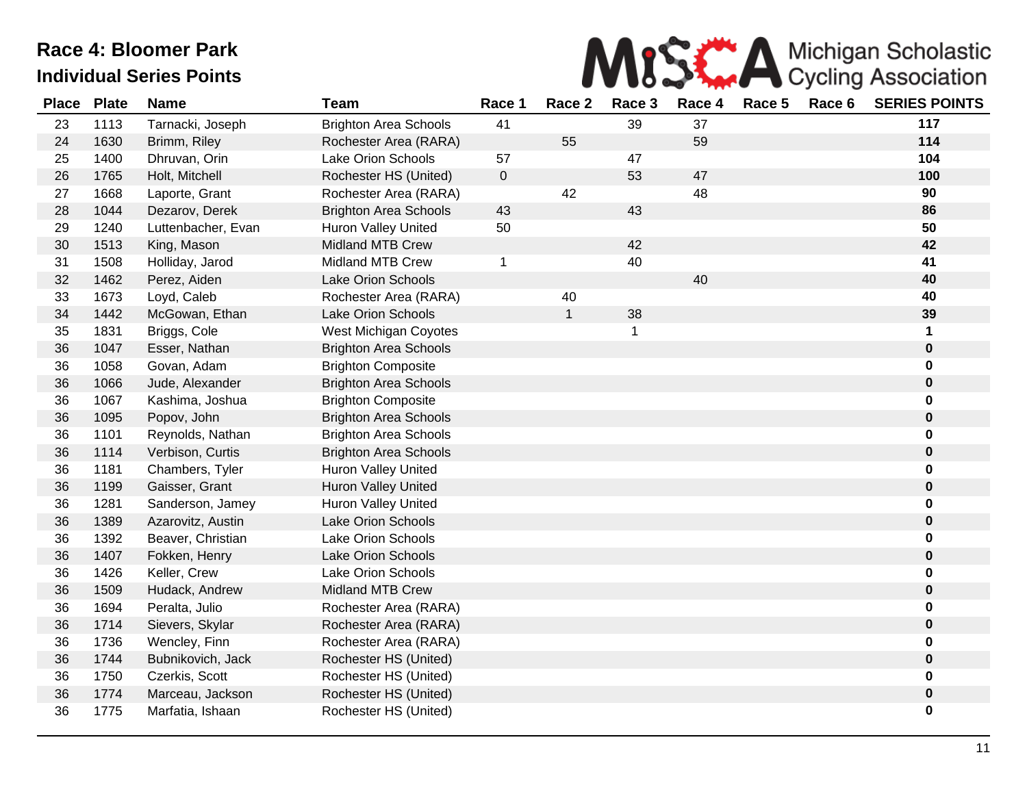

| <b>Place</b> | <b>Plate</b> | <b>Name</b>        | <b>Team</b>                  | Race 1    | Race 2       | Race 3      | Race 4 | Race 5 | Race 6 | <b>SERIES POINTS</b> |
|--------------|--------------|--------------------|------------------------------|-----------|--------------|-------------|--------|--------|--------|----------------------|
| 23           | 1113         | Tarnacki, Joseph   | <b>Brighton Area Schools</b> | 41        |              | 39          | 37     |        |        | 117                  |
| 24           | 1630         | Brimm, Riley       | Rochester Area (RARA)        |           | 55           |             | 59     |        |        | 114                  |
| 25           | 1400         | Dhruvan, Orin      | Lake Orion Schools           | 57        |              | 47          |        |        |        | 104                  |
| 26           | 1765         | Holt, Mitchell     | Rochester HS (United)        | $\pmb{0}$ |              | 53          | 47     |        |        | 100                  |
| 27           | 1668         | Laporte, Grant     | Rochester Area (RARA)        |           | 42           |             | 48     |        |        | 90                   |
| 28           | 1044         | Dezarov, Derek     | <b>Brighton Area Schools</b> | 43        |              | 43          |        |        |        | 86                   |
| 29           | 1240         | Luttenbacher, Evan | <b>Huron Valley United</b>   | 50        |              |             |        |        |        | 50                   |
| 30           | 1513         | King, Mason        | <b>Midland MTB Crew</b>      |           |              | 42          |        |        |        | 42                   |
| 31           | 1508         | Holliday, Jarod    | <b>Midland MTB Crew</b>      | 1         |              | 40          |        |        |        | 41                   |
| 32           | 1462         | Perez, Aiden       | <b>Lake Orion Schools</b>    |           |              |             | 40     |        |        | 40                   |
| 33           | 1673         | Loyd, Caleb        | Rochester Area (RARA)        |           | 40           |             |        |        |        | 40                   |
| 34           | 1442         | McGowan, Ethan     | <b>Lake Orion Schools</b>    |           | $\mathbf{1}$ | 38          |        |        |        | 39                   |
| 35           | 1831         | Briggs, Cole       | West Michigan Coyotes        |           |              | $\mathbf 1$ |        |        |        | 1                    |
| 36           | 1047         | Esser, Nathan      | <b>Brighton Area Schools</b> |           |              |             |        |        |        | $\pmb{0}$            |
| 36           | 1058         | Govan, Adam        | <b>Brighton Composite</b>    |           |              |             |        |        |        | 0                    |
| 36           | 1066         | Jude, Alexander    | <b>Brighton Area Schools</b> |           |              |             |        |        |        | 0                    |
| 36           | 1067         | Kashima, Joshua    | <b>Brighton Composite</b>    |           |              |             |        |        |        | 0                    |
| 36           | 1095         | Popov, John        | <b>Brighton Area Schools</b> |           |              |             |        |        |        | 0                    |
| 36           | 1101         | Reynolds, Nathan   | <b>Brighton Area Schools</b> |           |              |             |        |        |        | 0                    |
| 36           | 1114         | Verbison, Curtis   | <b>Brighton Area Schools</b> |           |              |             |        |        |        | 0                    |
| 36           | 1181         | Chambers, Tyler    | <b>Huron Valley United</b>   |           |              |             |        |        |        | 0                    |
| 36           | 1199         | Gaisser, Grant     | <b>Huron Valley United</b>   |           |              |             |        |        |        | 0                    |
| 36           | 1281         | Sanderson, Jamey   | <b>Huron Valley United</b>   |           |              |             |        |        |        | 0                    |
| 36           | 1389         | Azarovitz, Austin  | <b>Lake Orion Schools</b>    |           |              |             |        |        |        | $\pmb{0}$            |
| 36           | 1392         | Beaver, Christian  | Lake Orion Schools           |           |              |             |        |        |        | 0                    |
| 36           | 1407         | Fokken, Henry      | <b>Lake Orion Schools</b>    |           |              |             |        |        |        | 0                    |
| 36           | 1426         | Keller, Crew       | Lake Orion Schools           |           |              |             |        |        |        | 0                    |
| 36           | 1509         | Hudack, Andrew     | <b>Midland MTB Crew</b>      |           |              |             |        |        |        | 0                    |
| 36           | 1694         | Peralta, Julio     | Rochester Area (RARA)        |           |              |             |        |        |        | 0                    |
| 36           | 1714         | Sievers, Skylar    | Rochester Area (RARA)        |           |              |             |        |        |        | 0                    |
| 36           | 1736         | Wencley, Finn      | Rochester Area (RARA)        |           |              |             |        |        |        | 0                    |
| 36           | 1744         | Bubnikovich, Jack  | Rochester HS (United)        |           |              |             |        |        |        | 0                    |
| 36           | 1750         | Czerkis, Scott     | Rochester HS (United)        |           |              |             |        |        |        | 0                    |
| 36           | 1774         | Marceau, Jackson   | Rochester HS (United)        |           |              |             |        |        |        | $\pmb{0}$            |
| 36           | 1775         | Marfatia, Ishaan   | Rochester HS (United)        |           |              |             |        |        |        | 0                    |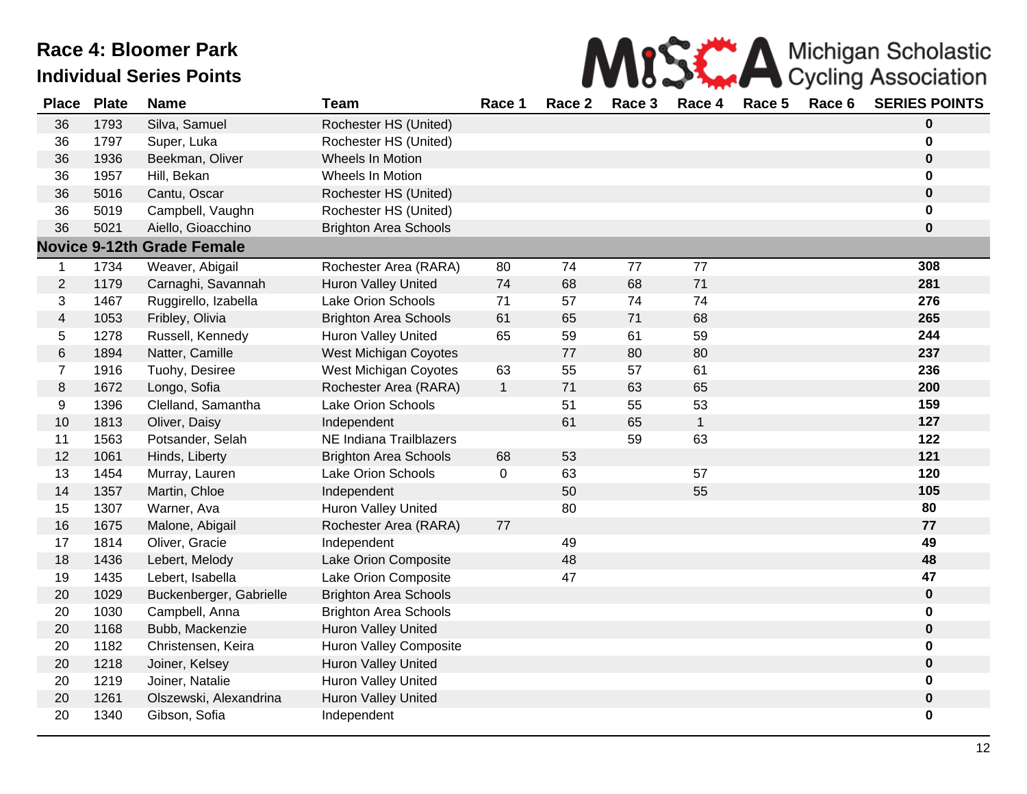

| <b>Place</b>            | <b>Plate</b> | <b>Name</b>                       | <b>Team</b>                  | Race 1       | Race 2 | Race 3 | Race 4       | Race 5 | Race 6 | <b>SERIES POINTS</b> |
|-------------------------|--------------|-----------------------------------|------------------------------|--------------|--------|--------|--------------|--------|--------|----------------------|
| 36                      | 1793         | Silva, Samuel                     | Rochester HS (United)        |              |        |        |              |        |        | $\mathbf 0$          |
| 36                      | 1797         | Super, Luka                       | Rochester HS (United)        |              |        |        |              |        |        | $\mathbf 0$          |
| 36                      | 1936         | Beekman, Oliver                   | Wheels In Motion             |              |        |        |              |        |        | $\bf{0}$             |
| 36                      | 1957         | Hill, Bekan                       | Wheels In Motion             |              |        |        |              |        |        | $\mathbf 0$          |
| 36                      | 5016         | Cantu, Oscar                      | Rochester HS (United)        |              |        |        |              |        |        | $\pmb{0}$            |
| 36                      | 5019         | Campbell, Vaughn                  | Rochester HS (United)        |              |        |        |              |        |        | $\mathbf 0$          |
| 36                      | 5021         | Aiello, Gioacchino                | <b>Brighton Area Schools</b> |              |        |        |              |        |        | $\mathbf 0$          |
|                         |              | <b>Novice 9-12th Grade Female</b> |                              |              |        |        |              |        |        |                      |
| 1                       | 1734         | Weaver, Abigail                   | Rochester Area (RARA)        | 80           | 74     | 77     | 77           |        |        | 308                  |
| $\overline{2}$          | 1179         | Carnaghi, Savannah                | <b>Huron Valley United</b>   | 74           | 68     | 68     | 71           |        |        | 281                  |
| 3                       | 1467         | Ruggirello, Izabella              | Lake Orion Schools           | 71           | 57     | 74     | 74           |        |        | 276                  |
| $\overline{\mathbf{4}}$ | 1053         | Fribley, Olivia                   | <b>Brighton Area Schools</b> | 61           | 65     | 71     | 68           |        |        | 265                  |
| 5                       | 1278         | Russell, Kennedy                  | <b>Huron Valley United</b>   | 65           | 59     | 61     | 59           |        |        | 244                  |
| 6                       | 1894         | Natter, Camille                   | West Michigan Coyotes        |              | 77     | 80     | 80           |        |        | 237                  |
| $\overline{7}$          | 1916         | Tuohy, Desiree                    | West Michigan Coyotes        | 63           | 55     | 57     | 61           |        |        | 236                  |
| 8                       | 1672         | Longo, Sofia                      | Rochester Area (RARA)        | $\mathbf{1}$ | 71     | 63     | 65           |        |        | 200                  |
| 9                       | 1396         | Clelland, Samantha                | Lake Orion Schools           |              | 51     | 55     | 53           |        |        | 159                  |
| 10                      | 1813         | Oliver, Daisy                     | Independent                  |              | 61     | 65     | $\mathbf{1}$ |        |        | 127                  |
| 11                      | 1563         | Potsander, Selah                  | NE Indiana Trailblazers      |              |        | 59     | 63           |        |        | 122                  |
| 12                      | 1061         | Hinds, Liberty                    | <b>Brighton Area Schools</b> | 68           | 53     |        |              |        |        | 121                  |
| 13                      | 1454         | Murray, Lauren                    | Lake Orion Schools           | $\mathbf 0$  | 63     |        | 57           |        |        | 120                  |
| 14                      | 1357         | Martin, Chloe                     | Independent                  |              | 50     |        | 55           |        |        | 105                  |
| 15                      | 1307         | Warner, Ava                       | <b>Huron Valley United</b>   |              | 80     |        |              |        |        | 80                   |
| 16                      | 1675         | Malone, Abigail                   | Rochester Area (RARA)        | 77           |        |        |              |        |        | 77                   |
| 17                      | 1814         | Oliver, Gracie                    | Independent                  |              | 49     |        |              |        |        | 49                   |
| 18                      | 1436         | Lebert, Melody                    | Lake Orion Composite         |              | 48     |        |              |        |        | 48                   |
| 19                      | 1435         | Lebert, Isabella                  | Lake Orion Composite         |              | 47     |        |              |        |        | 47                   |
| 20                      | 1029         | Buckenberger, Gabrielle           | <b>Brighton Area Schools</b> |              |        |        |              |        |        | $\pmb{0}$            |
| 20                      | 1030         | Campbell, Anna                    | <b>Brighton Area Schools</b> |              |        |        |              |        |        | 0                    |
| 20                      | 1168         | Bubb, Mackenzie                   | Huron Valley United          |              |        |        |              |        |        | $\pmb{0}$            |
| 20                      | 1182         | Christensen, Keira                | Huron Valley Composite       |              |        |        |              |        |        | $\mathbf 0$          |
| 20                      | 1218         | Joiner, Kelsey                    | Huron Valley United          |              |        |        |              |        |        | $\pmb{0}$            |
| 20                      | 1219         | Joiner, Natalie                   | Huron Valley United          |              |        |        |              |        |        | 0                    |
| 20                      | 1261         | Olszewski, Alexandrina            | Huron Valley United          |              |        |        |              |        |        | $\pmb{0}$            |
| 20                      | 1340         | Gibson, Sofia                     | Independent                  |              |        |        |              |        |        | 0                    |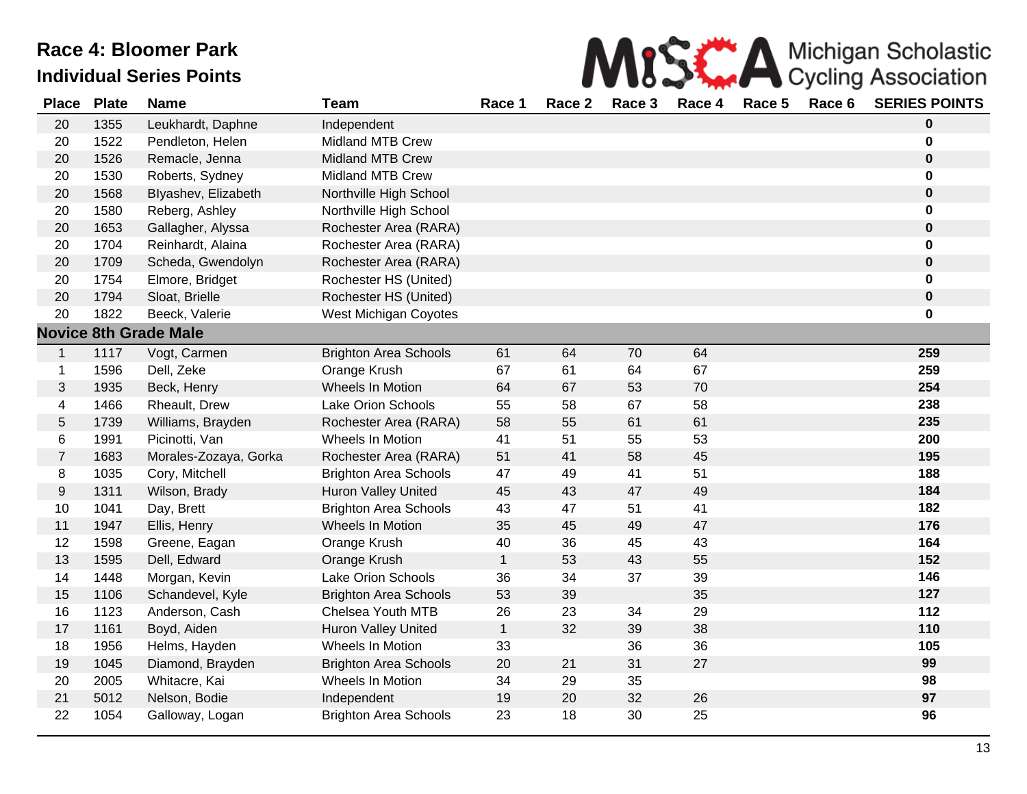

| <b>Place</b>     | <b>Plate</b> | <b>Name</b>                  | <b>Team</b>                  | Race 1       | Race 2 | Race 3 | Race 4 | Race 5 | Race 6 | <b>SERIES POINTS</b> |
|------------------|--------------|------------------------------|------------------------------|--------------|--------|--------|--------|--------|--------|----------------------|
| 20               | 1355         | Leukhardt, Daphne            | Independent                  |              |        |        |        |        |        | $\pmb{0}$            |
| 20               | 1522         | Pendleton, Helen             | <b>Midland MTB Crew</b>      |              |        |        |        |        |        | $\mathbf 0$          |
| 20               | 1526         | Remacle, Jenna               | <b>Midland MTB Crew</b>      |              |        |        |        |        |        | $\pmb{0}$            |
| 20               | 1530         | Roberts, Sydney              | <b>Midland MTB Crew</b>      |              |        |        |        |        |        | $\mathbf 0$          |
| 20               | 1568         | Blyashev, Elizabeth          | Northville High School       |              |        |        |        |        |        | $\pmb{0}$            |
| 20               | 1580         | Reberg, Ashley               | Northville High School       |              |        |        |        |        |        | $\pmb{0}$            |
| 20               | 1653         | Gallagher, Alyssa            | Rochester Area (RARA)        |              |        |        |        |        |        | $\pmb{0}$            |
| 20               | 1704         | Reinhardt, Alaina            | Rochester Area (RARA)        |              |        |        |        |        |        | $\pmb{0}$            |
| 20               | 1709         | Scheda, Gwendolyn            | Rochester Area (RARA)        |              |        |        |        |        |        | $\pmb{0}$            |
| 20               | 1754         | Elmore, Bridget              | Rochester HS (United)        |              |        |        |        |        |        | $\mathbf 0$          |
| 20               | 1794         | Sloat, Brielle               | Rochester HS (United)        |              |        |        |        |        |        | $\pmb{0}$            |
| 20               | 1822         | Beeck, Valerie               | <b>West Michigan Coyotes</b> |              |        |        |        |        |        | $\mathbf 0$          |
|                  |              | <b>Novice 8th Grade Male</b> |                              |              |        |        |        |        |        |                      |
| $\mathbf{1}$     | 1117         | Vogt, Carmen                 | <b>Brighton Area Schools</b> | 61           | 64     | 70     | 64     |        |        | 259                  |
| $\mathbf 1$      | 1596         | Dell, Zeke                   | Orange Krush                 | 67           | 61     | 64     | 67     |        |        | 259                  |
| 3                | 1935         | Beck, Henry                  | Wheels In Motion             | 64           | 67     | 53     | 70     |        |        | 254                  |
| 4                | 1466         | Rheault, Drew                | Lake Orion Schools           | 55           | 58     | 67     | 58     |        |        | 238                  |
| 5                | 1739         | Williams, Brayden            | Rochester Area (RARA)        | 58           | 55     | 61     | 61     |        |        | 235                  |
| 6                | 1991         | Picinotti, Van               | Wheels In Motion             | 41           | 51     | 55     | 53     |        |        | 200                  |
| $\overline{7}$   | 1683         | Morales-Zozaya, Gorka        | Rochester Area (RARA)        | 51           | 41     | 58     | 45     |        |        | 195                  |
| 8                | 1035         | Cory, Mitchell               | <b>Brighton Area Schools</b> | 47           | 49     | 41     | 51     |        |        | 188                  |
| $\boldsymbol{9}$ | 1311         | Wilson, Brady                | <b>Huron Valley United</b>   | 45           | 43     | 47     | 49     |        |        | 184                  |
| 10               | 1041         | Day, Brett                   | <b>Brighton Area Schools</b> | 43           | 47     | 51     | 41     |        |        | 182                  |
| 11               | 1947         | Ellis, Henry                 | Wheels In Motion             | 35           | 45     | 49     | 47     |        |        | 176                  |
| 12               | 1598         | Greene, Eagan                | Orange Krush                 | 40           | 36     | 45     | 43     |        |        | 164                  |
| 13               | 1595         | Dell, Edward                 | Orange Krush                 | $\mathbf{1}$ | 53     | 43     | 55     |        |        | 152                  |
| 14               | 1448         | Morgan, Kevin                | Lake Orion Schools           | 36           | 34     | 37     | 39     |        |        | 146                  |
| 15               | 1106         | Schandevel, Kyle             | <b>Brighton Area Schools</b> | 53           | 39     |        | 35     |        |        | 127                  |
| 16               | 1123         | Anderson, Cash               | Chelsea Youth MTB            | 26           | 23     | 34     | 29     |        |        | 112                  |
| 17               | 1161         | Boyd, Aiden                  | Huron Valley United          | $\mathbf{1}$ | 32     | 39     | 38     |        |        | 110                  |
| 18               | 1956         | Helms, Hayden                | Wheels In Motion             | 33           |        | 36     | 36     |        |        | 105                  |
| 19               | 1045         | Diamond, Brayden             | <b>Brighton Area Schools</b> | 20           | 21     | 31     | 27     |        |        | 99                   |
| 20               | 2005         | Whitacre, Kai                | Wheels In Motion             | 34           | 29     | 35     |        |        |        | 98                   |
| 21               | 5012         | Nelson, Bodie                | Independent                  | 19           | 20     | 32     | 26     |        |        | 97                   |
| 22               | 1054         | Galloway, Logan              | <b>Brighton Area Schools</b> | 23           | 18     | 30     | 25     |        |        | 96                   |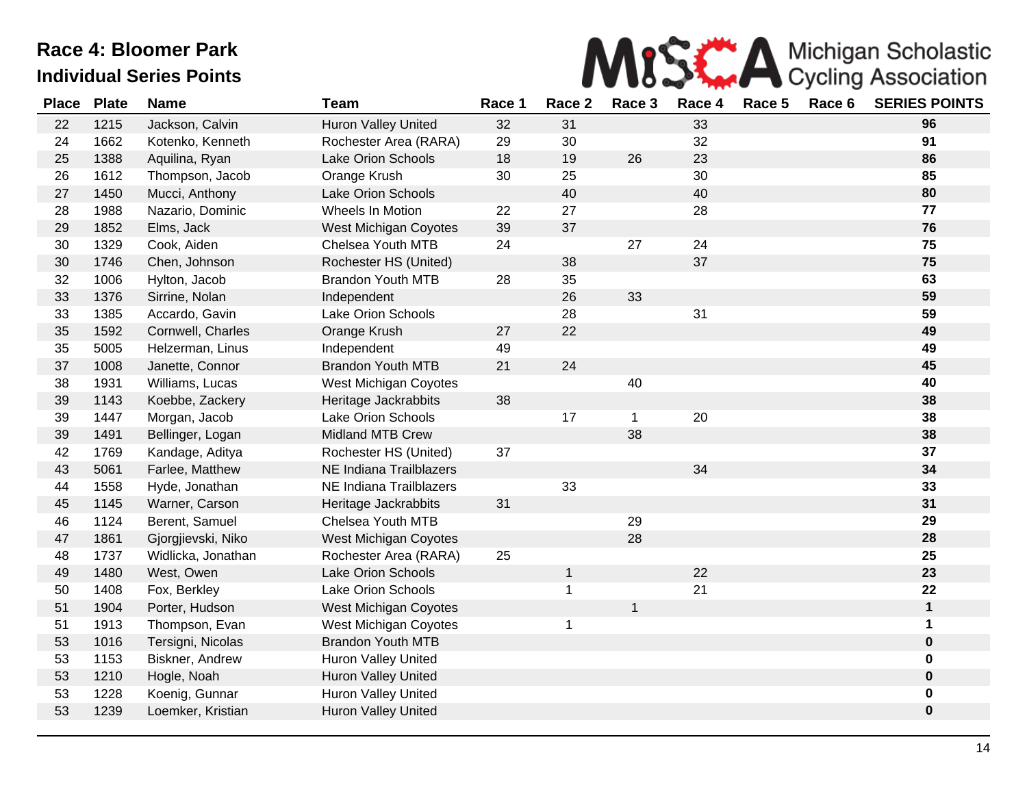

| <b>Place</b> | <b>Plate</b> | <b>Name</b>        | <b>Team</b>                  | Race 1 | Race 2       | Race 3       | Race 4 | Race 5 | Race 6 | <b>SERIES POINTS</b> |
|--------------|--------------|--------------------|------------------------------|--------|--------------|--------------|--------|--------|--------|----------------------|
| 22           | 1215         | Jackson, Calvin    | Huron Valley United          | 32     | 31           |              | 33     |        |        | 96                   |
| 24           | 1662         | Kotenko, Kenneth   | Rochester Area (RARA)        | 29     | 30           |              | 32     |        |        | 91                   |
| 25           | 1388         | Aquilina, Ryan     | Lake Orion Schools           | 18     | 19           | 26           | 23     |        |        | 86                   |
| 26           | 1612         | Thompson, Jacob    | Orange Krush                 | 30     | 25           |              | 30     |        |        | 85                   |
| 27           | 1450         | Mucci, Anthony     | Lake Orion Schools           |        | 40           |              | 40     |        |        | 80                   |
| 28           | 1988         | Nazario, Dominic   | Wheels In Motion             | 22     | 27           |              | 28     |        |        | 77                   |
| 29           | 1852         | Elms, Jack         | <b>West Michigan Coyotes</b> | 39     | 37           |              |        |        |        | 76                   |
| 30           | 1329         | Cook, Aiden        | Chelsea Youth MTB            | 24     |              | 27           | 24     |        |        | 75                   |
| 30           | 1746         | Chen, Johnson      | Rochester HS (United)        |        | 38           |              | 37     |        |        | 75                   |
| 32           | 1006         | Hylton, Jacob      | <b>Brandon Youth MTB</b>     | 28     | 35           |              |        |        |        | 63                   |
| 33           | 1376         | Sirrine, Nolan     | Independent                  |        | 26           | 33           |        |        |        | 59                   |
| 33           | 1385         | Accardo, Gavin     | Lake Orion Schools           |        | 28           |              | 31     |        |        | 59                   |
| 35           | 1592         | Cornwell, Charles  | Orange Krush                 | 27     | 22           |              |        |        |        | 49                   |
| 35           | 5005         | Helzerman, Linus   | Independent                  | 49     |              |              |        |        |        | 49                   |
| 37           | 1008         | Janette, Connor    | <b>Brandon Youth MTB</b>     | 21     | 24           |              |        |        |        | 45                   |
| 38           | 1931         | Williams, Lucas    | West Michigan Coyotes        |        |              | 40           |        |        |        | 40                   |
| 39           | 1143         | Koebbe, Zackery    | Heritage Jackrabbits         | 38     |              |              |        |        |        | 38                   |
| 39           | 1447         | Morgan, Jacob      | Lake Orion Schools           |        | 17           | $\mathbf{1}$ | 20     |        |        | 38                   |
| 39           | 1491         | Bellinger, Logan   | <b>Midland MTB Crew</b>      |        |              | 38           |        |        |        | 38                   |
| 42           | 1769         | Kandage, Aditya    | Rochester HS (United)        | 37     |              |              |        |        |        | 37                   |
| 43           | 5061         | Farlee, Matthew    | NE Indiana Trailblazers      |        |              |              | 34     |        |        | 34                   |
| 44           | 1558         | Hyde, Jonathan     | NE Indiana Trailblazers      |        | 33           |              |        |        |        | 33                   |
| 45           | 1145         | Warner, Carson     | Heritage Jackrabbits         | 31     |              |              |        |        |        | 31                   |
| 46           | 1124         | Berent, Samuel     | Chelsea Youth MTB            |        |              | 29           |        |        |        | 29                   |
| 47           | 1861         | Gjorgjievski, Niko | West Michigan Coyotes        |        |              | 28           |        |        |        | 28                   |
| 48           | 1737         | Widlicka, Jonathan | Rochester Area (RARA)        | 25     |              |              |        |        |        | 25                   |
| 49           | 1480         | West, Owen         | Lake Orion Schools           |        | $\mathbf{1}$ |              | 22     |        |        | 23                   |
| 50           | 1408         | Fox, Berkley       | Lake Orion Schools           |        | 1            |              | 21     |        |        | 22                   |
| 51           | 1904         | Porter, Hudson     | <b>West Michigan Coyotes</b> |        |              | $\mathbf{1}$ |        |        |        | $\mathbf 1$          |
| 51           | 1913         | Thompson, Evan     | <b>West Michigan Coyotes</b> |        | 1            |              |        |        |        | 1                    |
| 53           | 1016         | Tersigni, Nicolas  | <b>Brandon Youth MTB</b>     |        |              |              |        |        |        | $\bf{0}$             |
| 53           | 1153         | Biskner, Andrew    | Huron Valley United          |        |              |              |        |        |        | $\mathbf 0$          |
| 53           | 1210         | Hogle, Noah        | Huron Valley United          |        |              |              |        |        |        | $\bf{0}$             |
| 53           | 1228         | Koenig, Gunnar     | Huron Valley United          |        |              |              |        |        |        | $\mathbf 0$          |
| 53           | 1239         | Loemker, Kristian  | Huron Valley United          |        |              |              |        |        |        | $\pmb{0}$            |
|              |              |                    |                              |        |              |              |        |        |        |                      |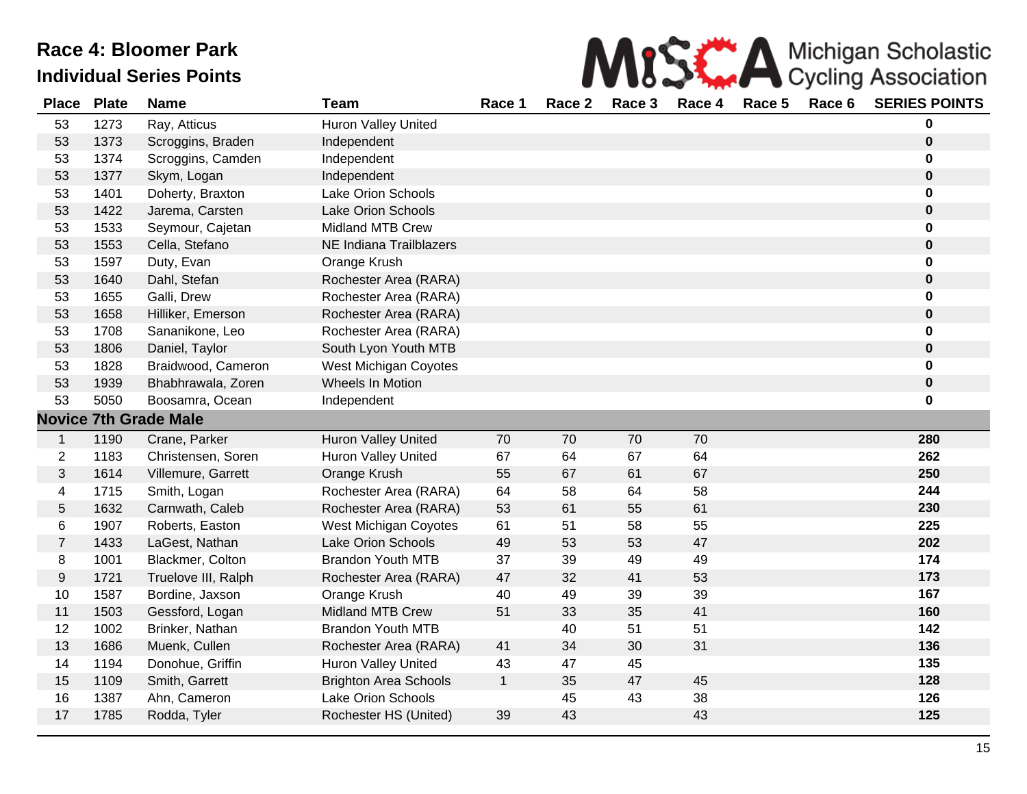| MISS A Michigan Scholastic |
|----------------------------|
|                            |

| <b>Place</b>   | <b>Plate</b> | <b>Name</b>                  | <b>Team</b>                  | Race 1       | Race 2 | Race 3 | Race 4 | Race 5 | Race 6 | <b>SERIES POINTS</b> |
|----------------|--------------|------------------------------|------------------------------|--------------|--------|--------|--------|--------|--------|----------------------|
| 53             | 1273         | Ray, Atticus                 | <b>Huron Valley United</b>   |              |        |        |        |        |        | 0                    |
| 53             | 1373         | Scroggins, Braden            | Independent                  |              |        |        |        |        |        | $\boldsymbol{0}$     |
| 53             | 1374         | Scroggins, Camden            | Independent                  |              |        |        |        |        |        | 0                    |
| 53             | 1377         | Skym, Logan                  | Independent                  |              |        |        |        |        |        | $\pmb{0}$            |
| 53             | 1401         | Doherty, Braxton             | Lake Orion Schools           |              |        |        |        |        |        | 0                    |
| 53             | 1422         | Jarema, Carsten              | <b>Lake Orion Schools</b>    |              |        |        |        |        |        | $\pmb{0}$            |
| 53             | 1533         | Seymour, Cajetan             | <b>Midland MTB Crew</b>      |              |        |        |        |        |        | 0                    |
| 53             | 1553         | Cella, Stefano               | NE Indiana Trailblazers      |              |        |        |        |        |        | $\pmb{0}$            |
| 53             | 1597         | Duty, Evan                   | Orange Krush                 |              |        |        |        |        |        | 0                    |
| 53             | 1640         | Dahl, Stefan                 | Rochester Area (RARA)        |              |        |        |        |        |        | $\pmb{0}$            |
| 53             | 1655         | Galli, Drew                  | Rochester Area (RARA)        |              |        |        |        |        |        | $\bf{0}$             |
| 53             | 1658         | Hilliker, Emerson            | Rochester Area (RARA)        |              |        |        |        |        |        | $\pmb{0}$            |
| 53             | 1708         | Sananikone, Leo              | Rochester Area (RARA)        |              |        |        |        |        |        | 0                    |
| 53             | 1806         | Daniel, Taylor               | South Lyon Youth MTB         |              |        |        |        |        |        | $\pmb{0}$            |
| 53             | 1828         | Braidwood, Cameron           | West Michigan Coyotes        |              |        |        |        |        |        | $\pmb{0}$            |
| 53             | 1939         | Bhabhrawala, Zoren           | Wheels In Motion             |              |        |        |        |        |        | $\pmb{0}$            |
| 53             | 5050         | Boosamra, Ocean              | Independent                  |              |        |        |        |        |        | 0                    |
|                |              | <b>Novice 7th Grade Male</b> |                              |              |        |        |        |        |        |                      |
| $\mathbf{1}$   | 1190         | Crane, Parker                | <b>Huron Valley United</b>   | 70           | 70     | 70     | 70     |        |        | 280                  |
| $\overline{2}$ | 1183         | Christensen, Soren           | <b>Huron Valley United</b>   | 67           | 64     | 67     | 64     |        |        | 262                  |
| $\mathbf{3}$   | 1614         | Villemure, Garrett           | Orange Krush                 | 55           | 67     | 61     | 67     |        |        | 250                  |
| 4              | 1715         | Smith, Logan                 | Rochester Area (RARA)        | 64           | 58     | 64     | 58     |        |        | 244                  |
| $\sqrt{5}$     | 1632         | Carnwath, Caleb              | Rochester Area (RARA)        | 53           | 61     | 55     | 61     |        |        | 230                  |
| 6              | 1907         | Roberts, Easton              | West Michigan Coyotes        | 61           | 51     | 58     | 55     |        |        | 225                  |
| $\overline{7}$ | 1433         | LaGest, Nathan               | Lake Orion Schools           | 49           | 53     | 53     | 47     |        |        | 202                  |
| 8              | 1001         | Blackmer, Colton             | <b>Brandon Youth MTB</b>     | 37           | 39     | 49     | 49     |        |        | 174                  |
| 9              | 1721         | Truelove III, Ralph          | Rochester Area (RARA)        | 47           | 32     | 41     | 53     |        |        | 173                  |
| 10             | 1587         | Bordine, Jaxson              | Orange Krush                 | 40           | 49     | 39     | 39     |        |        | 167                  |
| 11             | 1503         | Gessford, Logan              | <b>Midland MTB Crew</b>      | 51           | 33     | 35     | 41     |        |        | 160                  |
| 12             | 1002         | Brinker, Nathan              | <b>Brandon Youth MTB</b>     |              | 40     | 51     | 51     |        |        | 142                  |
| 13             | 1686         | Muenk, Cullen                | Rochester Area (RARA)        | 41           | 34     | 30     | 31     |        |        | 136                  |
| 14             | 1194         | Donohue, Griffin             | <b>Huron Valley United</b>   | 43           | 47     | 45     |        |        |        | 135                  |
| 15             | 1109         | Smith, Garrett               | <b>Brighton Area Schools</b> | $\mathbf{1}$ | 35     | 47     | 45     |        |        | 128                  |
| 16             | 1387         | Ahn, Cameron                 | Lake Orion Schools           |              | 45     | 43     | 38     |        |        | 126                  |
| 17             | 1785         | Rodda, Tyler                 | Rochester HS (United)        | 39           | 43     |        | 43     |        |        | 125                  |
|                |              |                              |                              |              |        |        |        |        |        |                      |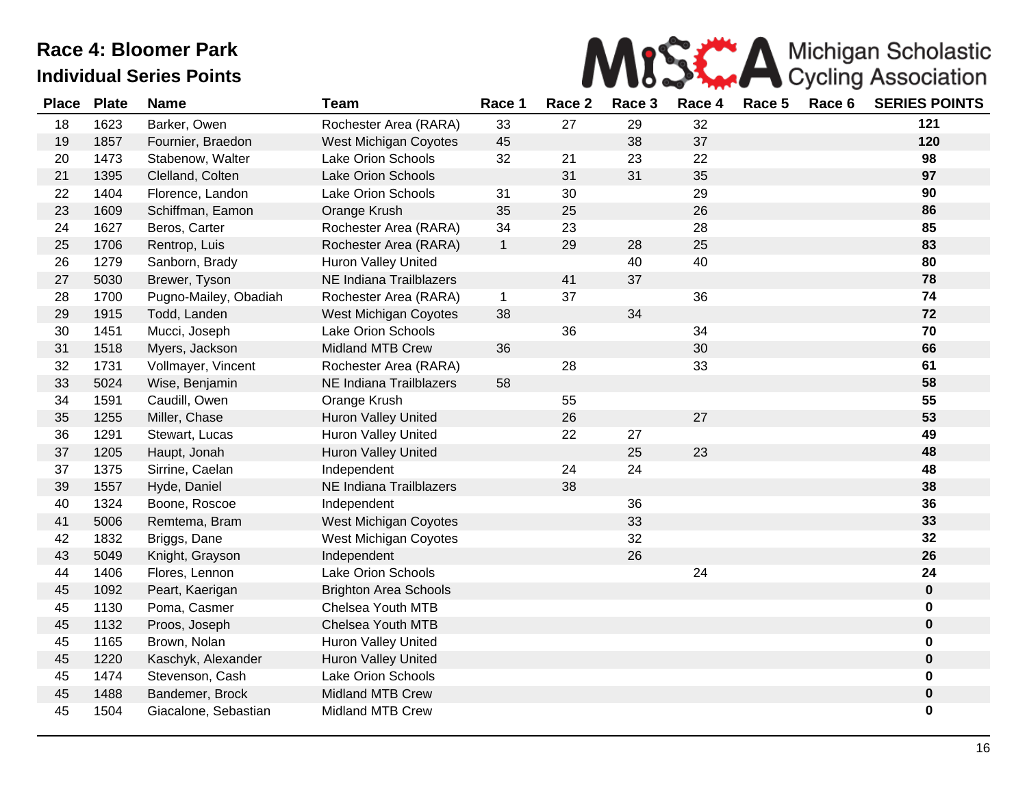

| <b>Place</b> | <b>Plate</b> | <b>Name</b>           | <b>Team</b>                  | Race 1       | Race 2 | Race 3 | Race 4 | Race 5 | Race 6 | <b>SERIES POINTS</b> |
|--------------|--------------|-----------------------|------------------------------|--------------|--------|--------|--------|--------|--------|----------------------|
| 18           | 1623         | Barker, Owen          | Rochester Area (RARA)        | 33           | 27     | 29     | 32     |        |        | 121                  |
| 19           | 1857         | Fournier, Braedon     | West Michigan Coyotes        | 45           |        | 38     | 37     |        |        | 120                  |
| 20           | 1473         | Stabenow, Walter      | <b>Lake Orion Schools</b>    | 32           | 21     | 23     | 22     |        |        | 98                   |
| 21           | 1395         | Clelland, Colten      | <b>Lake Orion Schools</b>    |              | 31     | 31     | 35     |        |        | 97                   |
| 22           | 1404         | Florence, Landon      | <b>Lake Orion Schools</b>    | 31           | 30     |        | 29     |        |        | 90                   |
| 23           | 1609         | Schiffman, Eamon      | Orange Krush                 | 35           | 25     |        | 26     |        |        | 86                   |
| 24           | 1627         | Beros, Carter         | Rochester Area (RARA)        | 34           | 23     |        | 28     |        |        | 85                   |
| 25           | 1706         | Rentrop, Luis         | Rochester Area (RARA)        | $\mathbf{1}$ | 29     | 28     | 25     |        |        | 83                   |
| 26           | 1279         | Sanborn, Brady        | Huron Valley United          |              |        | 40     | 40     |        |        | 80                   |
| 27           | 5030         | Brewer, Tyson         | NE Indiana Trailblazers      |              | 41     | 37     |        |        |        | 78                   |
| 28           | 1700         | Pugno-Mailey, Obadiah | Rochester Area (RARA)        | $\mathbf{1}$ | 37     |        | 36     |        |        | 74                   |
| 29           | 1915         | Todd, Landen          | West Michigan Coyotes        | 38           |        | 34     |        |        |        | 72                   |
| 30           | 1451         | Mucci, Joseph         | <b>Lake Orion Schools</b>    |              | 36     |        | 34     |        |        | 70                   |
| 31           | 1518         | Myers, Jackson        | <b>Midland MTB Crew</b>      | 36           |        |        | 30     |        |        | 66                   |
| 32           | 1731         | Vollmayer, Vincent    | Rochester Area (RARA)        |              | 28     |        | 33     |        |        | 61                   |
| 33           | 5024         | Wise, Benjamin        | NE Indiana Trailblazers      | 58           |        |        |        |        |        | 58                   |
| 34           | 1591         | Caudill, Owen         | Orange Krush                 |              | 55     |        |        |        |        | 55                   |
| 35           | 1255         | Miller, Chase         | <b>Huron Valley United</b>   |              | 26     |        | 27     |        |        | 53                   |
| 36           | 1291         | Stewart, Lucas        | <b>Huron Valley United</b>   |              | 22     | 27     |        |        |        | 49                   |
| 37           | 1205         | Haupt, Jonah          | Huron Valley United          |              |        | 25     | 23     |        |        | 48                   |
| 37           | 1375         | Sirrine, Caelan       | Independent                  |              | 24     | 24     |        |        |        | 48                   |
| 39           | 1557         | Hyde, Daniel          | NE Indiana Trailblazers      |              | 38     |        |        |        |        | 38                   |
| 40           | 1324         | Boone, Roscoe         | Independent                  |              |        | 36     |        |        |        | 36                   |
| 41           | 5006         | Remtema, Bram         | West Michigan Coyotes        |              |        | 33     |        |        |        | 33                   |
| 42           | 1832         | Briggs, Dane          | West Michigan Coyotes        |              |        | 32     |        |        |        | 32                   |
| 43           | 5049         | Knight, Grayson       | Independent                  |              |        | 26     |        |        |        | 26                   |
| 44           | 1406         | Flores, Lennon        | <b>Lake Orion Schools</b>    |              |        |        | 24     |        |        | 24                   |
| 45           | 1092         | Peart, Kaerigan       | <b>Brighton Area Schools</b> |              |        |        |        |        |        | $\mathbf 0$          |
| 45           | 1130         | Poma, Casmer          | Chelsea Youth MTB            |              |        |        |        |        |        | 0                    |
| 45           | 1132         | Proos, Joseph         | Chelsea Youth MTB            |              |        |        |        |        |        | 0                    |
| 45           | 1165         | Brown, Nolan          | <b>Huron Valley United</b>   |              |        |        |        |        |        | 0                    |
| 45           | 1220         | Kaschyk, Alexander    | Huron Valley United          |              |        |        |        |        |        | 0                    |
| 45           | 1474         | Stevenson, Cash       | Lake Orion Schools           |              |        |        |        |        |        | 0                    |
| 45           | 1488         | Bandemer, Brock       | <b>Midland MTB Crew</b>      |              |        |        |        |        |        | $\pmb{0}$            |
| 45           | 1504         | Giacalone, Sebastian  | <b>Midland MTB Crew</b>      |              |        |        |        |        |        | 0                    |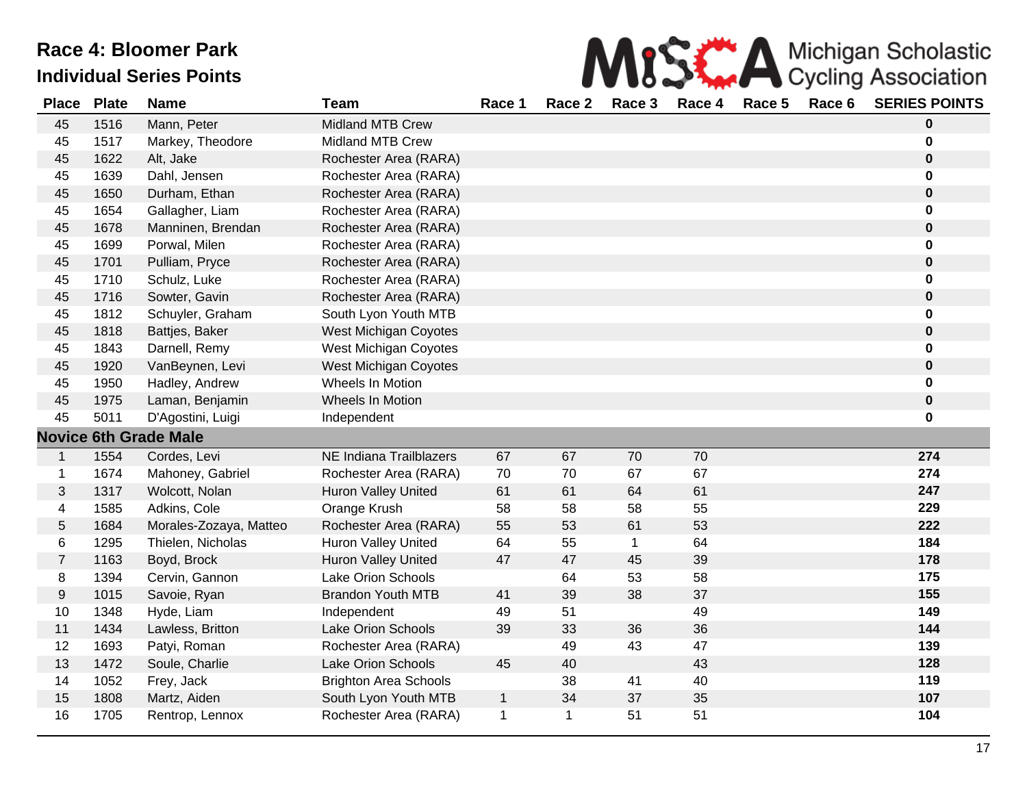| MISS A Michigan Scholastic |
|----------------------------|
|                            |

| <b>Place</b>   | <b>Plate</b> | <b>Name</b>                  | <b>Team</b>                  | Race 1       | Race 2      | Race 3       | Race 4 | Race 5 | Race 6 | <b>SERIES POINTS</b> |
|----------------|--------------|------------------------------|------------------------------|--------------|-------------|--------------|--------|--------|--------|----------------------|
| 45             | 1516         | Mann, Peter                  | <b>Midland MTB Crew</b>      |              |             |              |        |        |        | $\bf{0}$             |
| 45             | 1517         | Markey, Theodore             | <b>Midland MTB Crew</b>      |              |             |              |        |        |        | $\mathbf 0$          |
| 45             | 1622         | Alt, Jake                    | Rochester Area (RARA)        |              |             |              |        |        |        | $\pmb{0}$            |
| 45             | 1639         | Dahl, Jensen                 | Rochester Area (RARA)        |              |             |              |        |        |        | $\mathbf 0$          |
| 45             | 1650         | Durham, Ethan                | Rochester Area (RARA)        |              |             |              |        |        |        | $\pmb{0}$            |
| 45             | 1654         | Gallagher, Liam              | Rochester Area (RARA)        |              |             |              |        |        |        | $\mathbf 0$          |
| 45             | 1678         | Manninen, Brendan            | Rochester Area (RARA)        |              |             |              |        |        |        | $\pmb{0}$            |
| 45             | 1699         | Porwal, Milen                | Rochester Area (RARA)        |              |             |              |        |        |        | $\mathbf 0$          |
| 45             | 1701         | Pulliam, Pryce               | Rochester Area (RARA)        |              |             |              |        |        |        | $\pmb{0}$            |
| 45             | 1710         | Schulz, Luke                 | Rochester Area (RARA)        |              |             |              |        |        |        | $\mathbf 0$          |
| 45             | 1716         | Sowter, Gavin                | Rochester Area (RARA)        |              |             |              |        |        |        | $\bf{0}$             |
| 45             | 1812         | Schuyler, Graham             | South Lyon Youth MTB         |              |             |              |        |        |        | $\mathbf 0$          |
| 45             | 1818         | Battjes, Baker               | <b>West Michigan Coyotes</b> |              |             |              |        |        |        | $\pmb{0}$            |
| 45             | 1843         | Darnell, Remy                | West Michigan Coyotes        |              |             |              |        |        |        | $\mathbf 0$          |
| 45             | 1920         | VanBeynen, Levi              | West Michigan Coyotes        |              |             |              |        |        |        | $\bf{0}$             |
| 45             | 1950         | Hadley, Andrew               | Wheels In Motion             |              |             |              |        |        |        | 0                    |
| 45             | 1975         | Laman, Benjamin              | Wheels In Motion             |              |             |              |        |        |        | $\pmb{0}$            |
| 45             | 5011         | D'Agostini, Luigi            | Independent                  |              |             |              |        |        |        | $\mathbf 0$          |
|                |              | <b>Novice 6th Grade Male</b> |                              |              |             |              |        |        |        |                      |
| $\mathbf{1}$   | 1554         | Cordes, Levi                 | NE Indiana Trailblazers      | 67           | 67          | 70           | 70     |        |        | 274                  |
| $\mathbf{1}$   | 1674         | Mahoney, Gabriel             | Rochester Area (RARA)        | 70           | 70          | 67           | 67     |        |        | 274                  |
| 3              | 1317         | Wolcott, Nolan               | Huron Valley United          | 61           | 61          | 64           | 61     |        |        | 247                  |
| 4              | 1585         | Adkins, Cole                 | Orange Krush                 | 58           | 58          | 58           | 55     |        |        | 229                  |
| 5              | 1684         | Morales-Zozaya, Matteo       | Rochester Area (RARA)        | 55           | 53          | 61           | 53     |        |        | 222                  |
| 6              | 1295         | Thielen, Nicholas            | Huron Valley United          | 64           | 55          | $\mathbf{1}$ | 64     |        |        | 184                  |
| $\overline{7}$ | 1163         | Boyd, Brock                  | <b>Huron Valley United</b>   | 47           | 47          | 45           | 39     |        |        | 178                  |
| 8              | 1394         | Cervin, Gannon               | Lake Orion Schools           |              | 64          | 53           | 58     |        |        | 175                  |
| $9\,$          | 1015         | Savoie, Ryan                 | <b>Brandon Youth MTB</b>     | 41           | 39          | 38           | 37     |        |        | 155                  |
| 10             | 1348         | Hyde, Liam                   | Independent                  | 49           | 51          |              | 49     |        |        | 149                  |
| 11             | 1434         | Lawless, Britton             | Lake Orion Schools           | 39           | 33          | 36           | 36     |        |        | 144                  |
| 12             | 1693         | Patyi, Roman                 | Rochester Area (RARA)        |              | 49          | 43           | 47     |        |        | 139                  |
| 13             | 1472         | Soule, Charlie               | Lake Orion Schools           | 45           | 40          |              | 43     |        |        | 128                  |
| 14             | 1052         | Frey, Jack                   | <b>Brighton Area Schools</b> |              | 38          | 41           | 40     |        |        | 119                  |
| 15             | 1808         | Martz, Aiden                 | South Lyon Youth MTB         | $\mathbf{1}$ | 34          | 37           | 35     |        |        | 107                  |
| 16             | 1705         | Rentrop, Lennox              | Rochester Area (RARA)        | 1            | $\mathbf 1$ | 51           | 51     |        |        | 104                  |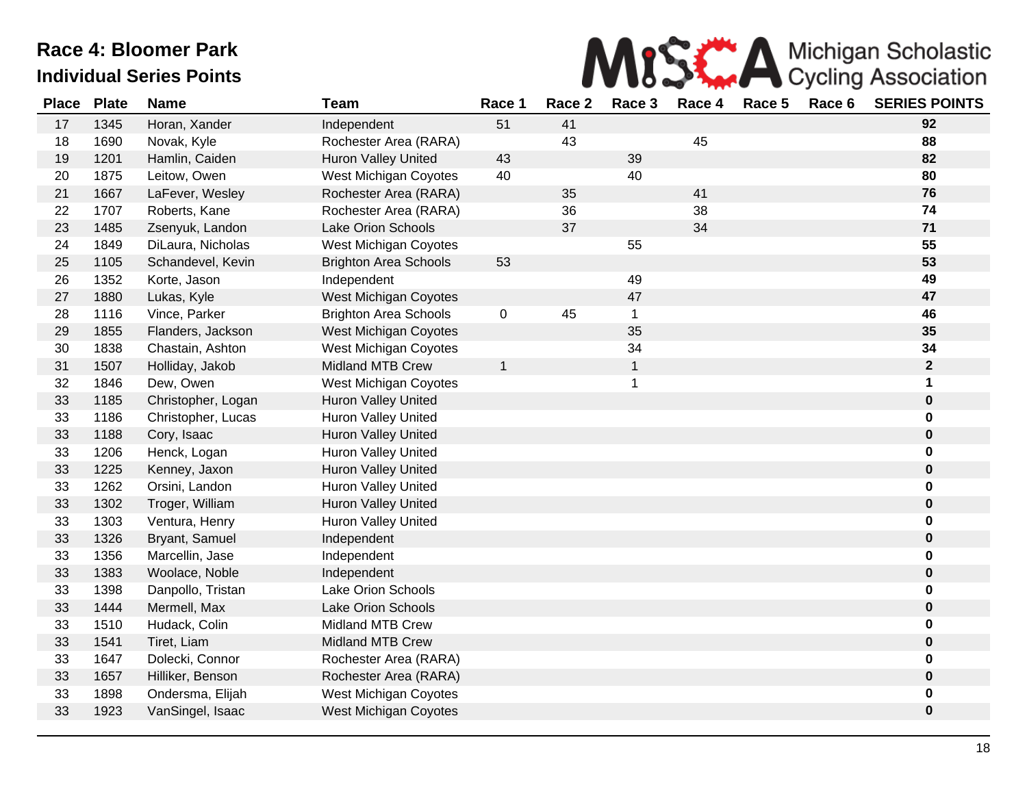

| <b>Place</b> | <b>Plate</b> | <b>Name</b>        | <b>Team</b>                  | Race 1       | Race 2 | Race 3         | Race 4 | Race 5 | Race 6 | <b>SERIES POINTS</b> |
|--------------|--------------|--------------------|------------------------------|--------------|--------|----------------|--------|--------|--------|----------------------|
| 17           | 1345         | Horan, Xander      | Independent                  | 51           | 41     |                |        |        |        | 92                   |
| 18           | 1690         | Novak, Kyle        | Rochester Area (RARA)        |              | 43     |                | 45     |        |        | 88                   |
| 19           | 1201         | Hamlin, Caiden     | <b>Huron Valley United</b>   | 43           |        | 39             |        |        |        | 82                   |
| 20           | 1875         | Leitow, Owen       | West Michigan Coyotes        | 40           |        | 40             |        |        |        | 80                   |
| 21           | 1667         | LaFever, Wesley    | Rochester Area (RARA)        |              | 35     |                | 41     |        |        | 76                   |
| 22           | 1707         | Roberts, Kane      | Rochester Area (RARA)        |              | 36     |                | 38     |        |        | 74                   |
| 23           | 1485         | Zsenyuk, Landon    | <b>Lake Orion Schools</b>    |              | 37     |                | 34     |        |        | 71                   |
| 24           | 1849         | DiLaura, Nicholas  | West Michigan Coyotes        |              |        | 55             |        |        |        | 55                   |
| 25           | 1105         | Schandevel, Kevin  | <b>Brighton Area Schools</b> | 53           |        |                |        |        |        | 53                   |
| 26           | 1352         | Korte, Jason       | Independent                  |              |        | 49             |        |        |        | 49                   |
| 27           | 1880         | Lukas, Kyle        | <b>West Michigan Coyotes</b> |              |        | 47             |        |        |        | 47                   |
| 28           | 1116         | Vince, Parker      | <b>Brighton Area Schools</b> | 0            | 45     | $\mathbf{1}$   |        |        |        | 46                   |
| 29           | 1855         | Flanders, Jackson  | <b>West Michigan Coyotes</b> |              |        | 35             |        |        |        | 35                   |
| 30           | 1838         | Chastain, Ashton   | West Michigan Coyotes        |              |        | 34             |        |        |        | 34                   |
| 31           | 1507         | Holliday, Jakob    | <b>Midland MTB Crew</b>      | $\mathbf{1}$ |        | $\mathbf{1}$   |        |        |        | $\mathbf 2$          |
| 32           | 1846         | Dew, Owen          | West Michigan Coyotes        |              |        | $\overline{1}$ |        |        |        | 1                    |
| 33           | 1185         | Christopher, Logan | <b>Huron Valley United</b>   |              |        |                |        |        |        | $\pmb{0}$            |
| 33           | 1186         | Christopher, Lucas | Huron Valley United          |              |        |                |        |        |        | 0                    |
| 33           | 1188         | Cory, Isaac        | <b>Huron Valley United</b>   |              |        |                |        |        |        | 0                    |
| 33           | 1206         | Henck, Logan       | <b>Huron Valley United</b>   |              |        |                |        |        |        | 0                    |
| 33           | 1225         | Kenney, Jaxon      | <b>Huron Valley United</b>   |              |        |                |        |        |        | 0                    |
| 33           | 1262         | Orsini, Landon     | Huron Valley United          |              |        |                |        |        |        | 0                    |
| 33           | 1302         | Troger, William    | Huron Valley United          |              |        |                |        |        |        | 0                    |
| 33           | 1303         | Ventura, Henry     | Huron Valley United          |              |        |                |        |        |        | 0                    |
| 33           | 1326         | Bryant, Samuel     | Independent                  |              |        |                |        |        |        | $\pmb{0}$            |
| 33           | 1356         | Marcellin, Jase    | Independent                  |              |        |                |        |        |        | 0                    |
| 33           | 1383         | Woolace, Noble     | Independent                  |              |        |                |        |        |        | $\pmb{0}$            |
| 33           | 1398         | Danpollo, Tristan  | Lake Orion Schools           |              |        |                |        |        |        | 0                    |
| 33           | 1444         | Mermell, Max       | <b>Lake Orion Schools</b>    |              |        |                |        |        |        | 0                    |
| 33           | 1510         | Hudack, Colin      | <b>Midland MTB Crew</b>      |              |        |                |        |        |        | 0                    |
| 33           | 1541         | Tiret, Liam        | <b>Midland MTB Crew</b>      |              |        |                |        |        |        | 0                    |
| 33           | 1647         | Dolecki, Connor    | Rochester Area (RARA)        |              |        |                |        |        |        | 0                    |
| 33           | 1657         | Hilliker, Benson   | Rochester Area (RARA)        |              |        |                |        |        |        | 0                    |
| 33           | 1898         | Ondersma, Elijah   | West Michigan Coyotes        |              |        |                |        |        |        | 0                    |
| 33           | 1923         | VanSingel, Isaac   | West Michigan Coyotes        |              |        |                |        |        |        | 0                    |
|              |              |                    |                              |              |        |                |        |        |        |                      |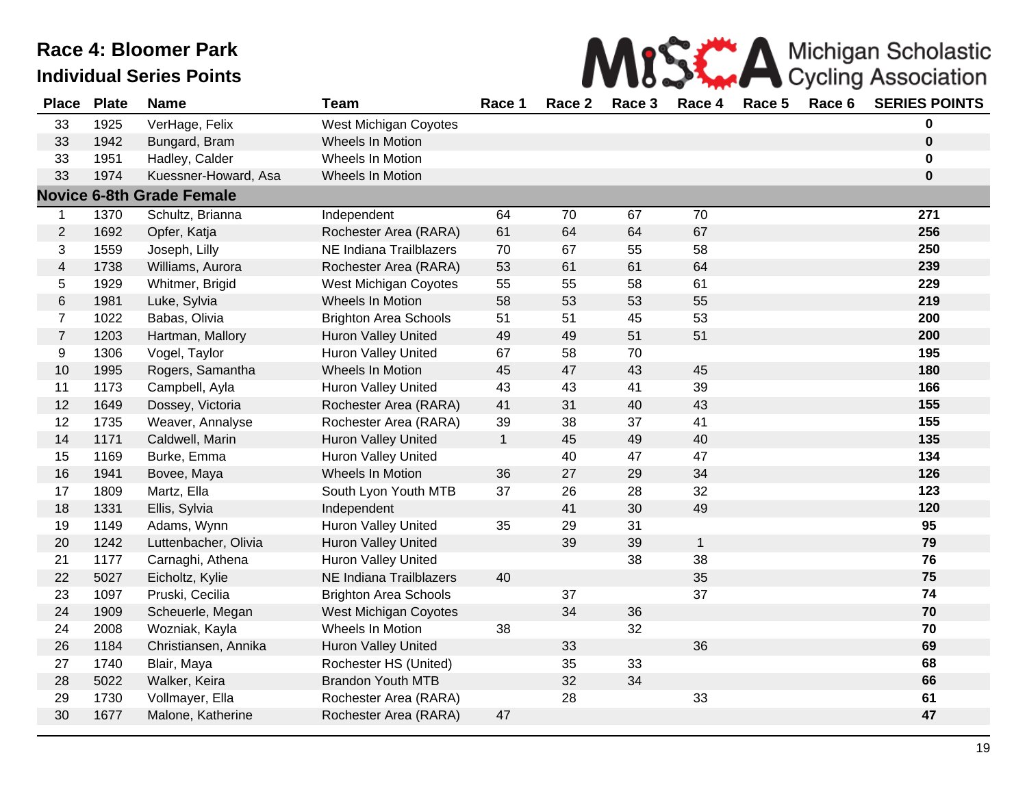|  | MISS A Michigan Scholastic |
|--|----------------------------|
|  |                            |

| <b>Place</b>            | <b>Plate</b> | <b>Name</b>                      | <b>Team</b>                  | Race 1       | Race 2 | Race 3 | Race 4       | Race 5 | Race 6 | <b>SERIES POINTS</b> |
|-------------------------|--------------|----------------------------------|------------------------------|--------------|--------|--------|--------------|--------|--------|----------------------|
| 33                      | 1925         | VerHage, Felix                   | West Michigan Coyotes        |              |        |        |              |        |        | 0                    |
| 33                      | 1942         | Bungard, Bram                    | Wheels In Motion             |              |        |        |              |        |        | $\mathbf 0$          |
| 33                      | 1951         | Hadley, Calder                   | Wheels In Motion             |              |        |        |              |        |        | 0                    |
| 33                      | 1974         | Kuessner-Howard, Asa             | Wheels In Motion             |              |        |        |              |        |        | 0                    |
|                         |              | <b>Novice 6-8th Grade Female</b> |                              |              |        |        |              |        |        |                      |
| $\mathbf 1$             | 1370         | Schultz, Brianna                 | Independent                  | 64           | 70     | 67     | 70           |        |        | 271                  |
| $\overline{2}$          | 1692         | Opfer, Katja                     | Rochester Area (RARA)        | 61           | 64     | 64     | 67           |        |        | 256                  |
| 3                       | 1559         | Joseph, Lilly                    | NE Indiana Trailblazers      | 70           | 67     | 55     | 58           |        |        | 250                  |
| $\overline{\mathbf{4}}$ | 1738         | Williams, Aurora                 | Rochester Area (RARA)        | 53           | 61     | 61     | 64           |        |        | 239                  |
| 5                       | 1929         | Whitmer, Brigid                  | West Michigan Coyotes        | 55           | 55     | 58     | 61           |        |        | 229                  |
| 6                       | 1981         | Luke, Sylvia                     | Wheels In Motion             | 58           | 53     | 53     | 55           |        |        | 219                  |
| $\overline{7}$          | 1022         | Babas, Olivia                    | <b>Brighton Area Schools</b> | 51           | 51     | 45     | 53           |        |        | 200                  |
| $\overline{7}$          | 1203         | Hartman, Mallory                 | <b>Huron Valley United</b>   | 49           | 49     | 51     | 51           |        |        | 200                  |
| 9                       | 1306         | Vogel, Taylor                    | <b>Huron Valley United</b>   | 67           | 58     | 70     |              |        |        | 195                  |
| $10$                    | 1995         | Rogers, Samantha                 | Wheels In Motion             | 45           | 47     | 43     | 45           |        |        | 180                  |
| 11                      | 1173         | Campbell, Ayla                   | <b>Huron Valley United</b>   | 43           | 43     | 41     | 39           |        |        | 166                  |
| 12                      | 1649         | Dossey, Victoria                 | Rochester Area (RARA)        | 41           | 31     | 40     | 43           |        |        | 155                  |
| 12                      | 1735         | Weaver, Annalyse                 | Rochester Area (RARA)        | 39           | 38     | 37     | 41           |        |        | 155                  |
| 14                      | 1171         | Caldwell, Marin                  | <b>Huron Valley United</b>   | $\mathbf{1}$ | 45     | 49     | 40           |        |        | 135                  |
| 15                      | 1169         | Burke, Emma                      | <b>Huron Valley United</b>   |              | 40     | 47     | 47           |        |        | 134                  |
| 16                      | 1941         | Bovee, Maya                      | Wheels In Motion             | 36           | 27     | 29     | 34           |        |        | 126                  |
| 17                      | 1809         | Martz, Ella                      | South Lyon Youth MTB         | 37           | 26     | 28     | 32           |        |        | 123                  |
| 18                      | 1331         | Ellis, Sylvia                    | Independent                  |              | 41     | $30\,$ | 49           |        |        | 120                  |
| 19                      | 1149         | Adams, Wynn                      | <b>Huron Valley United</b>   | 35           | 29     | 31     |              |        |        | 95                   |
| 20                      | 1242         | Luttenbacher, Olivia             | Huron Valley United          |              | 39     | 39     | $\mathbf{1}$ |        |        | 79                   |
| 21                      | 1177         | Carnaghi, Athena                 | Huron Valley United          |              |        | 38     | 38           |        |        | 76                   |
| 22                      | 5027         | Eicholtz, Kylie                  | NE Indiana Trailblazers      | 40           |        |        | 35           |        |        | 75                   |
| 23                      | 1097         | Pruski, Cecilia                  | <b>Brighton Area Schools</b> |              | 37     |        | 37           |        |        | 74                   |
| 24                      | 1909         | Scheuerle, Megan                 | <b>West Michigan Coyotes</b> |              | 34     | 36     |              |        |        | 70                   |
| 24                      | 2008         | Wozniak, Kayla                   | Wheels In Motion             | 38           |        | 32     |              |        |        | 70                   |
| 26                      | 1184         | Christiansen, Annika             | <b>Huron Valley United</b>   |              | 33     |        | 36           |        |        | 69                   |
| 27                      | 1740         | Blair, Maya                      | Rochester HS (United)        |              | 35     | 33     |              |        |        | 68                   |
| 28                      | 5022         | Walker, Keira                    | <b>Brandon Youth MTB</b>     |              | 32     | 34     |              |        |        | 66                   |
| 29                      | 1730         | Vollmayer, Ella                  | Rochester Area (RARA)        |              | 28     |        | 33           |        |        | 61                   |
| 30                      | 1677         | Malone, Katherine                | Rochester Area (RARA)        | 47           |        |        |              |        |        | 47                   |
|                         |              |                                  |                              |              |        |        |              |        |        |                      |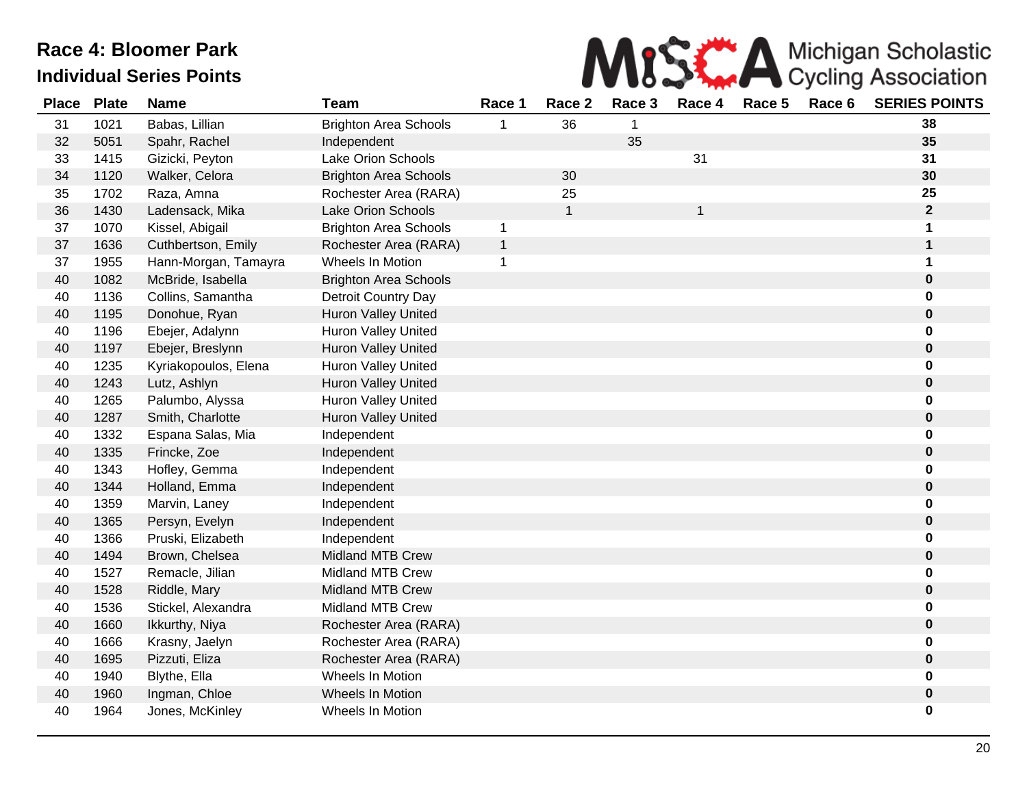

| <b>Place</b> | <b>Plate</b> | <b>Name</b>          | <b>Team</b>                  | Race 1       | Race 2       | Race 3 | Race 4 | Race 5 | Race 6 | <b>SERIES POINTS</b> |
|--------------|--------------|----------------------|------------------------------|--------------|--------------|--------|--------|--------|--------|----------------------|
| 31           | 1021         | Babas, Lillian       | <b>Brighton Area Schools</b> | 1            | 36           | 1      |        |        |        | 38                   |
| 32           | 5051         | Spahr, Rachel        | Independent                  |              |              | 35     |        |        |        | 35                   |
| 33           | 1415         | Gizicki, Peyton      | Lake Orion Schools           |              |              |        | 31     |        |        | 31                   |
| 34           | 1120         | Walker, Celora       | <b>Brighton Area Schools</b> |              | 30           |        |        |        |        | 30                   |
| 35           | 1702         | Raza, Amna           | Rochester Area (RARA)        |              | 25           |        |        |        |        | 25                   |
| 36           | 1430         | Ladensack, Mika      | <b>Lake Orion Schools</b>    |              | $\mathbf{1}$ |        | 1      |        |        | $\mathbf{2}$         |
| 37           | 1070         | Kissel, Abigail      | <b>Brighton Area Schools</b> | $\mathbf{1}$ |              |        |        |        |        | 1                    |
| 37           | 1636         | Cuthbertson, Emily   | Rochester Area (RARA)        | $\mathbf{1}$ |              |        |        |        |        | 1                    |
| 37           | 1955         | Hann-Morgan, Tamayra | Wheels In Motion             | $\mathbf{1}$ |              |        |        |        |        | 1                    |
| 40           | 1082         | McBride, Isabella    | <b>Brighton Area Schools</b> |              |              |        |        |        |        | $\pmb{0}$            |
| 40           | 1136         | Collins, Samantha    | Detroit Country Day          |              |              |        |        |        |        | $\mathbf 0$          |
| 40           | 1195         | Donohue, Ryan        | <b>Huron Valley United</b>   |              |              |        |        |        |        | $\pmb{0}$            |
| 40           | 1196         | Ebejer, Adalynn      | Huron Valley United          |              |              |        |        |        |        | 0                    |
| 40           | 1197         | Ebejer, Breslynn     | Huron Valley United          |              |              |        |        |        |        | $\bf{0}$             |
| 40           | 1235         | Kyriakopoulos, Elena | <b>Huron Valley United</b>   |              |              |        |        |        |        | 0                    |
| 40           | 1243         | Lutz, Ashlyn         | <b>Huron Valley United</b>   |              |              |        |        |        |        | 0                    |
| 40           | 1265         | Palumbo, Alyssa      | Huron Valley United          |              |              |        |        |        |        | 0                    |
| 40           | 1287         | Smith, Charlotte     | <b>Huron Valley United</b>   |              |              |        |        |        |        | 0                    |
| 40           | 1332         | Espana Salas, Mia    | Independent                  |              |              |        |        |        |        | 0                    |
| 40           | 1335         | Frincke, Zoe         | Independent                  |              |              |        |        |        |        | $\pmb{0}$            |
| 40           | 1343         | Hofley, Gemma        | Independent                  |              |              |        |        |        |        | 0                    |
| 40           | 1344         | Holland, Emma        | Independent                  |              |              |        |        |        |        | $\pmb{0}$            |
| 40           | 1359         | Marvin, Laney        | Independent                  |              |              |        |        |        |        | 0                    |
| 40           | 1365         | Persyn, Evelyn       | Independent                  |              |              |        |        |        |        | $\bf{0}$             |
| 40           | 1366         | Pruski, Elizabeth    | Independent                  |              |              |        |        |        |        | 0                    |
| 40           | 1494         | Brown, Chelsea       | <b>Midland MTB Crew</b>      |              |              |        |        |        |        | $\bf{0}$             |
| 40           | 1527         | Remacle, Jilian      | <b>Midland MTB Crew</b>      |              |              |        |        |        |        | 0                    |
| 40           | 1528         | Riddle, Mary         | <b>Midland MTB Crew</b>      |              |              |        |        |        |        | $\pmb{0}$            |
| 40           | 1536         | Stickel, Alexandra   | <b>Midland MTB Crew</b>      |              |              |        |        |        |        | 0                    |
| 40           | 1660         | Ikkurthy, Niya       | Rochester Area (RARA)        |              |              |        |        |        |        | $\pmb{0}$            |
| 40           | 1666         | Krasny, Jaelyn       | Rochester Area (RARA)        |              |              |        |        |        |        | $\mathbf 0$          |
| 40           | 1695         | Pizzuti, Eliza       | Rochester Area (RARA)        |              |              |        |        |        |        | $\pmb{0}$            |
| 40           | 1940         | Blythe, Ella         | Wheels In Motion             |              |              |        |        |        |        | $\mathbf 0$          |
| 40           | 1960         | Ingman, Chloe        | Wheels In Motion             |              |              |        |        |        |        | $\bf{0}$             |
| 40           | 1964         | Jones, McKinley      | Wheels In Motion             |              |              |        |        |        |        | $\mathbf 0$          |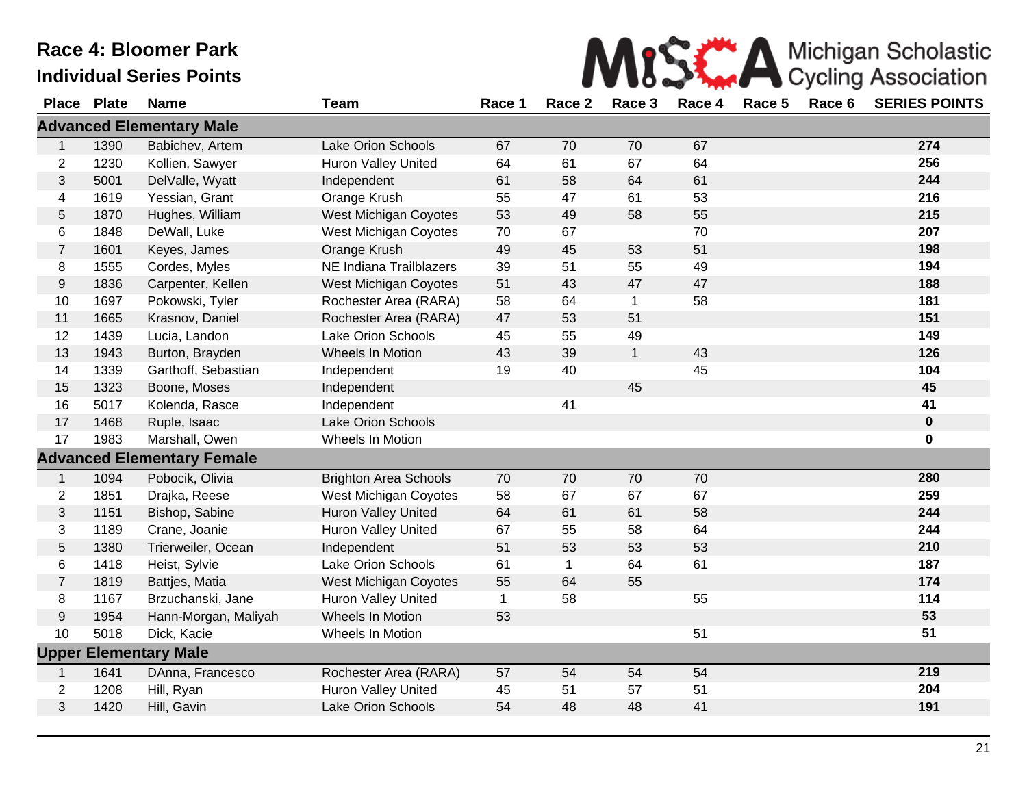

|                  | Place Plate | <b>Name</b>                       | <b>Team</b>                  | Race 1      | Race 2      | Race 3       | Race 4 | Race 5 | Race 6 | <b>SERIES POINTS</b> |
|------------------|-------------|-----------------------------------|------------------------------|-------------|-------------|--------------|--------|--------|--------|----------------------|
|                  |             | <b>Advanced Elementary Male</b>   |                              |             |             |              |        |        |        |                      |
| $\mathbf{1}$     | 1390        | Babichev, Artem                   | Lake Orion Schools           | 67          | 70          | 70           | 67     |        |        | 274                  |
| $\sqrt{2}$       | 1230        | Kollien, Sawyer                   | Huron Valley United          | 64          | 61          | 67           | 64     |        |        | 256                  |
| $\sqrt{3}$       | 5001        | DelValle, Wyatt                   | Independent                  | 61          | 58          | 64           | 61     |        |        | 244                  |
| 4                | 1619        | Yessian, Grant                    | Orange Krush                 | 55          | 47          | 61           | 53     |        |        | 216                  |
| $\sqrt{5}$       | 1870        | Hughes, William                   | West Michigan Coyotes        | 53          | 49          | 58           | 55     |        |        | 215                  |
| 6                | 1848        | DeWall, Luke                      | West Michigan Coyotes        | 70          | 67          |              | 70     |        |        | 207                  |
| $\overline{7}$   | 1601        | Keyes, James                      | Orange Krush                 | 49          | 45          | 53           | 51     |        |        | 198                  |
| $\bf 8$          | 1555        | Cordes, Myles                     | NE Indiana Trailblazers      | 39          | 51          | 55           | 49     |        |        | 194                  |
| $\boldsymbol{9}$ | 1836        | Carpenter, Kellen                 | West Michigan Coyotes        | 51          | 43          | 47           | 47     |        |        | 188                  |
| 10               | 1697        | Pokowski, Tyler                   | Rochester Area (RARA)        | 58          | 64          | $\mathbf{1}$ | 58     |        |        | 181                  |
| 11               | 1665        | Krasnov, Daniel                   | Rochester Area (RARA)        | 47          | 53          | 51           |        |        |        | 151                  |
| 12               | 1439        | Lucia, Landon                     | Lake Orion Schools           | 45          | 55          | 49           |        |        |        | 149                  |
| 13               | 1943        | Burton, Brayden                   | Wheels In Motion             | 43          | 39          | $\mathbf{1}$ | 43     |        |        | 126                  |
| 14               | 1339        | Garthoff, Sebastian               | Independent                  | 19          | 40          |              | 45     |        |        | 104                  |
| 15               | 1323        | Boone, Moses                      | Independent                  |             |             | 45           |        |        |        | 45                   |
| 16               | 5017        | Kolenda, Rasce                    | Independent                  |             | 41          |              |        |        |        | 41                   |
| 17               | 1468        | Ruple, Isaac                      | Lake Orion Schools           |             |             |              |        |        |        | $\bf{0}$             |
| 17               | 1983        | Marshall, Owen                    | Wheels In Motion             |             |             |              |        |        |        | 0                    |
|                  |             | <b>Advanced Elementary Female</b> |                              |             |             |              |        |        |        |                      |
| $\mathbf{1}$     | 1094        | Pobocik, Olivia                   | <b>Brighton Area Schools</b> | 70          | 70          | 70           | 70     |        |        | 280                  |
| $\overline{c}$   | 1851        | Drajka, Reese                     | West Michigan Coyotes        | 58          | 67          | 67           | 67     |        |        | 259                  |
| $\sqrt{3}$       | 1151        | Bishop, Sabine                    | Huron Valley United          | 64          | 61          | 61           | 58     |        |        | 244                  |
| 3                | 1189        | Crane, Joanie                     | Huron Valley United          | 67          | 55          | 58           | 64     |        |        | 244                  |
| $\sqrt{5}$       | 1380        | Trierweiler, Ocean                | Independent                  | 51          | 53          | 53           | 53     |        |        | 210                  |
| 6                | 1418        | Heist, Sylvie                     | Lake Orion Schools           | 61          | $\mathbf 1$ | 64           | 61     |        |        | 187                  |
| $\boldsymbol{7}$ | 1819        | Battjes, Matia                    | West Michigan Coyotes        | 55          | 64          | 55           |        |        |        | 174                  |
| 8                | 1167        | Brzuchanski, Jane                 | <b>Huron Valley United</b>   | $\mathbf 1$ | 58          |              | 55     |        |        | 114                  |
| $\boldsymbol{9}$ | 1954        | Hann-Morgan, Maliyah              | Wheels In Motion             | 53          |             |              |        |        |        | 53                   |
| 10               | 5018        | Dick, Kacie                       | Wheels In Motion             |             |             |              | 51     |        |        | 51                   |
|                  |             | <b>Upper Elementary Male</b>      |                              |             |             |              |        |        |        |                      |
| $\mathbf 1$      | 1641        | DAnna, Francesco                  | Rochester Area (RARA)        | 57          | 54          | 54           | 54     |        |        | 219                  |
| $\overline{2}$   | 1208        | Hill, Ryan                        | <b>Huron Valley United</b>   | 45          | 51          | 57           | 51     |        |        | 204                  |
| $\mathbf{3}$     | 1420        | Hill, Gavin                       | Lake Orion Schools           | 54          | 48          | 48           | 41     |        |        | 191                  |
|                  |             |                                   |                              |             |             |              |        |        |        |                      |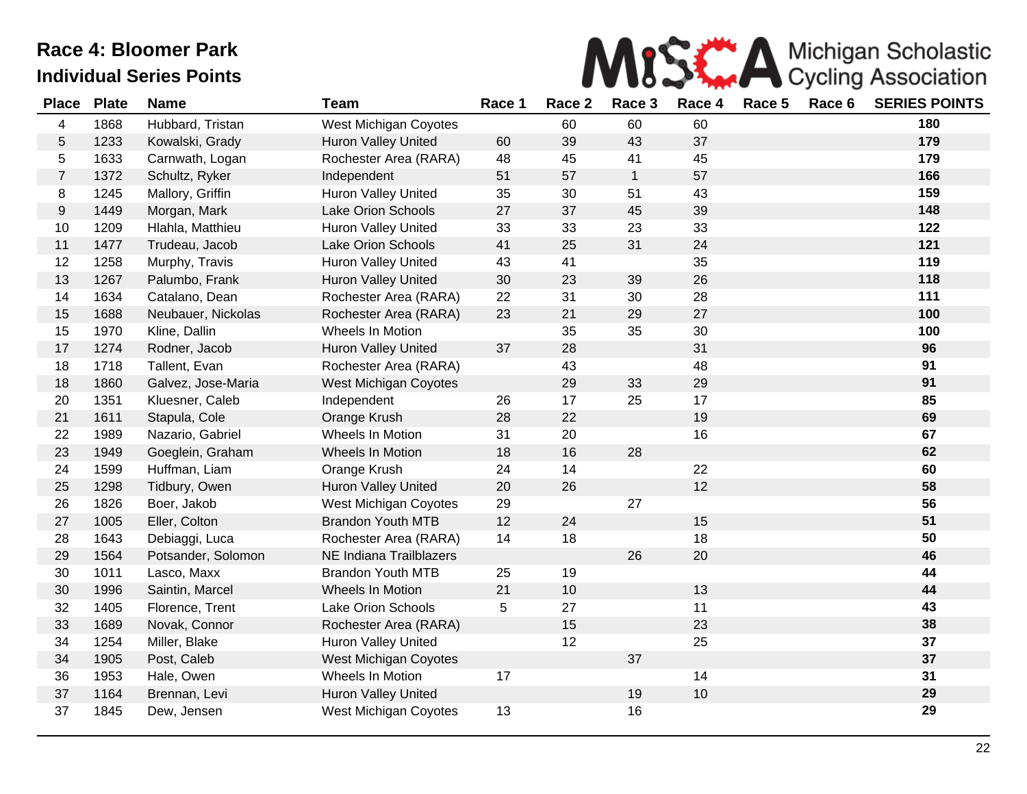

| <b>Place</b>   | <b>Plate</b> | <b>Name</b>        | <b>Team</b>                | Race 1 | Race 2 | Race 3       | Race 4 | Race 5 | Race 6 | <b>SERIES POINTS</b> |
|----------------|--------------|--------------------|----------------------------|--------|--------|--------------|--------|--------|--------|----------------------|
| 4              | 1868         | Hubbard, Tristan   | West Michigan Coyotes      |        | 60     | 60           | 60     |        |        | 180                  |
| 5              | 1233         | Kowalski, Grady    | <b>Huron Valley United</b> | 60     | 39     | 43           | 37     |        |        | 179                  |
| 5              | 1633         | Carnwath, Logan    | Rochester Area (RARA)      | 48     | 45     | 41           | 45     |        |        | 179                  |
| $\overline{7}$ | 1372         | Schultz, Ryker     | Independent                | 51     | 57     | $\mathbf{1}$ | 57     |        |        | 166                  |
| 8              | 1245         | Mallory, Griffin   | <b>Huron Valley United</b> | 35     | 30     | 51           | 43     |        |        | 159                  |
| 9              | 1449         | Morgan, Mark       | Lake Orion Schools         | 27     | 37     | 45           | 39     |        |        | 148                  |
| 10             | 1209         | Hlahla, Matthieu   | Huron Valley United        | 33     | 33     | 23           | 33     |        |        | 122                  |
| 11             | 1477         | Trudeau, Jacob     | <b>Lake Orion Schools</b>  | 41     | 25     | 31           | 24     |        |        | 121                  |
| 12             | 1258         | Murphy, Travis     | Huron Valley United        | 43     | 41     |              | 35     |        |        | 119                  |
| 13             | 1267         | Palumbo, Frank     | Huron Valley United        | 30     | 23     | 39           | 26     |        |        | 118                  |
| 14             | 1634         | Catalano, Dean     | Rochester Area (RARA)      | 22     | 31     | 30           | 28     |        |        | 111                  |
| 15             | 1688         | Neubauer, Nickolas | Rochester Area (RARA)      | 23     | 21     | 29           | 27     |        |        | 100                  |
| 15             | 1970         | Kline, Dallin      | Wheels In Motion           |        | 35     | 35           | 30     |        |        | 100                  |
| 17             | 1274         | Rodner, Jacob      | <b>Huron Valley United</b> | 37     | 28     |              | 31     |        |        | 96                   |
| 18             | 1718         | Tallent, Evan      | Rochester Area (RARA)      |        | 43     |              | 48     |        |        | 91                   |
| 18             | 1860         | Galvez, Jose-Maria | West Michigan Coyotes      |        | 29     | 33           | 29     |        |        | 91                   |
| 20             | 1351         | Kluesner, Caleb    | Independent                | 26     | 17     | 25           | 17     |        |        | 85                   |
| 21             | 1611         | Stapula, Cole      | Orange Krush               | 28     | 22     |              | 19     |        |        | 69                   |
| 22             | 1989         | Nazario, Gabriel   | Wheels In Motion           | 31     | 20     |              | 16     |        |        | 67                   |
| 23             | 1949         | Goeglein, Graham   | Wheels In Motion           | 18     | 16     | 28           |        |        |        | 62                   |
| 24             | 1599         | Huffman, Liam      | Orange Krush               | 24     | 14     |              | 22     |        |        | 60                   |
| 25             | 1298         | Tidbury, Owen      | <b>Huron Valley United</b> | 20     | 26     |              | 12     |        |        | 58                   |
| 26             | 1826         | Boer, Jakob        | West Michigan Coyotes      | 29     |        | 27           |        |        |        | 56                   |
| 27             | 1005         | Eller, Colton      | <b>Brandon Youth MTB</b>   | 12     | 24     |              | 15     |        |        | 51                   |
| 28             | 1643         | Debiaggi, Luca     | Rochester Area (RARA)      | 14     | 18     |              | 18     |        |        | 50                   |
| 29             | 1564         | Potsander, Solomon | NE Indiana Trailblazers    |        |        | 26           | 20     |        |        | 46                   |
| 30             | 1011         | Lasco, Maxx        | <b>Brandon Youth MTB</b>   | 25     | 19     |              |        |        |        | 44                   |
| 30             | 1996         | Saintin, Marcel    | Wheels In Motion           | 21     | 10     |              | 13     |        |        | 44                   |
| 32             | 1405         | Florence, Trent    | Lake Orion Schools         | 5      | 27     |              | 11     |        |        | 43                   |
| 33             | 1689         | Novak, Connor      | Rochester Area (RARA)      |        | 15     |              | 23     |        |        | 38                   |
| 34             | 1254         | Miller, Blake      | <b>Huron Valley United</b> |        | 12     |              | 25     |        |        | 37                   |
| 34             | 1905         | Post, Caleb        | West Michigan Coyotes      |        |        | 37           |        |        |        | 37                   |
| 36             | 1953         | Hale, Owen         | Wheels In Motion           | 17     |        |              | 14     |        |        | 31                   |
| 37             | 1164         | Brennan, Levi      | <b>Huron Valley United</b> |        |        | 19           | $10$   |        |        | 29                   |
| 37             | 1845         | Dew, Jensen        | West Michigan Coyotes      | 13     |        | 16           |        |        |        | 29                   |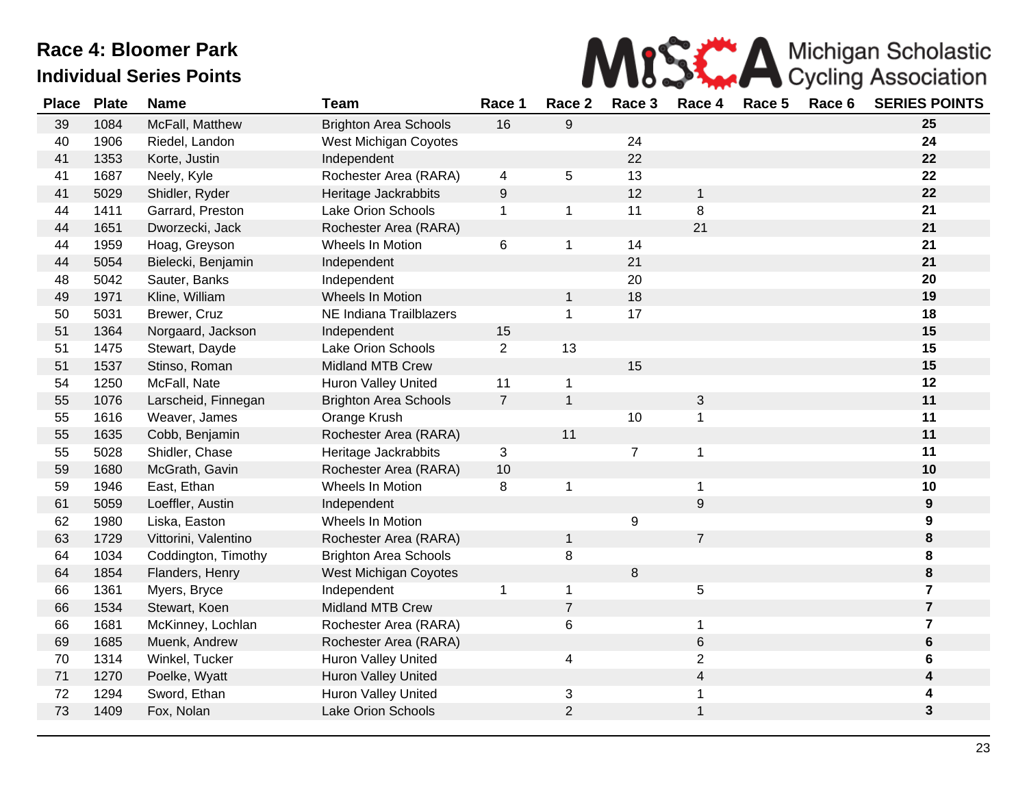

| <b>Place</b> | <b>Plate</b> | <b>Name</b>          | <b>Team</b>                  | Race 1           | Race 2         | Race 3         | Race 4         | Race 5 | Race 6 | <b>SERIES POINTS</b> |
|--------------|--------------|----------------------|------------------------------|------------------|----------------|----------------|----------------|--------|--------|----------------------|
| 39           | 1084         | McFall, Matthew      | <b>Brighton Area Schools</b> | 16               | 9              |                |                |        |        | 25                   |
| 40           | 1906         | Riedel, Landon       | West Michigan Coyotes        |                  |                | 24             |                |        |        | 24                   |
| 41           | 1353         | Korte, Justin        | Independent                  |                  |                | 22             |                |        |        | 22                   |
| 41           | 1687         | Neely, Kyle          | Rochester Area (RARA)        | 4                | 5              | 13             |                |        |        | 22                   |
| 41           | 5029         | Shidler, Ryder       | Heritage Jackrabbits         | $\boldsymbol{9}$ |                | 12             | 1              |        |        | 22                   |
| 44           | 1411         | Garrard, Preston     | Lake Orion Schools           | $\mathbf 1$      | $\mathbf 1$    | 11             | 8              |        |        | 21                   |
| 44           | 1651         | Dworzecki, Jack      | Rochester Area (RARA)        |                  |                |                | 21             |        |        | 21                   |
| 44           | 1959         | Hoag, Greyson        | Wheels In Motion             | 6                | $\mathbf 1$    | 14             |                |        |        | 21                   |
| 44           | 5054         | Bielecki, Benjamin   | Independent                  |                  |                | 21             |                |        |        | 21                   |
| 48           | 5042         | Sauter, Banks        | Independent                  |                  |                | 20             |                |        |        | 20                   |
| 49           | 1971         | Kline, William       | Wheels In Motion             |                  | $\mathbf 1$    | 18             |                |        |        | 19                   |
| 50           | 5031         | Brewer, Cruz         | NE Indiana Trailblazers      |                  | $\mathbf{1}$   | 17             |                |        |        | 18                   |
| 51           | 1364         | Norgaard, Jackson    | Independent                  | 15               |                |                |                |        |        | 15                   |
| 51           | 1475         | Stewart, Dayde       | Lake Orion Schools           | $\overline{2}$   | 13             |                |                |        |        | 15                   |
| 51           | 1537         | Stinso, Roman        | <b>Midland MTB Crew</b>      |                  |                | 15             |                |        |        | 15                   |
| 54           | 1250         | McFall, Nate         | <b>Huron Valley United</b>   | 11               | $\mathbf{1}$   |                |                |        |        | 12                   |
| 55           | 1076         | Larscheid, Finnegan  | <b>Brighton Area Schools</b> | $\overline{7}$   | $\mathbf{1}$   |                | 3              |        |        | 11                   |
| 55           | 1616         | Weaver, James        | Orange Krush                 |                  |                | 10             | 1              |        |        | 11                   |
| 55           | 1635         | Cobb, Benjamin       | Rochester Area (RARA)        |                  | 11             |                |                |        |        | 11                   |
| 55           | 5028         | Shidler, Chase       | Heritage Jackrabbits         | 3                |                | $\overline{7}$ | 1              |        |        | 11                   |
| 59           | 1680         | McGrath, Gavin       | Rochester Area (RARA)        | 10               |                |                |                |        |        | 10                   |
| 59           | 1946         | East, Ethan          | Wheels In Motion             | 8                | 1              |                | 1              |        |        | 10                   |
| 61           | 5059         | Loeffler, Austin     | Independent                  |                  |                |                | 9              |        |        | $\boldsymbol{9}$     |
| 62           | 1980         | Liska, Easton        | Wheels In Motion             |                  |                | 9              |                |        |        | 9                    |
| 63           | 1729         | Vittorini, Valentino | Rochester Area (RARA)        |                  | $\mathbf 1$    |                | $\overline{7}$ |        |        | $\bf8$               |
| 64           | 1034         | Coddington, Timothy  | <b>Brighton Area Schools</b> |                  | 8              |                |                |        |        | 8                    |
| 64           | 1854         | Flanders, Henry      | <b>West Michigan Coyotes</b> |                  |                | 8              |                |        |        | ${\bf 8}$            |
| 66           | 1361         | Myers, Bryce         | Independent                  | 1                | $\mathbf 1$    |                | 5              |        |        | $\overline{7}$       |
| 66           | 1534         | Stewart, Koen        | Midland MTB Crew             |                  | $\overline{7}$ |                |                |        |        | $\overline{7}$       |
| 66           | 1681         | McKinney, Lochlan    | Rochester Area (RARA)        |                  | 6              |                | 1              |        |        | $\overline{7}$       |
| 69           | 1685         | Muenk, Andrew        | Rochester Area (RARA)        |                  |                |                | 6              |        |        | $\bf 6$              |
| 70           | 1314         | Winkel, Tucker       | Huron Valley United          |                  | 4              |                | $\overline{c}$ |        |        | 6                    |
| 71           | 1270         | Poelke, Wyatt        | Huron Valley United          |                  |                |                | 4              |        |        | 4                    |
| 72           | 1294         | Sword, Ethan         | Huron Valley United          |                  | 3              |                | 1              |        |        | 4                    |
| 73           | 1409         | Fox, Nolan           | <b>Lake Orion Schools</b>    |                  | $\overline{2}$ |                | 1              |        |        | $\mathbf{3}$         |
|              |              |                      |                              |                  |                |                |                |        |        |                      |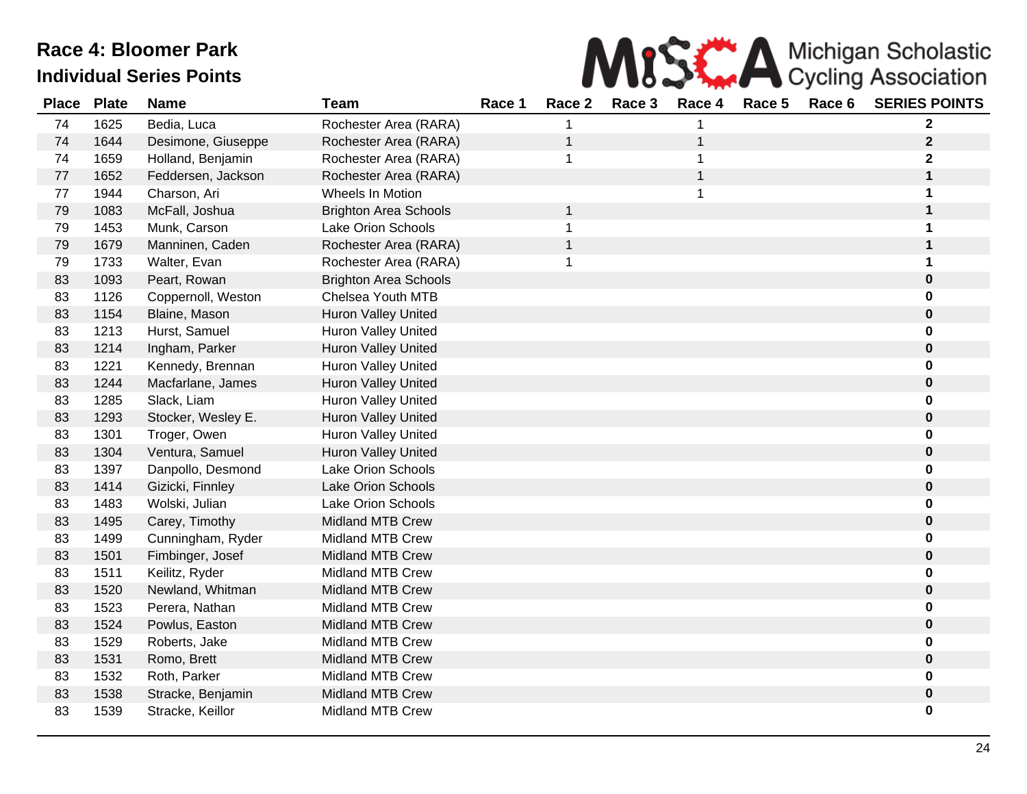

| <b>Place</b> | <b>Plate</b> | <b>Name</b>        | <b>Team</b>                  | Race 1 | Race 2       | Race 3 | Race 4       | Race 5 | Race 6 | <b>SERIES POINTS</b> |
|--------------|--------------|--------------------|------------------------------|--------|--------------|--------|--------------|--------|--------|----------------------|
| 74           | 1625         | Bedia, Luca        | Rochester Area (RARA)        |        | 1            |        |              |        |        | $\mathbf 2$          |
| 74           | 1644         | Desimone, Giuseppe | Rochester Area (RARA)        |        | $\mathbf{1}$ |        | $\mathbf 1$  |        |        | $\mathbf{2}$         |
| 74           | 1659         | Holland, Benjamin  | Rochester Area (RARA)        |        | 1            |        |              |        |        | 2                    |
| 77           | 1652         | Feddersen, Jackson | Rochester Area (RARA)        |        |              |        | $\mathbf{1}$ |        |        | 1                    |
| 77           | 1944         | Charson, Ari       | Wheels In Motion             |        |              |        |              |        |        | 1                    |
| 79           | 1083         | McFall, Joshua     | <b>Brighton Area Schools</b> |        | $\mathbf 1$  |        |              |        |        | $\mathbf 1$          |
| 79           | 1453         | Munk, Carson       | Lake Orion Schools           |        | 1            |        |              |        |        | 1                    |
| 79           | 1679         | Manninen, Caden    | Rochester Area (RARA)        |        | $\mathbf{1}$ |        |              |        |        | 1                    |
| 79           | 1733         | Walter, Evan       | Rochester Area (RARA)        |        | 1            |        |              |        |        | 1                    |
| 83           | 1093         | Peart, Rowan       | <b>Brighton Area Schools</b> |        |              |        |              |        |        | $\pmb{0}$            |
| 83           | 1126         | Coppernoll, Weston | Chelsea Youth MTB            |        |              |        |              |        |        | 0                    |
| 83           | 1154         | Blaine, Mason      | Huron Valley United          |        |              |        |              |        |        | $\pmb{0}$            |
| 83           | 1213         | Hurst, Samuel      | <b>Huron Valley United</b>   |        |              |        |              |        |        | 0                    |
| 83           | 1214         | Ingham, Parker     | Huron Valley United          |        |              |        |              |        |        | $\bf{0}$             |
| 83           | 1221         | Kennedy, Brennan   | <b>Huron Valley United</b>   |        |              |        |              |        |        | 0                    |
| 83           | 1244         | Macfarlane, James  | <b>Huron Valley United</b>   |        |              |        |              |        |        | 0                    |
| 83           | 1285         | Slack, Liam        | <b>Huron Valley United</b>   |        |              |        |              |        |        | 0                    |
| 83           | 1293         | Stocker, Wesley E. | Huron Valley United          |        |              |        |              |        |        | 0                    |
| 83           | 1301         | Troger, Owen       | <b>Huron Valley United</b>   |        |              |        |              |        |        | $\bf{0}$             |
| 83           | 1304         | Ventura, Samuel    | <b>Huron Valley United</b>   |        |              |        |              |        |        | $\bf{0}$             |
| 83           | 1397         | Danpollo, Desmond  | Lake Orion Schools           |        |              |        |              |        |        | 0                    |
| 83           | 1414         | Gizicki, Finnley   | Lake Orion Schools           |        |              |        |              |        |        | $\pmb{0}$            |
| 83           | 1483         | Wolski, Julian     | Lake Orion Schools           |        |              |        |              |        |        | 0                    |
| 83           | 1495         | Carey, Timothy     | Midland MTB Crew             |        |              |        |              |        |        | $\bf{0}$             |
| 83           | 1499         | Cunningham, Ryder  | <b>Midland MTB Crew</b>      |        |              |        |              |        |        | 0                    |
| 83           | 1501         | Fimbinger, Josef   | <b>Midland MTB Crew</b>      |        |              |        |              |        |        | $\bf{0}$             |
| 83           | 1511         | Keilitz, Ryder     | <b>Midland MTB Crew</b>      |        |              |        |              |        |        | 0                    |
| 83           | 1520         | Newland, Whitman   | Midland MTB Crew             |        |              |        |              |        |        | 0                    |
| 83           | 1523         | Perera, Nathan     | <b>Midland MTB Crew</b>      |        |              |        |              |        |        | 0                    |
| 83           | 1524         | Powlus, Easton     | <b>Midland MTB Crew</b>      |        |              |        |              |        |        | $\pmb{0}$            |
| 83           | 1529         | Roberts, Jake      | <b>Midland MTB Crew</b>      |        |              |        |              |        |        | 0                    |
| 83           | 1531         | Romo, Brett        | Midland MTB Crew             |        |              |        |              |        |        | $\pmb{0}$            |
| 83           | 1532         | Roth, Parker       | <b>Midland MTB Crew</b>      |        |              |        |              |        |        | 0                    |
| 83           | 1538         | Stracke, Benjamin  | <b>Midland MTB Crew</b>      |        |              |        |              |        |        | 0                    |
| 83           | 1539         | Stracke, Keillor   | <b>Midland MTB Crew</b>      |        |              |        |              |        |        | 0                    |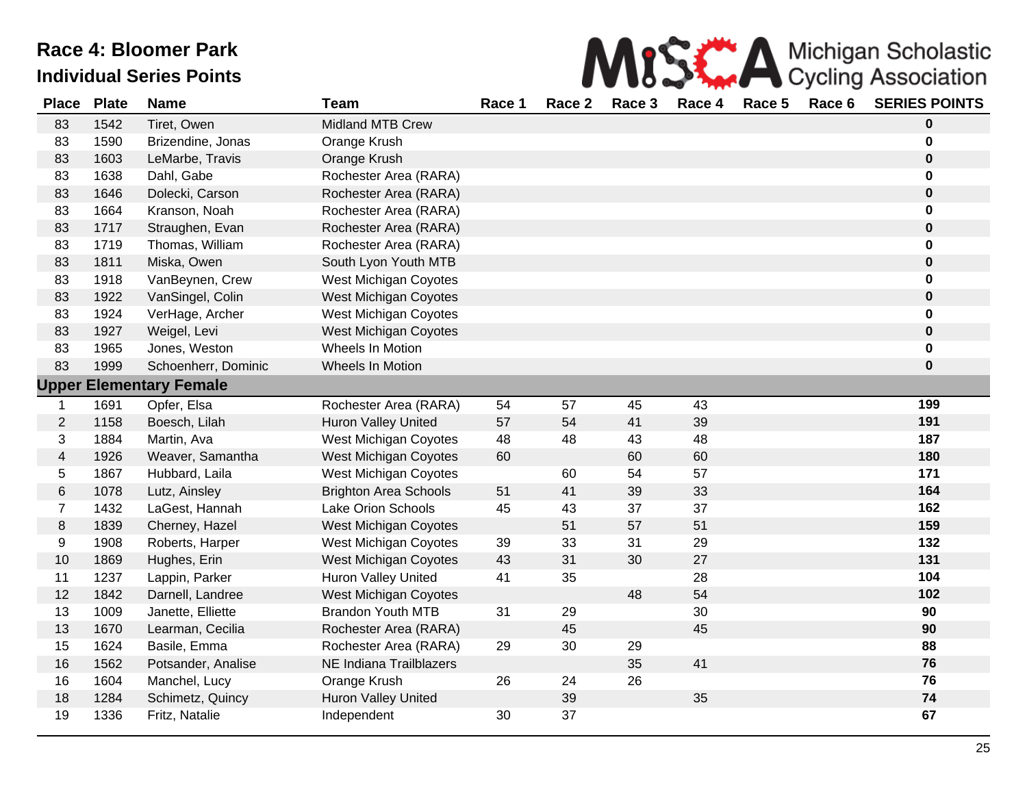

| <b>Place</b>   | <b>Plate</b> | <b>Name</b>                    | <b>Team</b>                  | Race 1 | Race 2 | Race 3 | Race 4 | Race 5 | Race 6 | <b>SERIES POINTS</b> |
|----------------|--------------|--------------------------------|------------------------------|--------|--------|--------|--------|--------|--------|----------------------|
| 83             | 1542         | Tiret, Owen                    | <b>Midland MTB Crew</b>      |        |        |        |        |        |        | $\bf{0}$             |
| 83             | 1590         | Brizendine, Jonas              | Orange Krush                 |        |        |        |        |        |        | 0                    |
| 83             | 1603         | LeMarbe, Travis                | Orange Krush                 |        |        |        |        |        |        | $\pmb{0}$            |
| 83             | 1638         | Dahl, Gabe                     | Rochester Area (RARA)        |        |        |        |        |        |        | 0                    |
| 83             | 1646         | Dolecki, Carson                | Rochester Area (RARA)        |        |        |        |        |        |        | $\pmb{0}$            |
| 83             | 1664         | Kranson, Noah                  | Rochester Area (RARA)        |        |        |        |        |        |        | 0                    |
| 83             | 1717         | Straughen, Evan                | Rochester Area (RARA)        |        |        |        |        |        |        | $\pmb{0}$            |
| 83             | 1719         | Thomas, William                | Rochester Area (RARA)        |        |        |        |        |        |        | 0                    |
| 83             | 1811         | Miska, Owen                    | South Lyon Youth MTB         |        |        |        |        |        |        | $\pmb{0}$            |
| 83             | 1918         | VanBeynen, Crew                | West Michigan Coyotes        |        |        |        |        |        |        | 0                    |
| 83             | 1922         | VanSingel, Colin               | <b>West Michigan Coyotes</b> |        |        |        |        |        |        | 0                    |
| 83             | 1924         | VerHage, Archer                | West Michigan Coyotes        |        |        |        |        |        |        | 0                    |
| 83             | 1927         | Weigel, Levi                   | <b>West Michigan Coyotes</b> |        |        |        |        |        |        | 0                    |
| 83             | 1965         | Jones, Weston                  | Wheels In Motion             |        |        |        |        |        |        | 0                    |
| 83             | 1999         | Schoenherr, Dominic            | <b>Wheels In Motion</b>      |        |        |        |        |        |        | $\mathbf 0$          |
|                |              | <b>Upper Elementary Female</b> |                              |        |        |        |        |        |        |                      |
| $\mathbf{1}$   | 1691         | Opfer, Elsa                    | Rochester Area (RARA)        | 54     | 57     | 45     | 43     |        |        | 199                  |
| $\overline{2}$ | 1158         | Boesch, Lilah                  | Huron Valley United          | 57     | 54     | 41     | 39     |        |        | 191                  |
| 3              | 1884         | Martin, Ava                    | West Michigan Coyotes        | 48     | 48     | 43     | 48     |        |        | 187                  |
| $\overline{4}$ | 1926         | Weaver, Samantha               | <b>West Michigan Coyotes</b> | 60     |        | 60     | 60     |        |        | 180                  |
| 5              | 1867         | Hubbard, Laila                 | West Michigan Coyotes        |        | 60     | 54     | 57     |        |        | 171                  |
| $\,6$          | 1078         | Lutz, Ainsley                  | <b>Brighton Area Schools</b> | 51     | 41     | 39     | 33     |        |        | 164                  |
| $\overline{7}$ | 1432         | LaGest, Hannah                 | Lake Orion Schools           | 45     | 43     | 37     | 37     |        |        | 162                  |
| $\bf 8$        | 1839         | Cherney, Hazel                 | <b>West Michigan Coyotes</b> |        | 51     | 57     | 51     |        |        | 159                  |
| 9              | 1908         | Roberts, Harper                | West Michigan Coyotes        | 39     | 33     | 31     | 29     |        |        | 132                  |
| 10             | 1869         | Hughes, Erin                   | <b>West Michigan Coyotes</b> | 43     | 31     | 30     | 27     |        |        | 131                  |
| 11             | 1237         | Lappin, Parker                 | <b>Huron Valley United</b>   | 41     | 35     |        | 28     |        |        | 104                  |
| 12             | 1842         | Darnell, Landree               | <b>West Michigan Coyotes</b> |        |        | 48     | 54     |        |        | 102                  |
| 13             | 1009         | Janette, Elliette              | <b>Brandon Youth MTB</b>     | 31     | 29     |        | 30     |        |        | 90                   |
| 13             | 1670         | Learman, Cecilia               | Rochester Area (RARA)        |        | 45     |        | 45     |        |        | 90                   |
| 15             | 1624         | Basile, Emma                   | Rochester Area (RARA)        | 29     | 30     | 29     |        |        |        | 88                   |
| 16             | 1562         | Potsander, Analise             | NE Indiana Trailblazers      |        |        | 35     | 41     |        |        | 76                   |
| 16             | 1604         | Manchel, Lucy                  | Orange Krush                 | 26     | 24     | 26     |        |        |        | 76                   |
| 18             | 1284         | Schimetz, Quincy               | Huron Valley United          |        | 39     |        | 35     |        |        | 74                   |
| 19             | 1336         | Fritz, Natalie                 | Independent                  | 30     | 37     |        |        |        |        | 67                   |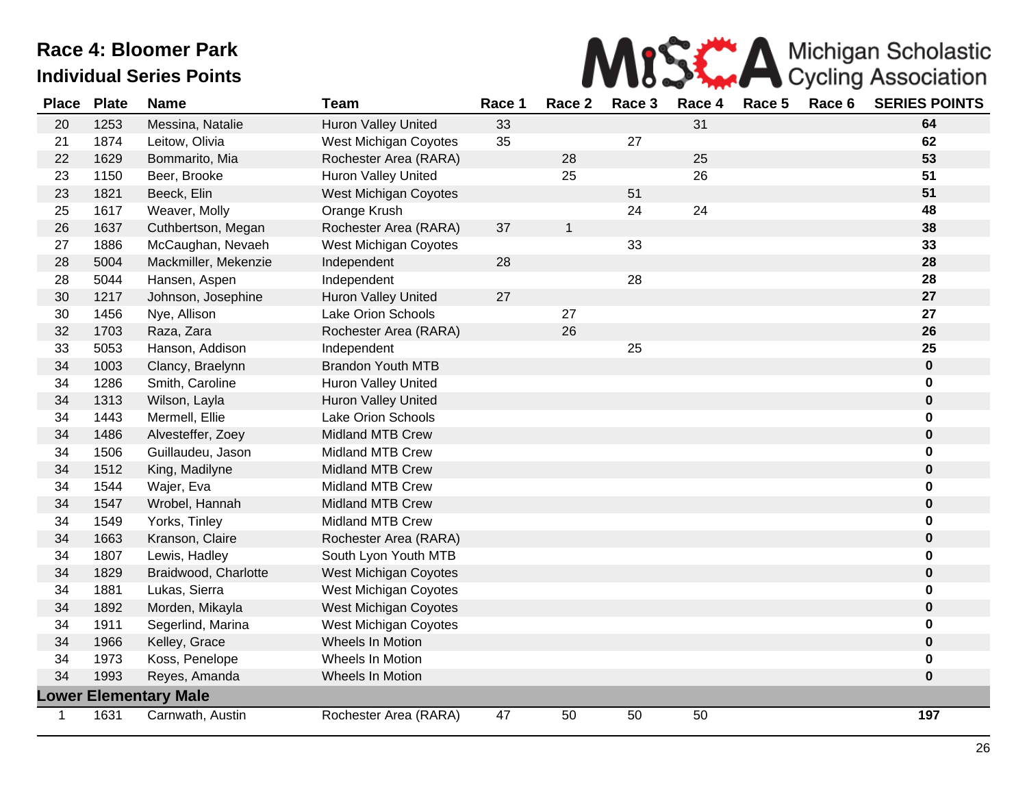

| <b>Place</b> | <b>Plate</b> | <b>Name</b>                  | <b>Team</b>                | Race 1 | Race 2       | Race 3 | Race 4 | Race 5 | Race 6 | <b>SERIES POINTS</b> |
|--------------|--------------|------------------------------|----------------------------|--------|--------------|--------|--------|--------|--------|----------------------|
| 20           | 1253         | Messina, Natalie             | Huron Valley United        | 33     |              |        | 31     |        |        | 64                   |
| 21           | 1874         | Leitow, Olivia               | West Michigan Coyotes      | 35     |              | 27     |        |        |        | 62                   |
| 22           | 1629         | Bommarito, Mia               | Rochester Area (RARA)      |        | 28           |        | 25     |        |        | 53                   |
| 23           | 1150         | Beer, Brooke                 | <b>Huron Valley United</b> |        | 25           |        | 26     |        |        | 51                   |
| 23           | 1821         | Beeck, Elin                  | West Michigan Coyotes      |        |              | 51     |        |        |        | 51                   |
| 25           | 1617         | Weaver, Molly                | Orange Krush               |        |              | 24     | 24     |        |        | 48                   |
| 26           | 1637         | Cuthbertson, Megan           | Rochester Area (RARA)      | 37     | $\mathbf{1}$ |        |        |        |        | 38                   |
| 27           | 1886         | McCaughan, Nevaeh            | West Michigan Coyotes      |        |              | 33     |        |        |        | 33                   |
| 28           | 5004         | Mackmiller, Mekenzie         | Independent                | 28     |              |        |        |        |        | 28                   |
| 28           | 5044         | Hansen, Aspen                | Independent                |        |              | 28     |        |        |        | 28                   |
| 30           | 1217         | Johnson, Josephine           | <b>Huron Valley United</b> | 27     |              |        |        |        |        | 27                   |
| 30           | 1456         | Nye, Allison                 | Lake Orion Schools         |        | 27           |        |        |        |        | 27                   |
| 32           | 1703         | Raza, Zara                   | Rochester Area (RARA)      |        | 26           |        |        |        |        | 26                   |
| 33           | 5053         | Hanson, Addison              | Independent                |        |              | 25     |        |        |        | 25                   |
| 34           | 1003         | Clancy, Braelynn             | <b>Brandon Youth MTB</b>   |        |              |        |        |        |        | $\pmb{0}$            |
| 34           | 1286         | Smith, Caroline              | Huron Valley United        |        |              |        |        |        |        | 0                    |
| 34           | 1313         | Wilson, Layla                | <b>Huron Valley United</b> |        |              |        |        |        |        | $\mathbf 0$          |
| 34           | 1443         | Mermell, Ellie               | <b>Lake Orion Schools</b>  |        |              |        |        |        |        | 0                    |
| 34           | 1486         | Alvesteffer, Zoey            | <b>Midland MTB Crew</b>    |        |              |        |        |        |        | $\mathbf 0$          |
| 34           | 1506         | Guillaudeu, Jason            | <b>Midland MTB Crew</b>    |        |              |        |        |        |        | 0                    |
| 34           | 1512         | King, Madilyne               | <b>Midland MTB Crew</b>    |        |              |        |        |        |        | $\mathbf 0$          |
| 34           | 1544         | Wajer, Eva                   | <b>Midland MTB Crew</b>    |        |              |        |        |        |        | 0                    |
| 34           | 1547         | Wrobel, Hannah               | <b>Midland MTB Crew</b>    |        |              |        |        |        |        | $\mathbf 0$          |
| 34           | 1549         | Yorks, Tinley                | <b>Midland MTB Crew</b>    |        |              |        |        |        |        | 0                    |
| 34           | 1663         | Kranson, Claire              | Rochester Area (RARA)      |        |              |        |        |        |        | $\mathbf 0$          |
| 34           | 1807         | Lewis, Hadley                | South Lyon Youth MTB       |        |              |        |        |        |        | 0                    |
| 34           | 1829         | Braidwood, Charlotte         | West Michigan Coyotes      |        |              |        |        |        |        | $\mathbf 0$          |
| 34           | 1881         | Lukas, Sierra                | West Michigan Coyotes      |        |              |        |        |        |        | 0                    |
| 34           | 1892         | Morden, Mikayla              | West Michigan Coyotes      |        |              |        |        |        |        | $\mathbf 0$          |
| 34           | 1911         | Segerlind, Marina            | West Michigan Coyotes      |        |              |        |        |        |        | 0                    |
| 34           | 1966         | Kelley, Grace                | Wheels In Motion           |        |              |        |        |        |        | $\mathbf 0$          |
| 34           | 1973         | Koss, Penelope               | Wheels In Motion           |        |              |        |        |        |        | 0                    |
| 34           | 1993         | Reyes, Amanda                | Wheels In Motion           |        |              |        |        |        |        | $\mathbf 0$          |
|              |              | <b>Lower Elementary Male</b> |                            |        |              |        |        |        |        |                      |
| $\mathbf 1$  | 1631         | Carnwath, Austin             | Rochester Area (RARA)      | 47     | 50           | 50     | 50     |        |        | 197                  |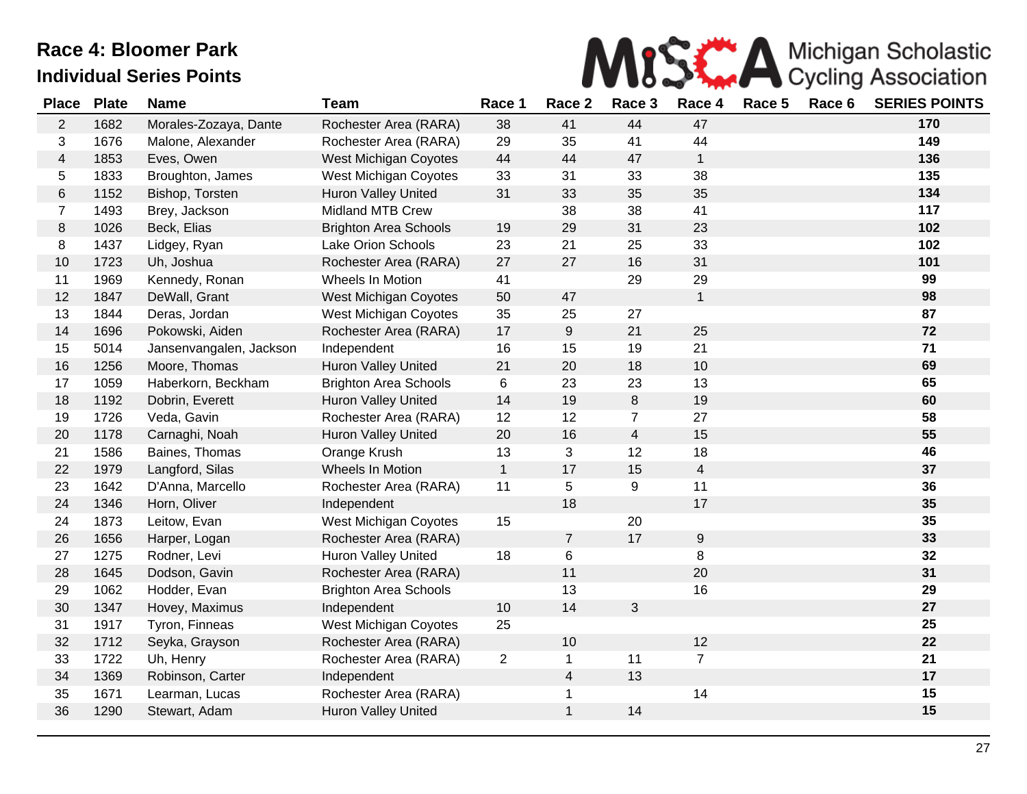

| <b>Place</b>            | <b>Plate</b> | <b>Name</b>             | <b>Team</b>                  | Race 1         | Race 2                  | Race 3         | Race 4         | Race 5 | Race 6 | <b>SERIES POINTS</b> |
|-------------------------|--------------|-------------------------|------------------------------|----------------|-------------------------|----------------|----------------|--------|--------|----------------------|
| $\overline{2}$          | 1682         | Morales-Zozaya, Dante   | Rochester Area (RARA)        | 38             | 41                      | 44             | 47             |        |        | 170                  |
| 3                       | 1676         | Malone, Alexander       | Rochester Area (RARA)        | 29             | 35                      | 41             | 44             |        |        | 149                  |
| $\overline{\mathbf{4}}$ | 1853         | Eves, Owen              | <b>West Michigan Coyotes</b> | 44             | 44                      | 47             | $\mathbf{1}$   |        |        | 136                  |
| 5                       | 1833         | Broughton, James        | West Michigan Coyotes        | 33             | 31                      | 33             | 38             |        |        | 135                  |
| $\,$ 6 $\,$             | 1152         | Bishop, Torsten         | <b>Huron Valley United</b>   | 31             | 33                      | 35             | 35             |        |        | 134                  |
| $\overline{7}$          | 1493         | Brey, Jackson           | <b>Midland MTB Crew</b>      |                | 38                      | 38             | 41             |        |        | 117                  |
| 8                       | 1026         | Beck, Elias             | <b>Brighton Area Schools</b> | 19             | 29                      | 31             | 23             |        |        | 102                  |
| 8                       | 1437         | Lidgey, Ryan            | Lake Orion Schools           | 23             | 21                      | 25             | 33             |        |        | 102                  |
| 10                      | 1723         | Uh, Joshua              | Rochester Area (RARA)        | 27             | 27                      | 16             | 31             |        |        | 101                  |
| 11                      | 1969         | Kennedy, Ronan          | Wheels In Motion             | 41             |                         | 29             | 29             |        |        | 99                   |
| 12                      | 1847         | DeWall, Grant           | <b>West Michigan Coyotes</b> | 50             | 47                      |                | $\mathbf{1}$   |        |        | 98                   |
| 13                      | 1844         | Deras, Jordan           | <b>West Michigan Coyotes</b> | 35             | 25                      | 27             |                |        |        | 87                   |
| 14                      | 1696         | Pokowski, Aiden         | Rochester Area (RARA)        | 17             | $\boldsymbol{9}$        | 21             | 25             |        |        | 72                   |
| 15                      | 5014         | Jansenvangalen, Jackson | Independent                  | 16             | 15                      | 19             | 21             |        |        | 71                   |
| 16                      | 1256         | Moore, Thomas           | Huron Valley United          | 21             | 20                      | 18             | $10$           |        |        | 69                   |
| 17                      | 1059         | Haberkorn, Beckham      | <b>Brighton Area Schools</b> | 6              | 23                      | 23             | 13             |        |        | 65                   |
| 18                      | 1192         | Dobrin, Everett         | <b>Huron Valley United</b>   | 14             | 19                      | 8              | 19             |        |        | 60                   |
| 19                      | 1726         | Veda, Gavin             | Rochester Area (RARA)        | 12             | 12                      | $\overline{7}$ | 27             |        |        | 58                   |
| 20                      | 1178         | Carnaghi, Noah          | Huron Valley United          | 20             | 16                      | $\overline{4}$ | 15             |        |        | 55                   |
| 21                      | 1586         | Baines, Thomas          | Orange Krush                 | 13             | 3                       | 12             | 18             |        |        | 46                   |
| 22                      | 1979         | Langford, Silas         | Wheels In Motion             | $\mathbf{1}$   | 17                      | 15             | $\overline{4}$ |        |        | 37                   |
| 23                      | 1642         | D'Anna, Marcello        | Rochester Area (RARA)        | 11             | 5                       | 9              | 11             |        |        | 36                   |
| 24                      | 1346         | Horn, Oliver            | Independent                  |                | 18                      |                | 17             |        |        | 35                   |
| 24                      | 1873         | Leitow, Evan            | <b>West Michigan Coyotes</b> | 15             |                         | 20             |                |        |        | 35                   |
| 26                      | 1656         | Harper, Logan           | Rochester Area (RARA)        |                | $\overline{7}$          | 17             | $9\,$          |        |        | 33                   |
| 27                      | 1275         | Rodner, Levi            | Huron Valley United          | 18             | $\,6$                   |                | 8              |        |        | 32                   |
| 28                      | 1645         | Dodson, Gavin           | Rochester Area (RARA)        |                | 11                      |                | 20             |        |        | 31                   |
| 29                      | 1062         | Hodder, Evan            | <b>Brighton Area Schools</b> |                | 13                      |                | 16             |        |        | 29                   |
| 30                      | 1347         | Hovey, Maximus          | Independent                  | 10             | 14                      | 3              |                |        |        | 27                   |
| 31                      | 1917         | Tyron, Finneas          | <b>West Michigan Coyotes</b> | 25             |                         |                |                |        |        | 25                   |
| 32                      | 1712         | Seyka, Grayson          | Rochester Area (RARA)        |                | 10                      |                | 12             |        |        | 22                   |
| 33                      | 1722         | Uh, Henry               | Rochester Area (RARA)        | $\overline{2}$ | $\mathbf{1}$            | 11             | $\overline{7}$ |        |        | 21                   |
| 34                      | 1369         | Robinson, Carter        | Independent                  |                | $\overline{\mathbf{4}}$ | 13             |                |        |        | 17                   |
| 35                      | 1671         | Learman, Lucas          | Rochester Area (RARA)        |                | 1                       |                | 14             |        |        | 15                   |
| 36                      | 1290         | Stewart, Adam           | <b>Huron Valley United</b>   |                | $\mathbf{1}$            | 14             |                |        |        | 15                   |
|                         |              |                         |                              |                |                         |                |                |        |        |                      |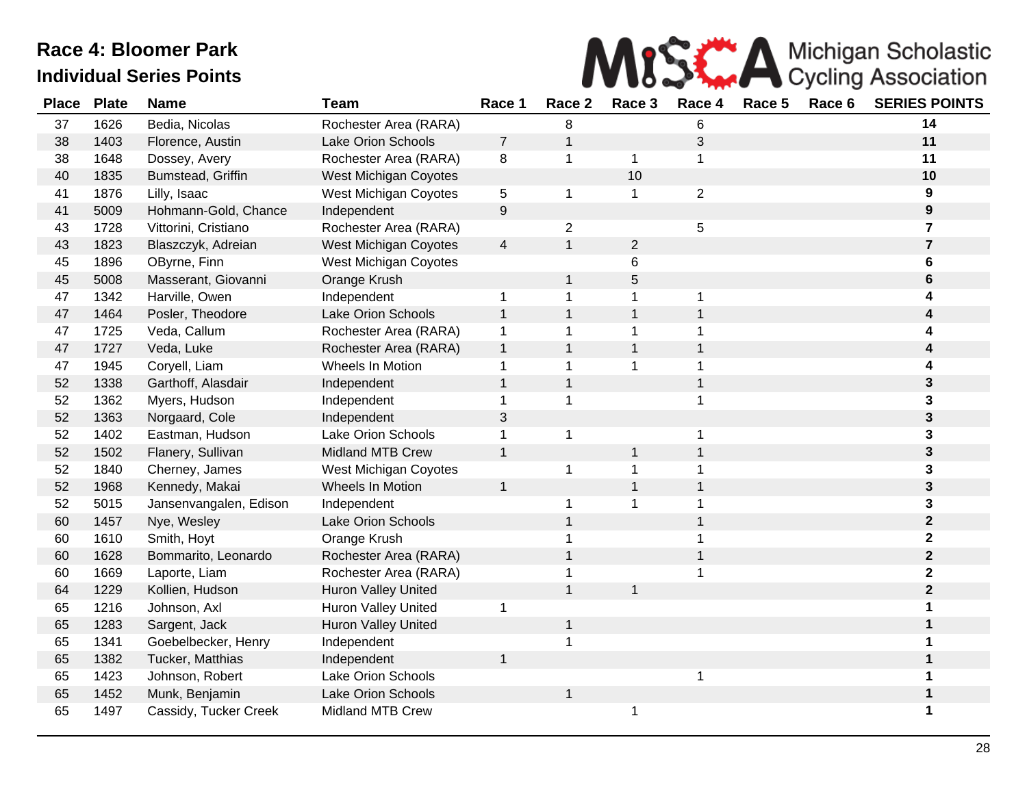

| <b>Place</b> | <b>Plate</b> | <b>Name</b>            | <b>Team</b>                  | Race 1                   | Race 2         | Race 3       | Race 4         | Race 5 | Race 6 | <b>SERIES POINTS</b>    |
|--------------|--------------|------------------------|------------------------------|--------------------------|----------------|--------------|----------------|--------|--------|-------------------------|
| 37           | 1626         | Bedia, Nicolas         | Rochester Area (RARA)        |                          | 8              |              | 6              |        |        | 14                      |
| 38           | 1403         | Florence, Austin       | <b>Lake Orion Schools</b>    | $\overline{7}$           | 1              |              | 3              |        |        | 11                      |
| 38           | 1648         | Dossey, Avery          | Rochester Area (RARA)        | 8                        | 1              | $\mathbf 1$  | 1              |        |        | 11                      |
| 40           | 1835         | Bumstead, Griffin      | <b>West Michigan Coyotes</b> |                          |                | 10           |                |        |        | 10                      |
| 41           | 1876         | Lilly, Isaac           | <b>West Michigan Coyotes</b> | 5                        | $\mathbf 1$    | $\mathbf 1$  | $\overline{2}$ |        |        | 9                       |
| 41           | 5009         | Hohmann-Gold, Chance   | Independent                  | $\boldsymbol{9}$         |                |              |                |        |        | 9                       |
| 43           | 1728         | Vittorini, Cristiano   | Rochester Area (RARA)        |                          | $\overline{2}$ |              | 5              |        |        | 7                       |
| 43           | 1823         | Blaszczyk, Adreian     | <b>West Michigan Coyotes</b> | $\overline{\mathcal{A}}$ | $\mathbf{1}$   | $\sqrt{2}$   |                |        |        | 7                       |
| 45           | 1896         | OByrne, Finn           | <b>West Michigan Coyotes</b> |                          |                | 6            |                |        |        | 6                       |
| 45           | 5008         | Masserant, Giovanni    | Orange Krush                 |                          | $\mathbf 1$    | 5            |                |        |        | 6                       |
| 47           | 1342         | Harville, Owen         | Independent                  | 1                        | 1              | 1            |                |        |        | 4                       |
| 47           | 1464         | Posler, Theodore       | Lake Orion Schools           | $\mathbf{1}$             | $\mathbf{1}$   | $\mathbf{1}$ |                |        |        |                         |
| 47           | 1725         | Veda, Callum           | Rochester Area (RARA)        | $\mathbf{1}$             | 1              | $\mathbf 1$  |                |        |        |                         |
| 47           | 1727         | Veda, Luke             | Rochester Area (RARA)        | $\mathbf{1}$             | $\mathbf{1}$   | $\mathbf{1}$ |                |        |        |                         |
| 47           | 1945         | Coryell, Liam          | Wheels In Motion             | 1                        | 1              | $\mathbf{1}$ |                |        |        |                         |
| 52           | 1338         | Garthoff, Alasdair     | Independent                  | $\mathbf{1}$             | $\mathbf{1}$   |              |                |        |        | 3                       |
| 52           | 1362         | Myers, Hudson          | Independent                  | $\mathbf 1$              | $\mathbf{1}$   |              |                |        |        | 3                       |
| 52           | 1363         | Norgaard, Cole         | Independent                  | 3                        |                |              |                |        |        | 3                       |
| 52           | 1402         | Eastman, Hudson        | <b>Lake Orion Schools</b>    | $\mathbf 1$              | 1              |              | 1              |        |        | 3                       |
| 52           | 1502         | Flanery, Sullivan      | Midland MTB Crew             | $\mathbf{1}$             |                | $\mathbf{1}$ |                |        |        | 3                       |
| 52           | 1840         | Cherney, James         | West Michigan Coyotes        |                          | 1              | $\mathbf{1}$ |                |        |        | 3.                      |
| 52           | 1968         | Kennedy, Makai         | Wheels In Motion             | $\mathbf{1}$             |                | $\mathbf{1}$ |                |        |        | 3                       |
| 52           | 5015         | Jansenvangalen, Edison | Independent                  |                          | 1              | $\mathbf 1$  |                |        |        | 3                       |
| 60           | 1457         | Nye, Wesley            | <b>Lake Orion Schools</b>    |                          | 1              |              |                |        |        | $\mathbf 2$             |
| 60           | 1610         | Smith, Hoyt            | Orange Krush                 |                          | 1              |              |                |        |        | $\overline{\mathbf{2}}$ |
| 60           | 1628         | Bommarito, Leonardo    | Rochester Area (RARA)        |                          | $\mathbf 1$    |              |                |        |        | $\mathbf{2}$            |
| 60           | 1669         | Laporte, Liam          | Rochester Area (RARA)        |                          | 1              |              |                |        |        | $\overline{\mathbf{2}}$ |
| 64           | 1229         | Kollien, Hudson        | <b>Huron Valley United</b>   |                          | $\mathbf{1}$   | $\mathbf{1}$ |                |        |        | $\overline{\mathbf{2}}$ |
| 65           | 1216         | Johnson, Axl           | <b>Huron Valley United</b>   | 1                        |                |              |                |        |        |                         |
| 65           | 1283         | Sargent, Jack          | Huron Valley United          |                          | $\mathbf{1}$   |              |                |        |        |                         |
| 65           | 1341         | Goebelbecker, Henry    | Independent                  |                          | 1              |              |                |        |        |                         |
| 65           | 1382         | Tucker, Matthias       | Independent                  | $\mathbf{1}$             |                |              |                |        |        |                         |
| 65           | 1423         | Johnson, Robert        | Lake Orion Schools           |                          |                |              |                |        |        |                         |
| 65           | 1452         | Munk, Benjamin         | Lake Orion Schools           |                          | $\mathbf 1$    |              |                |        |        |                         |
| 65           | 1497         | Cassidy, Tucker Creek  | <b>Midland MTB Crew</b>      |                          |                | 1            |                |        |        | 1                       |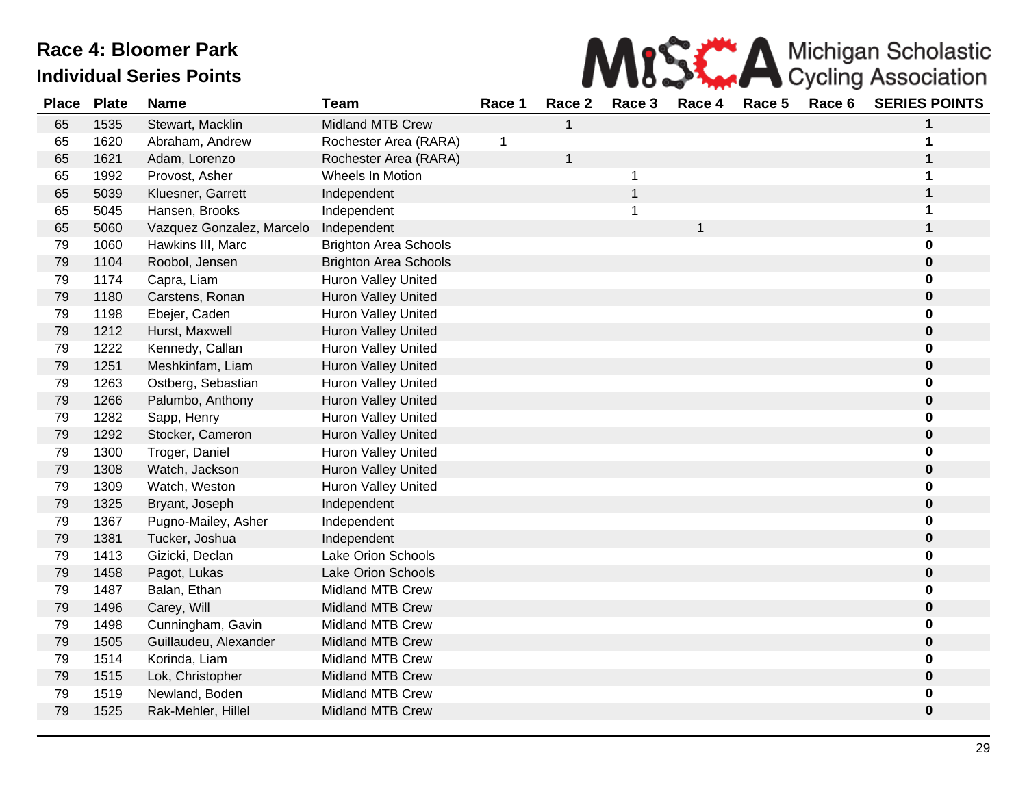

| <b>Place</b> | <b>Plate</b> | <b>Name</b>               | <b>Team</b>                  | Race 1 | Race 2       | Race 3         | Race 4 | Race 5 | Race 6 | <b>SERIES POINTS</b> |
|--------------|--------------|---------------------------|------------------------------|--------|--------------|----------------|--------|--------|--------|----------------------|
| 65           | 1535         | Stewart, Macklin          | <b>Midland MTB Crew</b>      |        | 1            |                |        |        |        | 1                    |
| 65           | 1620         | Abraham, Andrew           | Rochester Area (RARA)        | 1      |              |                |        |        |        |                      |
| 65           | 1621         | Adam, Lorenzo             | Rochester Area (RARA)        |        | $\mathbf{1}$ |                |        |        |        |                      |
| 65           | 1992         | Provost, Asher            | Wheels In Motion             |        |              | -1             |        |        |        | 1                    |
| 65           | 5039         | Kluesner, Garrett         | Independent                  |        |              | $\overline{1}$ |        |        |        |                      |
| 65           | 5045         | Hansen, Brooks            | Independent                  |        |              | $\mathbf 1$    |        |        |        | 1                    |
| 65           | 5060         | Vazquez Gonzalez, Marcelo | Independent                  |        |              |                | 1      |        |        | 1                    |
| 79           | 1060         | Hawkins III, Marc         | <b>Brighton Area Schools</b> |        |              |                |        |        |        | 0                    |
| 79           | 1104         | Roobol, Jensen            | <b>Brighton Area Schools</b> |        |              |                |        |        |        | 0                    |
| 79           | 1174         | Capra, Liam               | <b>Huron Valley United</b>   |        |              |                |        |        |        |                      |
| 79           | 1180         | Carstens, Ronan           | <b>Huron Valley United</b>   |        |              |                |        |        |        | 0                    |
| 79           | 1198         | Ebejer, Caden             | <b>Huron Valley United</b>   |        |              |                |        |        |        | 0                    |
| 79           | 1212         | Hurst, Maxwell            | <b>Huron Valley United</b>   |        |              |                |        |        |        | 0                    |
| 79           | 1222         | Kennedy, Callan           | Huron Valley United          |        |              |                |        |        |        | 0                    |
| 79           | 1251         | Meshkinfam, Liam          | <b>Huron Valley United</b>   |        |              |                |        |        |        | 0                    |
| 79           | 1263         | Ostberg, Sebastian        | Huron Valley United          |        |              |                |        |        |        | 0                    |
| 79           | 1266         | Palumbo, Anthony          | <b>Huron Valley United</b>   |        |              |                |        |        |        | 0                    |
| 79           | 1282         | Sapp, Henry               | Huron Valley United          |        |              |                |        |        |        | 0                    |
| 79           | 1292         | Stocker, Cameron          | <b>Huron Valley United</b>   |        |              |                |        |        |        | 0                    |
| 79           | 1300         | Troger, Daniel            | Huron Valley United          |        |              |                |        |        |        | 0                    |
| 79           | 1308         | Watch, Jackson            | Huron Valley United          |        |              |                |        |        |        | 0                    |
| 79           | 1309         | Watch, Weston             | <b>Huron Valley United</b>   |        |              |                |        |        |        | 0                    |
| 79           | 1325         | Bryant, Joseph            | Independent                  |        |              |                |        |        |        | 0                    |
| 79           | 1367         | Pugno-Mailey, Asher       | Independent                  |        |              |                |        |        |        | 0                    |
| 79           | 1381         | Tucker, Joshua            | Independent                  |        |              |                |        |        |        | 0                    |
| 79           | 1413         | Gizicki, Declan           | Lake Orion Schools           |        |              |                |        |        |        | 0                    |
| 79           | 1458         | Pagot, Lukas              | <b>Lake Orion Schools</b>    |        |              |                |        |        |        | 0                    |
| 79           | 1487         | Balan, Ethan              | <b>Midland MTB Crew</b>      |        |              |                |        |        |        | 0                    |
| 79           | 1496         | Carey, Will               | <b>Midland MTB Crew</b>      |        |              |                |        |        |        | 0                    |
| 79           | 1498         | Cunningham, Gavin         | <b>Midland MTB Crew</b>      |        |              |                |        |        |        | 0                    |
| 79           | 1505         | Guillaudeu, Alexander     | <b>Midland MTB Crew</b>      |        |              |                |        |        |        | 0                    |
| 79           | 1514         | Korinda, Liam             | <b>Midland MTB Crew</b>      |        |              |                |        |        |        | 0                    |
| 79           | 1515         | Lok, Christopher          | <b>Midland MTB Crew</b>      |        |              |                |        |        |        | 0                    |
| 79           | 1519         | Newland, Boden            | <b>Midland MTB Crew</b>      |        |              |                |        |        |        | 0                    |
| 79           | 1525         | Rak-Mehler, Hillel        | <b>Midland MTB Crew</b>      |        |              |                |        |        |        | 0                    |
|              |              |                           |                              |        |              |                |        |        |        |                      |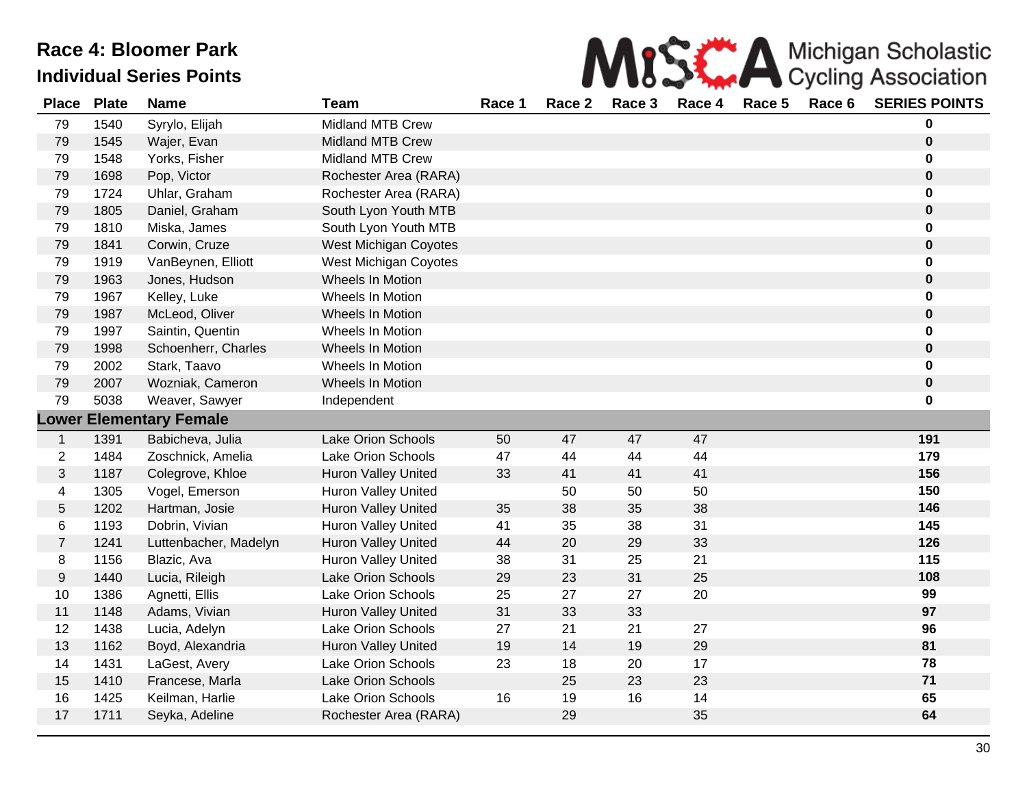| MISS A Michigan Scholastic |
|----------------------------|
|                            |

| <b>Place</b>   | <b>Plate</b> | <b>Name</b>                    | <b>Team</b>                | Race 1 | Race 2 | Race 3 | Race 4 | Race 5 | Race 6 | <b>SERIES POINTS</b> |
|----------------|--------------|--------------------------------|----------------------------|--------|--------|--------|--------|--------|--------|----------------------|
| 79             | 1540         | Syrylo, Elijah                 | Midland MTB Crew           |        |        |        |        |        |        | 0                    |
| 79             | 1545         | Wajer, Evan                    | Midland MTB Crew           |        |        |        |        |        |        | $\pmb{0}$            |
| 79             | 1548         | Yorks, Fisher                  | <b>Midland MTB Crew</b>    |        |        |        |        |        |        | 0                    |
| 79             | 1698         | Pop, Victor                    | Rochester Area (RARA)      |        |        |        |        |        |        | $\mathbf 0$          |
| 79             | 1724         | Uhlar, Graham                  | Rochester Area (RARA)      |        |        |        |        |        |        | 0                    |
| 79             | 1805         | Daniel, Graham                 | South Lyon Youth MTB       |        |        |        |        |        |        | 0                    |
| 79             | 1810         | Miska, James                   | South Lyon Youth MTB       |        |        |        |        |        |        | 0                    |
| 79             | 1841         | Corwin, Cruze                  | West Michigan Coyotes      |        |        |        |        |        |        | 0                    |
| 79             | 1919         | VanBeynen, Elliott             | West Michigan Coyotes      |        |        |        |        |        |        | 0                    |
| 79             | 1963         | Jones, Hudson                  | Wheels In Motion           |        |        |        |        |        |        | $\pmb{0}$            |
| 79             | 1967         | Kelley, Luke                   | Wheels In Motion           |        |        |        |        |        |        | 0                    |
| 79             | 1987         | McLeod, Oliver                 | Wheels In Motion           |        |        |        |        |        |        | $\mathbf 0$          |
| 79             | 1997         | Saintin, Quentin               | Wheels In Motion           |        |        |        |        |        |        | 0                    |
| 79             | 1998         | Schoenherr, Charles            | Wheels In Motion           |        |        |        |        |        |        | $\pmb{0}$            |
| 79             | 2002         | Stark, Taavo                   | Wheels In Motion           |        |        |        |        |        |        | 0                    |
| 79             | 2007         | Wozniak, Cameron               | Wheels In Motion           |        |        |        |        |        |        | 0                    |
| 79             | 5038         | Weaver, Sawyer                 | Independent                |        |        |        |        |        |        | 0                    |
|                |              | <b>Lower Elementary Female</b> |                            |        |        |        |        |        |        |                      |
| $\mathbf{1}$   | 1391         | Babicheva, Julia               | Lake Orion Schools         | 50     | 47     | 47     | 47     |        |        | 191                  |
| $\overline{2}$ | 1484         | Zoschnick, Amelia              | Lake Orion Schools         | 47     | 44     | 44     | 44     |        |        | 179                  |
| 3              | 1187         | Colegrove, Khloe               | Huron Valley United        | 33     | 41     | 41     | 41     |        |        | 156                  |
| 4              | 1305         | Vogel, Emerson                 | Huron Valley United        |        | 50     | 50     | 50     |        |        | 150                  |
| 5              | 1202         | Hartman, Josie                 | <b>Huron Valley United</b> | 35     | 38     | 35     | 38     |        |        | 146                  |
| 6              | 1193         | Dobrin, Vivian                 | Huron Valley United        | 41     | 35     | 38     | 31     |        |        | 145                  |
| $\overline{7}$ | 1241         | Luttenbacher, Madelyn          | <b>Huron Valley United</b> | 44     | 20     | 29     | 33     |        |        | 126                  |
| 8              | 1156         | Blazic, Ava                    | <b>Huron Valley United</b> | 38     | 31     | 25     | 21     |        |        | 115                  |
| 9              | 1440         | Lucia, Rileigh                 | Lake Orion Schools         | 29     | 23     | 31     | 25     |        |        | 108                  |
| 10             | 1386         | Agnetti, Ellis                 | Lake Orion Schools         | 25     | 27     | 27     | 20     |        |        | 99                   |
| 11             | 1148         | Adams, Vivian                  | <b>Huron Valley United</b> | 31     | 33     | 33     |        |        |        | 97                   |
| 12             | 1438         | Lucia, Adelyn                  | Lake Orion Schools         | 27     | 21     | 21     | 27     |        |        | 96                   |
| 13             | 1162         | Boyd, Alexandria               | Huron Valley United        | 19     | 14     | 19     | 29     |        |        | 81                   |
| 14             | 1431         | LaGest, Avery                  | Lake Orion Schools         | 23     | 18     | 20     | 17     |        |        | 78                   |
| 15             | 1410         | Francese, Marla                | Lake Orion Schools         |        | 25     | 23     | 23     |        |        | $71$                 |
| 16             | 1425         | Keilman, Harlie                | Lake Orion Schools         | 16     | 19     | 16     | 14     |        |        | 65                   |
| 17             | 1711         | Seyka, Adeline                 | Rochester Area (RARA)      |        | 29     |        | 35     |        |        | 64                   |
|                |              |                                |                            |        |        |        |        |        |        |                      |